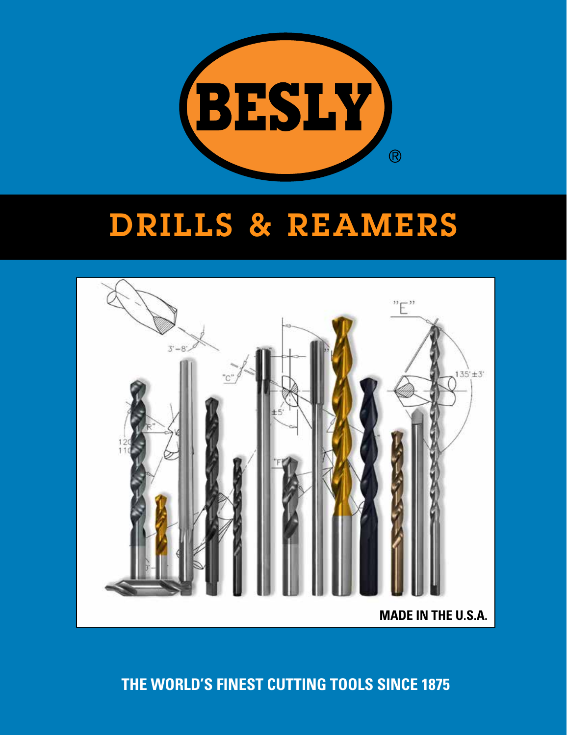

# DRILLS & REAMERS



# **THE WORLD'S FINEST CUTTING TOOLS SINCE 1875**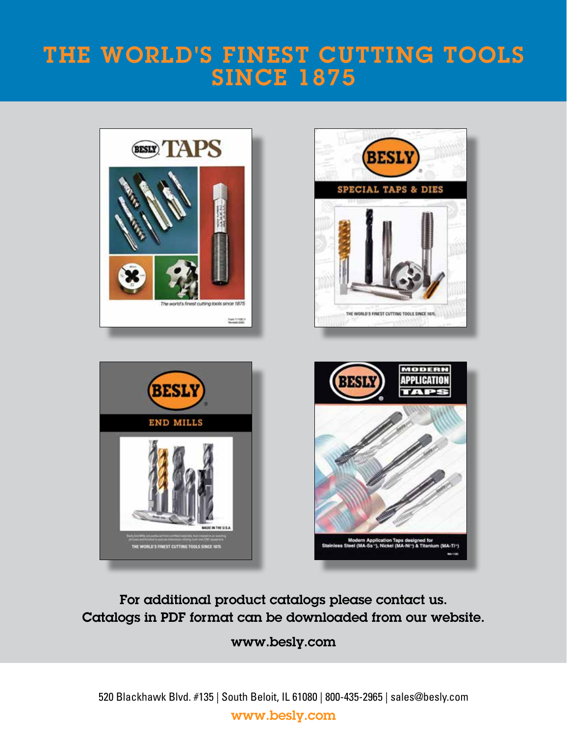# THE WORLD'S FINEST CUTTING TOOLS SINCE 1875







For additional product catalogs please contact us. Catalogs in PDF format can be downloaded from our website.

### www.besly.com

520 Blackhawk Blvd. #135 | South Beloit, IL 61080 | 800-435-2965 | sales@besly.com www.besly.com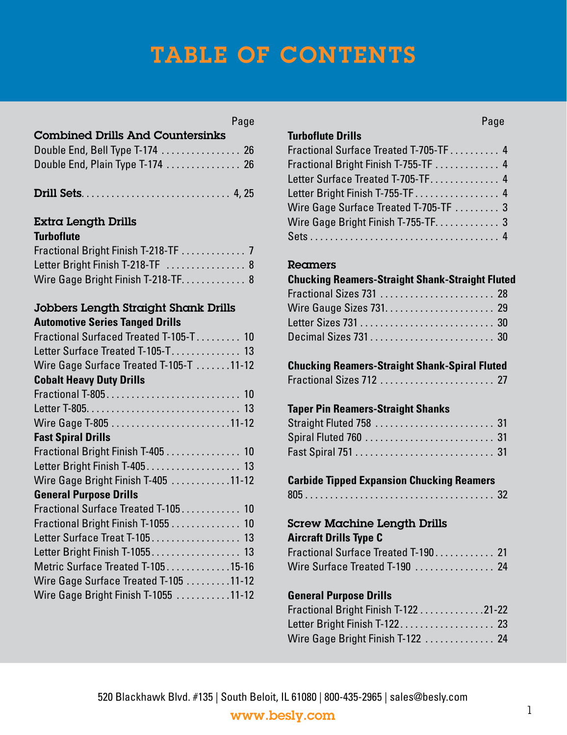# TABLE OF CONTENTS

| Compiled Dims And Codileishiks   |  |
|----------------------------------|--|
| Double End, Bell Type T-174  26  |  |
| Double End, Plain Type T-174  26 |  |

Combined Drills And Countersink

|--|--|

#### Extra Length Drills **Turboflute**

| TUI DUITULE                          |  |
|--------------------------------------|--|
| Fractional Bright Finish T-218-TF  7 |  |
| Letter Bright Finish T-218-TF  8     |  |
| Wire Gage Bright Finish T-218-TF 8   |  |

#### Jobbers Length Straight Shank Drills **Automotive Series Tanged Drills**

| Fractional Surfaced Treated T-105-T 10  |  |
|-----------------------------------------|--|
| Letter Surface Treated T-105-T 13       |  |
|                                         |  |
| Wire Gage Surface Treated T-105-T 11-12 |  |
| <b>Cobalt Heavy Duty Drills</b>         |  |
|                                         |  |
|                                         |  |
|                                         |  |
| <b>Fast Spiral Drills</b>               |  |
| Fractional Bright Finish T-405 10       |  |
| Letter Bright Finish T-405 13           |  |
| Wire Gage Bright Finish T-405 11-12     |  |
| <b>General Purpose Drills</b>           |  |
| Fractional Surface Treated T-105 10     |  |
| Fractional Bright Finish T-1055  10     |  |
| Letter Surface Treat T-105 13           |  |
| Letter Bright Finish T-1055 13          |  |
| Metric Surface Treated T-10515-16       |  |
| Wire Gage Surface Treated T-105 11-12   |  |
| Wire Gage Bright Finish T-1055 11-12    |  |
|                                         |  |

### **Turboflute Drills**

| TUIDUITULE DITIIS                     |  |
|---------------------------------------|--|
| Fractional Surface Treated T-705-TF 4 |  |
| Fractional Bright Finish T-755-TF  4  |  |
| Letter Surface Treated T-705-TF 4     |  |
| Letter Bright Finish T-755-TF 4       |  |
| Wire Gage Surface Treated T-705-TF  3 |  |
| Wire Gage Bright Finish T-755-TF 3    |  |
|                                       |  |

### **Reamers**

| <b>Chucking Reamers-Straight Shank-Straight Fluted</b> |  |
|--------------------------------------------------------|--|
| Fractional Sizes 731  28                               |  |
|                                                        |  |
|                                                        |  |
|                                                        |  |

| <b>Chucking Reamers-Straight Shank-Spiral Fluted</b> |  |
|------------------------------------------------------|--|
|                                                      |  |

### **Taper Pin Reamers-Straight Shanks**

| Straight Fluted 758  31 |  |  |  |  |  |  |  |  |  |  |
|-------------------------|--|--|--|--|--|--|--|--|--|--|
|                         |  |  |  |  |  |  |  |  |  |  |
|                         |  |  |  |  |  |  |  |  |  |  |

#### **Carbide Tipped Expansion Chucking Reamers** 805 . . . . . . . . . . . . . . . . . . . . . . . . . . . . . . . . . . . . . . 32

### Screw Machine Length Drills

#### **Aircraft Drills Type C**

| Fractional Surface Treated T-190 21 |  |
|-------------------------------------|--|
| Wire Surface Treated T-190 24       |  |

### **General Purpose Drills**

| Fractional Bright Finish T-122 21-22 |  |
|--------------------------------------|--|
|                                      |  |
| Wire Gage Bright Finish T-122  24    |  |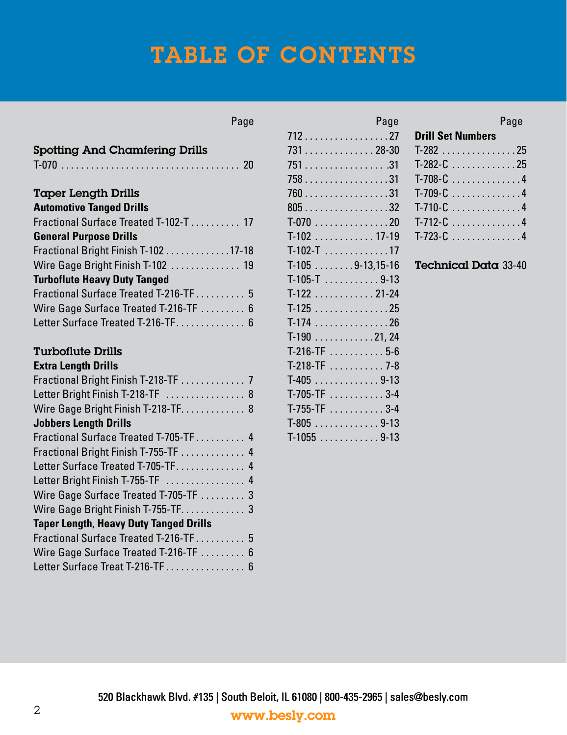# TABLE OF CONTENTS

| <b>Spotting And Chamfering Drills</b>         |
|-----------------------------------------------|
|                                               |
| <b>Taper Length Drills</b>                    |
| <b>Automotive Tanged Drills</b>               |
| Fractional Surface Treated T-102-T 17         |
| <b>General Purpose Drills</b>                 |
| Fractional Bright Finish T-102 17-18          |
| Wire Gage Bright Finish T-102  19             |
| <b>Turboflute Heavy Duty Tanged</b>           |
| Fractional Surface Treated T-216-TF 5         |
| Wire Gage Surface Treated T-216-TF  6         |
| Letter Surface Treated T-216-TF 6             |
| <b>Turboflute Drills</b>                      |
| <b>Extra Length Drills</b>                    |
| Fractional Bright Finish T-218-TF  7          |
| Letter Bright Finish T-218-TF  8              |
| Wire Gage Bright Finish T-218-TF 8            |
| <b>Jobbers Length Drills</b>                  |
| Fractional Surface Treated T-705-TF  4        |
| Fractional Bright Finish T-755-TF  4          |
| Letter Surface Treated T-705-TF 4             |
| Letter Bright Finish T-755-TF  4              |
| Wire Gage Surface Treated T-705-TF  3         |
| Wire Gage Bright Finish T-755-TF 3            |
| <b>Taper Length, Heavy Duty Tanged Drills</b> |
| Fractional Surface Treated T-216-TF 5         |
| Wire Gage Surface Treated T-216-TF  6         |

Letter Surface Treat T-216-TF  $\dots\dots\dots\dots\dots$  6

| 712 27            |
|-------------------|
| 731 28-30         |
| 751 31            |
| 758 31            |
| 760 31            |
| 805 32            |
| $T-070$ 20        |
| $T-102$ 17-19     |
| $T-102-T$ 17      |
| $T-1059-13,15-16$ |
| $T-105-T$ 9-13    |
| $T-122$ 21-24     |
| $T-125$ 25        |
| $T-174$ 26        |
| $T-190$ 21, 24    |
| $T-216-TF$ 5-6    |
| T-218-TF  7-8     |
| $T-405$ 9-13      |
| $T-705-TF$ 3-4    |
| $T-755-TF$ 3-4    |
|                   |
| $T-1055$ 9-13     |

Page

#### Page Page Page Page Page Page Page Page

| <b>Drill Set Numbers</b> |  |  |  |  |
|--------------------------|--|--|--|--|
| $T-282$ 25               |  |  |  |  |
| $T-282-C$ 25             |  |  |  |  |
| $T-708-C$ 4              |  |  |  |  |
| $T-709-C$ 4              |  |  |  |  |
| $T-710-C$ 4              |  |  |  |  |
| $T-712-C$ 4              |  |  |  |  |
| $T-723-C$ 4              |  |  |  |  |

#### Technical Data 33-40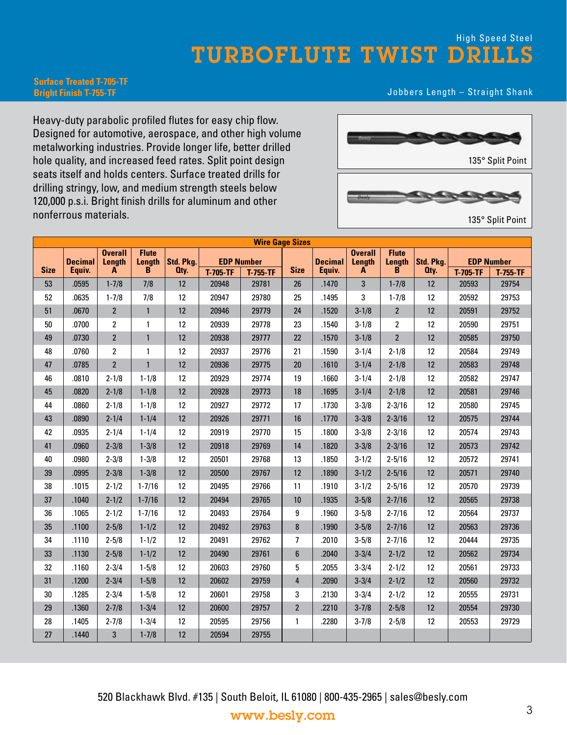### TURBOFLUTE TWIST DRILLS High Speed Steel

#### **Surface Treated T-705-TF Bright Finish T-755-TF**

#### Jobbers Length – Straight Shank

Heavy-duty parabolic profiled flutes for easy chip flow. Designed for automotive, aerospace, and other high volume metalworking industries. Provide longer life, better drilled hole quality, and increased feed rates. Split point design seats itself and holds centers. Surface treated drills for drilling stringy, low, and medium strength steels below 120,000 p.s.i. Bright finish drills for aluminum and other nonferrous materials.



135° Split Point

| <b>Wire Gage Sizes</b> |                |                          |                        |           |                   |          |                  |                |                          |                        |           |                 |                   |
|------------------------|----------------|--------------------------|------------------------|-----------|-------------------|----------|------------------|----------------|--------------------------|------------------------|-----------|-----------------|-------------------|
|                        | <b>Decimal</b> | <b>Overall</b><br>Length | <b>Flute</b><br>Length | Std. Pkg. | <b>EDP Number</b> |          |                  | <b>Decimal</b> | <b>Overall</b><br>Length | <b>Flute</b><br>Length | Std. Pkg. |                 | <b>EDP Number</b> |
| <b>Size</b>            | Equiv.         | A                        | B                      | Oty.      | <b>T-705-TF</b>   | T-755-TF | <b>Size</b>      | Equiv.         | A                        | B                      | Qty.      | <b>T-705-TF</b> | $T-755-TF$        |
| 53                     | .0595          | $1 - 7/8$                | 7/8                    | 12        | 20948             | 29781    | 26               | .1470          | 3                        | $1 - 7/8$              | 12        | 20593           | 29754             |
| 52                     | .0635          | $1 - 7/8$                | 7/8                    | 12        | 20947             | 29780    | 25               | .1495          | 3                        | $1 - 7/8$              | 12        | 20592           | 29753             |
| 51                     | .0670          | $\overline{2}$           | $\mathbf{1}$           | 12        | 20946             | 29779    | 24               | .1520          | $3 - 1/8$                | $\overline{2}$         | 12        | 20591           | 29752             |
| 50                     | .0700          | 2                        | $\mathbf{1}$           | 12        | 20939             | 29778    | 23               | .1540          | $3 - 1/8$                | $\overline{2}$         | 12        | 20590           | 29751             |
| 49                     | .0730          | $\overline{2}$           | $\mathbf{1}$           | 12        | 20938             | 29777    | 22               | .1570          | $3 - 1/8$                | $\overline{2}$         | 12        | 20585           | 29750             |
| 48                     | .0760          | $\overline{2}$           | $\mathbf{1}$           | 12        | 20937             | 29776    | 21               | .1590          | $3 - 1/4$                | $2 - 1/8$              | 12        | 20584           | 29749             |
| 47                     | .0785          | $\overline{2}$           | $\mathbf{1}$           | 12        | 20936             | 29775    | 20               | .1610          | $3 - 1/4$                | $2 - 1/8$              | 12        | 20583           | 29748             |
| 46                     | .0810          | $2 - 1/8$                | $1 - 1/8$              | 12        | 20929             | 29774    | 19               | .1660          | $3 - 1/4$                | $2 - 1/8$              | 12        | 20582           | 29747             |
| 45                     | .0820          | $2 - 1/8$                | $1 - 1/8$              | 12        | 20928             | 29773    | 18               | .1695          | $3 - 1/4$                | $2 - 1/8$              | 12        | 20581           | 29746             |
| 44                     | .0860          | $2 - 1/8$                | $1 - 1/8$              | 12        | 20927             | 29772    | 17               | .1730          | $3 - 3/8$                | $2 - 3/16$             | 12        | 20580           | 29745             |
| 43                     | .0890          | $2 - 1/4$                | $1 - 1/4$              | 12        | 20926             | 29771    | 16               | .1770          | $3 - 3/8$                | $2 - 3/16$             | 12        | 20575           | 29744             |
| 42                     | .0935          | $2 - 1/4$                | $1 - 1/4$              | 12        | 20919             | 29770    | 15               | .1800          | $3 - 3/8$                | $2 - 3/16$             | 12        | 20574           | 29743             |
| 41                     | .0960          | $2 - 3/8$                | $1 - 3/8$              | 12        | 20918             | 29769    | 14               | .1820          | $3 - 3/8$                | $2 - 3/16$             | 12        | 20573           | 29742             |
| 40                     | .0980          | $2 - 3/8$                | $1 - 3/8$              | 12        | 20501             | 29768    | 13               | .1850          | $3 - 1/2$                | $2 - 5/16$             | 12        | 20572           | 29741             |
| 39                     | .0995          | $2 - 3/8$                | $1 - 3/8$              | 12        | 20500             | 29767    | 12               | .1890          | $3 - 1/2$                | $2 - 5/16$             | 12        | 20571           | 29740             |
| 38                     | .1015          | $2 - 1/2$                | $1 - 7/16$             | 12        | 20495             | 29766    | 11               | .1910          | $3 - 1/2$                | $2 - 5/16$             | 12        | 20570           | 29739             |
| 37                     | .1040          | $2 - 1/2$                | $1 - 7/16$             | 12        | 20494             | 29765    | 10               | .1935          | $3 - 5/8$                | $2 - 7/16$             | 12        | 20565           | 29738             |
| 36                     | .1065          | $2 - 1/2$                | $1 - 7/16$             | 12        | 20493             | 29764    | 9                | .1960          | $3 - 5/8$                | $2 - 7/16$             | 12        | 20564           | 29737             |
| 35                     | .1100          | $2 - 5/8$                | $1 - 1/2$              | 12        | 20492             | 29763    | 8                | .1990          | $3 - 5/8$                | $2 - 7/16$             | 12        | 20563           | 29736             |
| 34                     | .1110          | $2 - 5/8$                | $1 - 1/2$              | 12        | 20491             | 29762    | $\overline{7}$   | .2010          | $3 - 5/8$                | $2 - 7/16$             | 12        | 20444           | 29735             |
| 33                     | .1130          | $2 - 5/8$                | $1 - 1/2$              | 12        | 20490             | 29761    | $\boldsymbol{6}$ | .2040          | $3 - 3/4$                | $2 - 1/2$              | 12        | 20562           | 29734             |
| 32                     | .1160          | $2 - 3/4$                | $1 - 5/8$              | 12        | 20603             | 29760    | 5                | .2055          | $3 - 3/4$                | $2 - 1/2$              | 12        | 20561           | 29733             |
| 31                     | .1200          | $2 - 3/4$                | $1 - 5/8$              | 12        | 20602             | 29759    | $\overline{4}$   | .2090          | $3 - 3/4$                | $2 - 1/2$              | 12        | 20560           | 29732             |
| 30                     | .1285          | $2 - 3/4$                | $1 - 5/8$              | 12        | 20601             | 29758    | 3                | .2130          | $3 - 3/4$                | $2 - 1/2$              | 12        | 20555           | 29731             |
| 29                     | .1360          | $2 - 7/8$                | $1 - 3/4$              | 12        | 20600             | 29757    | $\overline{2}$   | .2210          | $3 - 7/8$                | $2 - 5/8$              | 12        | 20554           | 29730             |
| 28                     | .1405          | $2 - 7/8$                | $1 - 3/4$              | 12        | 20595             | 29756    | $\mathbf{1}$     | .2280          | $3 - 7/8$                | $2 - 5/8$              | 12        | 20553           | 29729             |
| 27                     | .1440          | 3                        | $1 - 7/8$              | 12        | 20594             | 29755    |                  |                |                          |                        |           |                 |                   |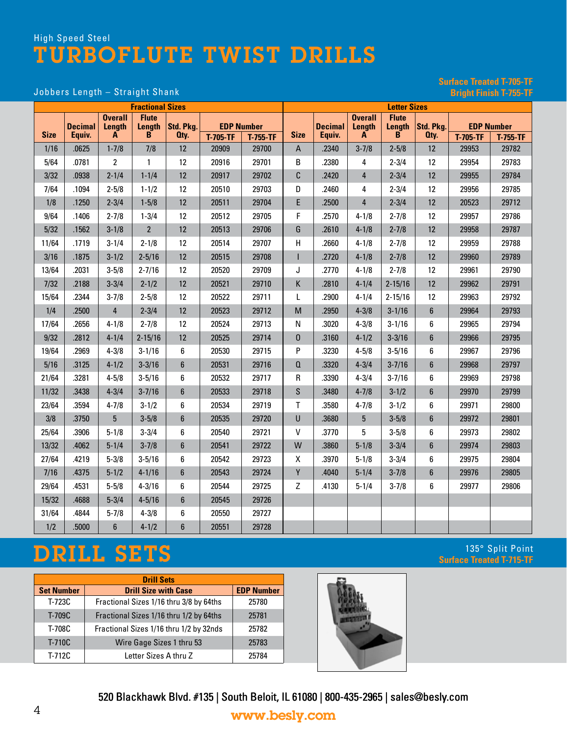# **Surface Treated T-705-TF**

#### Jobbers Length - Straight Shank

| <b>Fractional Sizes</b> |                                                                                                     |                                         |                                                  |                           |                 |                               |                                                                                            |                          |                               | <b>Letter Sizes</b>                      |                        |                 |                                                     |
|-------------------------|-----------------------------------------------------------------------------------------------------|-----------------------------------------|--------------------------------------------------|---------------------------|-----------------|-------------------------------|--------------------------------------------------------------------------------------------|--------------------------|-------------------------------|------------------------------------------|------------------------|-----------------|-----------------------------------------------------|
| <b>Size</b>             | <b>Decimal</b><br>Equiv.                                                                            | <b>Overall</b><br>Length<br>A           | <b>Flute</b><br>Length<br>$\mathbf{B}$           | Std. Pkg.<br>Oty.         | <b>T-705-TF</b> | <b>EDP Number</b><br>T-755-TF | <b>Size</b>                                                                                | <b>Decimal</b><br>Equiv. | <b>Overall</b><br>Length<br>A | <b>Flute</b><br>Length<br>$\overline{B}$ | Std. Pkg.<br>Oty.      | <b>T-705-TF</b> | <b>EDP Number</b><br>T-755-TF                       |
| 1/16                    | .0625                                                                                               | $1 - 7/8$                               | 7/8                                              | 12                        | 20909           | 29700                         | A                                                                                          | .2340                    | $3 - 7/8$                     | $2 - 5/8$                                | 12                     | 29953           | 29782                                               |
| 5/64                    | .0781                                                                                               | 2                                       | 1                                                | 12                        | 20916           | 29701                         | B                                                                                          | .2380                    | 4                             | $2 - 3/4$                                | 12                     | 29954           | 29783                                               |
| 3/32                    | .0938                                                                                               | $2 - 1/4$                               | $1 - 1/4$                                        | 12                        | 20917           | 29702                         | C                                                                                          | .2420                    | $\overline{4}$                | $2 - 3/4$                                | 12                     | 29955           | 29784                                               |
| 7/64                    | .1094                                                                                               | $2 - 5/8$                               | $1 - 1/2$                                        | 12                        | 20510           | 29703                         | D                                                                                          | .2460                    | 4                             | $2 - 3/4$                                | 12                     | 29956           | 29785                                               |
| 1/8                     | .1250                                                                                               | $2 - 3/4$                               | $1 - 5/8$                                        | 12                        | 20511           | 29704                         | E                                                                                          | .2500                    | $\overline{4}$                | $2 - 3/4$                                | 12                     | 20523           | 29712                                               |
| 9/64                    | .1406                                                                                               | $2 - 7/8$                               | $1 - 3/4$                                        | 12                        | 20512           | 29705                         | F                                                                                          | .2570                    | $4 - 1/8$                     | $2 - 7/8$                                | 12                     | 29957           | 29786                                               |
| 5/32                    | .1562                                                                                               | $3 - 1/8$                               | $\overline{2}$                                   | 12                        | 20513           | 29706                         | G                                                                                          | .2610                    | $4 - 1/8$                     | $2 - 7/8$                                | 12                     | 29958           | 29787                                               |
| 11/64                   | .1719                                                                                               | $3 - 1/4$                               | $2 - 1/8$                                        | 12                        | 20514           | 29707                         | Н                                                                                          | .2660                    | $4 - 1/8$                     | $2 - 7/8$                                | 12                     | 29959           | 29788                                               |
| 3/16                    | .1875                                                                                               | $3 - 1/2$                               | $2 - 5/16$                                       | 12                        | 20515           | 29708                         |                                                                                            | .2720                    | $4 - 1/8$                     | $2 - 7/8$                                | 12                     | 29960           | 29789                                               |
| 13/64                   | .2031                                                                                               | $3 - 5/8$                               | $2 - 7/16$                                       | 12                        | 20520           | 29709                         | J                                                                                          | .2770                    | $4 - 1/8$                     | $2 - 7/8$                                | 12                     | 29961           | 29790                                               |
| 7/32                    | .2188                                                                                               | $3 - 3/4$                               | $2 - 1/2$                                        | 12                        | 20521           | 29710                         | К                                                                                          | .2810                    | $4 - 1/4$                     | $2 - 15/16$                              | 12                     | 29962           | 29791                                               |
|                         | .2344                                                                                               |                                         |                                                  |                           |                 |                               |                                                                                            |                          |                               |                                          |                        |                 | 29792                                               |
| 15/64<br>1/4            | .2500                                                                                               | $3 - 7/8$<br>$\overline{\mathbf{4}}$    | $2 - 5/8$<br>$2 - 3/4$                           | 12<br>12                  | 20522<br>20523  | 29711<br>29712                | L<br>$\mathsf{M}% _{T}=\mathsf{M}_{T}\!\left( a,b\right) ,\ \mathsf{M}_{T}=\mathsf{M}_{T}$ | .2900<br>.2950           | $4 - 1/4$<br>$4 - 3/8$        | $2 - 15/16$<br>$3 - 1/16$                | 12<br>$\boldsymbol{6}$ | 29963<br>29964  | 29793                                               |
|                         |                                                                                                     |                                         |                                                  |                           |                 |                               |                                                                                            |                          |                               |                                          |                        |                 |                                                     |
| 17/64                   | .2656                                                                                               | $4 - 1/8$                               | $2 - 7/8$                                        | 12                        | 20524           | 29713                         | ${\sf N}$                                                                                  | .3020                    | $4 - 3/8$                     | $3 - 1/16$                               | 6                      | 29965           | 29794                                               |
| 9/32                    | .2812                                                                                               | $4 - 1/4$                               | $2 - 15/16$                                      | 12                        | 20525           | 29714                         | 0                                                                                          | .3160                    | $4 - 1/2$                     | $3 - 3/16$                               | $6\phantom{1}6$        | 29966           | 29795                                               |
| 19/64                   | .2969                                                                                               | $4 - 3/8$                               | $3 - 1/16$                                       | 6                         | 20530           | 29715                         | P                                                                                          | .3230                    | $4 - 5/8$                     | $3 - 5/16$                               | 6                      | 29967           | 29796                                               |
| 5/16                    | .3125                                                                                               | $4 - 1/2$                               | $3 - 3/16$                                       | $6\phantom{1}$            | 20531           | 29716                         | $\mathbf 0$                                                                                | .3320                    | $4 - 3/4$                     | $3 - 7/16$                               | $6\phantom{1}$         | 29968           | 29797                                               |
| 21/64                   | .3281                                                                                               | $4 - 5/8$                               | $3 - 5/16$                                       | 6                         | 20532           | 29717                         | R                                                                                          | .3390                    | $4 - 3/4$                     | $3 - 7/16$                               | 6                      | 29969           | 29798                                               |
| 11/32                   | .3438                                                                                               | $4 - 3/4$                               | $3 - 7/16$                                       | 6                         | 20533           | 29718                         | S                                                                                          | .3480                    | $4 - 7/8$                     | $3 - 1/2$                                | $6\phantom{1}$         | 29970           | 29799                                               |
| 23/64                   | .3594                                                                                               | $4 - 7/8$                               | $3 - 1/2$                                        | 6                         | 20534           | 29719                         | T                                                                                          | .3580                    | $4 - 7/8$                     | $3 - 1/2$                                | 6                      | 29971           | 29800                                               |
| 3/8                     | .3750                                                                                               | $5\phantom{.0}$                         | $3 - 5/8$                                        | 6                         | 20535           | 29720                         | U                                                                                          | .3680                    | $5\phantom{.0}$               | $3 - 5/8$                                | $6\phantom{1}$         | 29972           | 29801                                               |
| 25/64                   | .3906                                                                                               | $5 - 1/8$                               | $3 - 3/4$                                        | 6                         | 20540           | 29721                         | V                                                                                          | .3770                    | 5                             | $3 - 5/8$                                | 6                      | 29973           | 29802                                               |
| 13/32                   | .4062                                                                                               | $5 - 1/4$                               | $3 - 7/8$                                        | 6                         | 20541           | 29722                         | W                                                                                          | .3860                    | $5 - 1/8$                     | $3 - 3/4$                                | $6\phantom{1}$         | 29974           | 29803                                               |
| 27/64                   | .4219                                                                                               | $5 - 3/8$                               | $3 - 5/16$                                       | 6                         | 20542           | 29723                         | X                                                                                          | .3970                    | $5 - 1/8$                     | $3 - 3/4$                                | 6                      | 29975           | 29804                                               |
| 7/16                    | .4375                                                                                               | $5 - 1/2$                               | $4 - 1/16$                                       | $6\phantom{1}$            | 20543           | 29724                         | Υ                                                                                          | .4040                    | $5 - 1/4$                     | $3 - 7/8$                                | $6\phantom{1}6$        | 29976           | 29805                                               |
| 29/64                   | .4531                                                                                               | $5 - 5/8$                               | $4 - 3/16$                                       | 6                         | 20544           | 29725                         | Z                                                                                          | .4130                    | $5 - 1/4$                     | $3 - 7/8$                                | 6                      | 29977           | 29806                                               |
| 15/32                   | .4688                                                                                               | $5 - 3/4$                               | $4 - 5/16$                                       | 6                         | 20545           | 29726                         |                                                                                            |                          |                               |                                          |                        |                 |                                                     |
| 31/64                   | .4844                                                                                               | $5 - 7/8$                               | $4 - 3/8$                                        | 6                         | 20550           | 29727                         |                                                                                            |                          |                               |                                          |                        |                 |                                                     |
| 1/2                     | .5000                                                                                               | 6                                       | $4 - 1/2$                                        | 6                         | 20551           | 29728                         |                                                                                            |                          |                               |                                          |                        |                 |                                                     |
|                         |                                                                                                     | DRILL SETS                              |                                                  |                           |                 |                               |                                                                                            |                          |                               |                                          |                        |                 | 135° Split Point<br><b>Surface Treated T-715-TF</b> |
| <b>Set Number</b>       |                                                                                                     |                                         | <b>Drill Sets</b><br><b>Drill Size with Case</b> |                           |                 | <b>EDP Number</b>             |                                                                                            |                          |                               |                                          |                        |                 |                                                     |
| T-723C                  |                                                                                                     | Fractional Sizes 1/16 thru 3/8 by 64ths |                                                  |                           |                 | 25780                         |                                                                                            |                          |                               |                                          |                        |                 |                                                     |
| T-709C                  |                                                                                                     | Fractional Sizes 1/16 thru 1/2 by 64ths |                                                  |                           |                 | 25781                         |                                                                                            |                          |                               |                                          |                        |                 |                                                     |
| T-708C                  |                                                                                                     | Fractional Sizes 1/16 thru 1/2 by 32nds |                                                  |                           |                 | 25782                         |                                                                                            |                          |                               |                                          |                        |                 |                                                     |
| T-710C                  |                                                                                                     |                                         |                                                  | Wire Gage Sizes 1 thru 53 |                 | 25783                         |                                                                                            |                          |                               |                                          |                        |                 |                                                     |
| T-712C                  |                                                                                                     |                                         | Letter Sizes A thru Z                            |                           |                 | 25784                         |                                                                                            |                          |                               |                                          |                        |                 |                                                     |
|                         |                                                                                                     |                                         |                                                  |                           |                 |                               |                                                                                            |                          |                               |                                          |                        |                 |                                                     |
| 4                       | 520 Blackhawk Blvd. #135   South Beloit, IL 61080   800-435-2965   sales@besly.com<br>www.besly.com |                                         |                                                  |                           |                 |                               |                                                                                            |                          |                               |                                          |                        |                 |                                                     |
|                         |                                                                                                     |                                         |                                                  |                           |                 |                               |                                                                                            |                          |                               |                                          |                        |                 |                                                     |

# DRILL SETS

| <b>Drill Sets</b> |                                         |                   |  |  |  |  |  |  |  |  |
|-------------------|-----------------------------------------|-------------------|--|--|--|--|--|--|--|--|
| <b>Set Number</b> | <b>Drill Size with Case</b>             | <b>EDP Number</b> |  |  |  |  |  |  |  |  |
| T-723C            | Fractional Sizes 1/16 thru 3/8 by 64ths | 25780             |  |  |  |  |  |  |  |  |
| T-709C            | Fractional Sizes 1/16 thru 1/2 by 64ths | 25781             |  |  |  |  |  |  |  |  |
| T-708C            | Fractional Sizes 1/16 thru 1/2 by 32nds | 25782             |  |  |  |  |  |  |  |  |
| T-710C            | Wire Gage Sizes 1 thru 53               | 25783             |  |  |  |  |  |  |  |  |
| T-712C            | Letter Sizes A thru Z                   | 25784             |  |  |  |  |  |  |  |  |

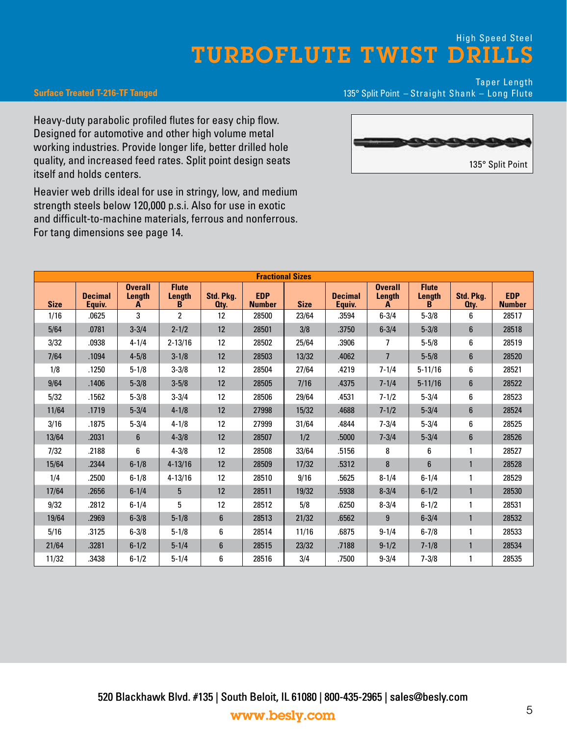#### **Surface Treated T-216-TF Tanged**

Taper Length 135° Split Point – Straight Shank – Long Flute

Heavy-duty parabolic profiled flutes for easy chip flow. Designed for automotive and other high volume metal working industries. Provide longer life, better drilled hole quality, and increased feed rates. Split point design seats itself and holds centers.

Heavier web drills ideal for use in stringy, low, and medium strength steels below 120,000 p.s.i. Also for use in exotic and difficult-to-machine materials, ferrous and nonferrous. For tang dimensions see page 14.



|             |                          |                               |                             |                   |                             | <b>Fractional Sizes</b> |                          |                               |                             |                   |                             |
|-------------|--------------------------|-------------------------------|-----------------------------|-------------------|-----------------------------|-------------------------|--------------------------|-------------------------------|-----------------------------|-------------------|-----------------------------|
| <b>Size</b> | <b>Decimal</b><br>Equiv. | <b>Overall</b><br>Lenath<br>A | <b>Flute</b><br>Length<br>B | Std. Pka.<br>Oty. | <b>EDP</b><br><b>Number</b> | <b>Size</b>             | <b>Decimal</b><br>Equiv. | <b>Overall</b><br>Length<br>A | <b>Flute</b><br>Length<br>в | Std. Pka.<br>Oty. | <b>EDP</b><br><b>Number</b> |
| 1/16        | .0625                    | 3                             | $\overline{c}$              | 12                | 28500                       | 23/64                   | .3594                    | $6 - 3/4$                     | $5 - 3/8$                   | 6                 | 28517                       |
| 5/64        | .0781                    | $3 - 3/4$                     | $2 - 1/2$                   | 12                | 28501                       | 3/8                     | .3750                    | $6 - 3/4$                     | $5 - 3/8$                   | $6\phantom{1}$    | 28518                       |
| 3/32        | .0938                    | $4 - 1/4$                     | $2 - 13/16$                 | 12                | 28502                       | 25/64                   | .3906                    | 7                             | $5 - 5/8$                   | 6                 | 28519                       |
| 7/64        | .1094                    | $4 - 5/8$                     | $3 - 1/8$                   | 12                | 28503                       | 13/32                   | .4062                    | $\overline{7}$                | $5 - 5/8$                   | 6                 | 28520                       |
| 1/8         | .1250                    | $5 - 1/8$                     | $3 - 3/8$                   | 12                | 28504                       | 27/64                   | .4219                    | $7 - 1/4$                     | $5 - 11/16$                 | 6                 | 28521                       |
| 9/64        | .1406                    | $5 - 3/8$                     | $3 - 5/8$                   | 12                | 28505                       | 7/16                    | .4375                    | $7 - 1/4$                     | $5 - 11/16$                 | $6\phantom{a}$    | 28522                       |
| 5/32        | .1562                    | $5 - 3/8$                     | $3 - 3/4$                   | 12                | 28506                       | 29/64                   | .4531                    | $7 - 1/2$                     | $5 - 3/4$                   | 6                 | 28523                       |
| 11/64       | .1719                    | $5 - 3/4$                     | $4 - 1/8$                   | 12                | 27998                       | 15/32                   | .4688                    | $7 - 1/2$                     | $5 - 3/4$                   | 6                 | 28524                       |
| 3/16        | .1875                    | $5 - 3/4$                     | $4 - 1/8$                   | 12                | 27999                       | 31/64                   | .4844                    | $7 - 3/4$                     | $5 - 3/4$                   | 6                 | 28525                       |
| 13/64       | .2031                    | $6\phantom{1}$                | $4 - 3/8$                   | 12                | 28507                       | 1/2                     | .5000                    | $7 - 3/4$                     | $5 - 3/4$                   | 6                 | 28526                       |
| 7/32        | .2188                    | 6                             | $4 - 3/8$                   | 12                | 28508                       | 33/64                   | .5156                    | 8                             | 6                           | 1                 | 28527                       |
| 15/64       | .2344                    | $6 - 1/8$                     | $4 - 13/16$                 | 12                | 28509                       | 17/32                   | .5312                    | 8                             | $6\phantom{1}$              | $\mathbf{1}$      | 28528                       |
| 1/4         | .2500                    | $6 - 1/8$                     | $4 - 13/16$                 | 12                | 28510                       | 9/16                    | .5625                    | $8 - 1/4$                     | $6 - 1/4$                   | 1                 | 28529                       |
| 17/64       | .2656                    | $6 - 1/4$                     | 5 <sup>5</sup>              | 12                | 28511                       | 19/32                   | .5938                    | $8 - 3/4$                     | $6 - 1/2$                   | $\mathbf{1}$      | 28530                       |
| 9/32        | .2812                    | $6 - 1/4$                     | 5                           | 12                | 28512                       | 5/8                     | .6250                    | $8 - 3/4$                     | $6 - 1/2$                   | 1                 | 28531                       |
| 19/64       | .2969                    | $6 - 3/8$                     | $5 - 1/8$                   | 6                 | 28513                       | 21/32                   | .6562                    | 9                             | $6 - 3/4$                   | 1                 | 28532                       |
| 5/16        | .3125                    | $6 - 3/8$                     | $5 - 1/8$                   | 6                 | 28514                       | 11/16                   | .6875                    | $9 - 1/4$                     | $6 - 7/8$                   | 1                 | 28533                       |
| 21/64       | .3281                    | $6 - 1/2$                     | $5 - 1/4$                   | $6\phantom{.}$    | 28515                       | 23/32                   | .7188                    | $9 - 1/2$                     | $7 - 1/8$                   | $\mathbf{1}$      | 28534                       |
| 11/32       | .3438                    | $6 - 1/2$                     | $5 - 1/4$                   | 6                 | 28516                       | 3/4                     | .7500                    | $9 - 3/4$                     | $7 - 3/8$                   | 1                 | 28535                       |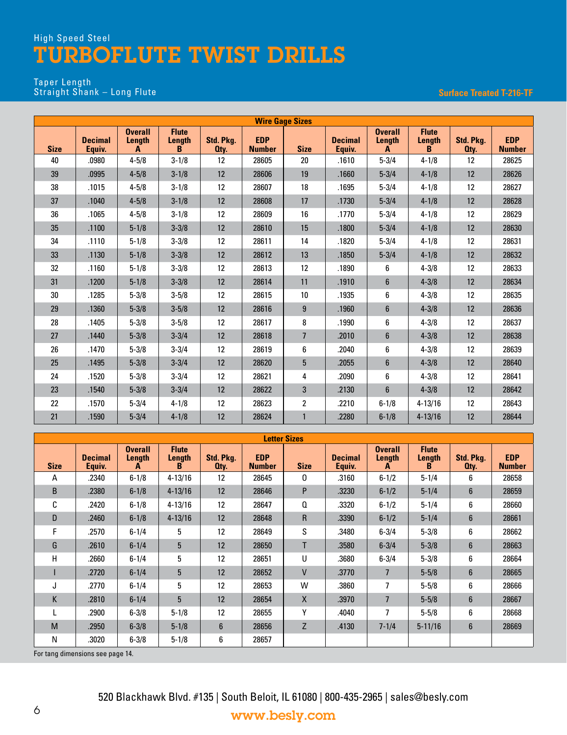#### Taper Length Straight Shank – Long Flute

#### **Surface Treated T-216-TF**

| <b>Wire Gage Sizes</b> |                          |                               |                             |                   |                             |                 |                          |                               |                             |                   |                             |
|------------------------|--------------------------|-------------------------------|-----------------------------|-------------------|-----------------------------|-----------------|--------------------------|-------------------------------|-----------------------------|-------------------|-----------------------------|
| <b>Size</b>            | <b>Decimal</b><br>Equiv. | <b>Overall</b><br>Length<br>A | <b>Flute</b><br>Length<br>B | Std. Pkg.<br>Oty. | <b>EDP</b><br><b>Number</b> | <b>Size</b>     | <b>Decimal</b><br>Equiv. | <b>Overall</b><br>Length<br>A | <b>Flute</b><br>Length<br>B | Std. Pkg.<br>Oty. | <b>EDP</b><br><b>Number</b> |
| 40                     | .0980                    | $4 - 5/8$                     | $3 - 1/8$                   | 12                | 28605                       | 20              | .1610                    | $5 - 3/4$                     | $4 - 1/8$                   | 12                | 28625                       |
| 39                     | .0995                    | $4 - 5/8$                     | $3 - 1/8$                   | 12                | 28606                       | 19              | .1660                    | $5 - 3/4$                     | $4 - 1/8$                   | 12                | 28626                       |
| 38                     | .1015                    | $4 - 5/8$                     | $3 - 1/8$                   | 12                | 28607                       | 18              | .1695                    | $5 - 3/4$                     | $4 - 1/8$                   | 12                | 28627                       |
| 37                     | .1040                    | $4 - 5/8$                     | $3 - 1/8$                   | 12                | 28608                       | 17              | .1730                    | $5 - 3/4$                     | $4 - 1/8$                   | 12                | 28628                       |
| 36                     | .1065                    | $4 - 5/8$                     | $3 - 1/8$                   | 12                | 28609                       | 16              | .1770                    | $5 - 3/4$                     | $4 - 1/8$                   | 12                | 28629                       |
| 35                     | .1100                    | $5 - 1/8$                     | $3 - 3/8$                   | 12                | 28610                       | 15              | .1800                    | $5 - 3/4$                     | $4 - 1/8$                   | 12                | 28630                       |
| 34                     | .1110                    | $5 - 1/8$                     | $3 - 3/8$                   | 12                | 28611                       | 14              | .1820                    | $5 - 3/4$                     | $4 - 1/8$                   | 12                | 28631                       |
| 33                     | .1130                    | $5 - 1/8$                     | $3 - 3/8$                   | 12                | 28612                       | 13              | .1850                    | $5 - 3/4$                     | $4 - 1/8$                   | 12                | 28632                       |
| 32                     | .1160                    | $5 - 1/8$                     | $3 - 3/8$                   | 12                | 28613                       | 12              | .1890                    | 6                             | $4 - 3/8$                   | 12                | 28633                       |
| 31                     | .1200                    | $5 - 1/8$                     | $3 - 3/8$                   | 12                | 28614                       | 11              | .1910                    | $6\phantom{1}$                | $4 - 3/8$                   | 12                | 28634                       |
| 30                     | .1285                    | $5 - 3/8$                     | $3 - 5/8$                   | 12                | 28615                       | 10 <sup>1</sup> | .1935                    | 6                             | $4 - 3/8$                   | 12                | 28635                       |
| 29                     | .1360                    | $5 - 3/8$                     | $3 - 5/8$                   | 12                | 28616                       | 9               | .1960                    | $6\phantom{1}$                | $4 - 3/8$                   | 12                | 28636                       |
| 28                     | .1405                    | $5 - 3/8$                     | $3 - 5/8$                   | 12                | 28617                       | 8               | .1990                    | 6                             | $4 - 3/8$                   | 12                | 28637                       |
| 27                     | .1440                    | $5 - 3/8$                     | $3 - 3/4$                   | 12                | 28618                       | $\overline{7}$  | .2010                    | $6\phantom{1}$                | $4 - 3/8$                   | 12                | 28638                       |
| 26                     | .1470                    | $5 - 3/8$                     | $3 - 3/4$                   | 12                | 28619                       | 6               | .2040                    | 6                             | $4 - 3/8$                   | 12                | 28639                       |
| 25                     | .1495                    | $5 - 3/8$                     | $3 - 3/4$                   | 12                | 28620                       | 5               | .2055                    | $6\phantom{.}$                | $4 - 3/8$                   | 12                | 28640                       |
| 24                     | .1520                    | $5 - 3/8$                     | $3 - 3/4$                   | 12                | 28621                       | 4               | .2090                    | 6                             | $4 - 3/8$                   | 12                | 28641                       |
| 23                     | .1540                    | $5 - 3/8$                     | $3 - 3/4$                   | 12                | 28622                       | 3               | .2130                    | $6\phantom{1}$                | $4 - 3/8$                   | 12                | 28642                       |
| 22                     | .1570                    | $5 - 3/4$                     | $4 - 1/8$                   | 12                | 28623                       | 2               | .2210                    | $6 - 1/8$                     | $4 - 13/16$                 | 12                | 28643                       |
| 21                     | .1590                    | $5 - 3/4$                     | $4 - 1/8$                   | 12                | 28624                       | $\mathbf{1}$    | .2280                    | $6 - 1/8$                     | $4 - 13/16$                 | 12                | 28644                       |

| <b>Size</b> | <b>Decimal</b><br>Equiv. | <b>Overall</b><br>Length<br>A | <b>Flute</b><br>Length<br>B | Std. Pkg.<br>Oty. | <b>EDP</b><br><b>Number</b> | <b>Size</b>  | <b>Decimal</b><br>Equiv. | <b>Overall</b><br>Length<br>A | <b>Flute</b><br>Length<br>в | Std. Pkg.<br>Oty. | <b>EDP</b><br><b>Number</b> |
|-------------|--------------------------|-------------------------------|-----------------------------|-------------------|-----------------------------|--------------|--------------------------|-------------------------------|-----------------------------|-------------------|-----------------------------|
| Α           | .2340                    | $6 - 1/8$                     | $4 - 13/16$                 | $12 \overline{ }$ | 28645                       | 0            | .3160                    | $6 - 1/2$                     | $5 - 1/4$                   | 6                 | 28658                       |
| B           | .2380                    | $6 - 1/8$                     | $4 - 13/16$                 | 12                | 28646                       | P            | .3230                    | $6 - 1/2$                     | $5 - 1/4$                   | $6\phantom{1}$    | 28659                       |
| C           | .2420                    | $6 - 1/8$                     | $4 - 13/16$                 | 12                | 28647                       | Q            | .3320                    | $6 - 1/2$                     | $5 - 1/4$                   | 6                 | 28660                       |
| D           | .2460                    | $6 - 1/8$                     | $4 - 13/16$                 | 12                | 28648                       | $\mathsf{R}$ | .3390                    | $6 - 1/2$                     | $5 - 1/4$                   | $6\phantom{1}$    | 28661                       |
| F           | .2570                    | $6 - 1/4$                     | 5                           | 12                | 28649                       | S            | .3480                    | $6 - 3/4$                     | $5 - 3/8$                   | 6                 | 28662                       |
| G           | .2610                    | $6 - 1/4$                     | 5                           | 12                | 28650                       | T            | .3580                    | $6 - 3/4$                     | $5 - 3/8$                   | $6\phantom{1}$    | 28663                       |
| Н           | .2660                    | $6 - 1/4$                     | 5                           | 12                | 28651                       | U            | .3680                    | $6 - 3/4$                     | $5 - 3/8$                   | 6                 | 28664                       |
|             | .2720                    | $6 - 1/4$                     | 5 <sup>1</sup>              | 12                | 28652                       | $\mathsf{V}$ | .3770                    | 7                             | $5 - 5/8$                   | $6\phantom{1}$    | 28665                       |
| J           | .2770                    | $6 - 1/4$                     | 5                           | 12                | 28653                       | W            | .3860                    | 7                             | $5 - 5/8$                   | 6                 | 28666                       |
| K           | .2810                    | $6 - 1/4$                     | 5                           | 12                | 28654                       | X            | .3970                    | $\overline{7}$                | $5 - 5/8$                   | $\boldsymbol{6}$  | 28667                       |
|             | .2900                    | $6 - 3/8$                     | $5 - 1/8$                   | 12                | 28655                       | γ            | .4040                    | 7                             | $5 - 5/8$                   | 6                 | 28668                       |
| M           | .2950                    | $6 - 3/8$                     | $5 - 1/8$                   | 6                 | 28656                       | Z            | .4130                    | $7 - 1/4$                     | $5 - 11/16$                 | $6\phantom{1}$    | 28669                       |
| N           | .3020                    | $6 - 3/8$                     | $5 - 1/8$                   | 6                 | 28657                       |              |                          |                               |                             |                   |                             |

For tang dimensions see page 14.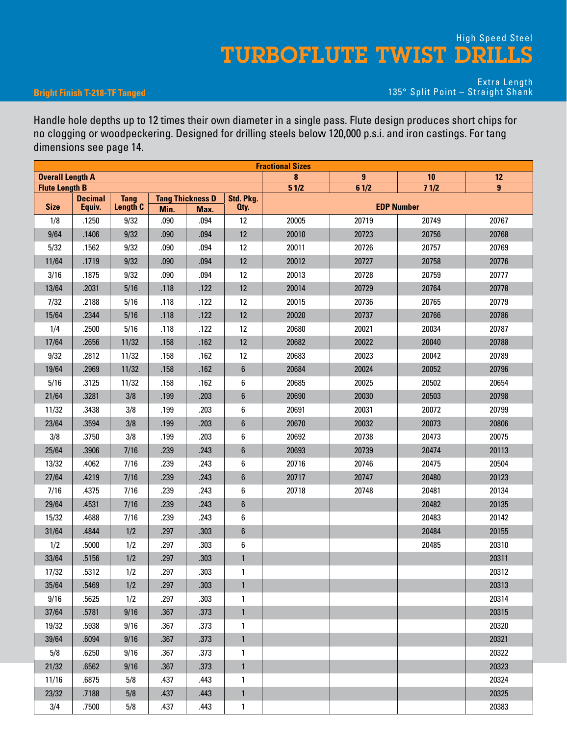#### **Bright Finish T-218-TF Tanged**

Extra Length 135° Split Point – Straight Shank

Handle hole depths up to 12 times their own diameter in a single pass. Flute design produces short chips for no clogging or woodpeckering. Designed for drilling steels below 120,000 p.s.i. and iron castings. For tang dimensions see page 14.

| <b>Overall Length A</b> |                |             |      |                                 |                   | 8     | $\overline{9}$ | 10                | 12    |
|-------------------------|----------------|-------------|------|---------------------------------|-------------------|-------|----------------|-------------------|-------|
| <b>Flute Length B</b>   | <b>Decimal</b> | <b>Tang</b> |      |                                 |                   | 51/2  | 61/2           | 71/2              | 9     |
| <b>Size</b>             | Equiv.         | Length C    | Min. | <b>Tang Thickness D</b><br>Max. | Std. Pkg.<br>Oty. |       |                | <b>EDP Number</b> |       |
| 1/8                     | .1250          | 9/32        | .090 | .094                            | 12                | 20005 | 20719          | 20749             | 20767 |
| 9/64                    | .1406          | 9/32        | .090 | .094                            | $12 \overline{ }$ | 20010 | 20723          | 20756             | 20768 |
| 5/32                    | .1562          | 9/32        | .090 | .094                            | 12                | 20011 | 20726          | 20757             | 20769 |
| 11/64                   | .1719          | 9/32        | .090 | .094                            | $12 \overline{ }$ | 20012 | 20727          | 20758             | 20776 |
| 3/16                    | .1875          | 9/32        | .090 | .094                            | 12                | 20013 | 20728          | 20759             | 20777 |
| 13/64                   | .2031          | 5/16        | .118 | .122                            | 12                | 20014 | 20729          | 20764             | 20778 |
| 7/32                    | .2188          | 5/16        | .118 | .122                            | 12                | 20015 | 20736          | 20765             | 20779 |
| 15/64                   | .2344          | 5/16        | .118 | .122                            | 12                | 20020 | 20737          | 20766             | 20786 |
| 1/4                     | .2500          | 5/16        | .118 | .122                            | 12                | 20680 | 20021          | 20034             | 20787 |
| 17/64                   | .2656          | 11/32       | .158 | .162                            | 12                | 20682 | 20022          | 20040             | 20788 |
| 9/32                    | .2812          | 11/32       | .158 | .162                            | 12                | 20683 | 20023          | 20042             | 20789 |
| 19/64                   | .2969          | 11/32       | .158 | .162                            | 6                 | 20684 | 20024          | 20052             | 20796 |
| 5/16                    | .3125          | 11/32       | .158 | .162                            | 6                 | 20685 | 20025          | 20502             | 20654 |
| 21/64                   | .3281          | 3/8         | .199 | .203                            | $\boldsymbol{6}$  | 20690 | 20030          | 20503             | 20798 |
| 11/32                   | .3438          | 3/8         | .199 | .203                            | 6                 | 20691 | 20031          | 20072             | 20799 |
| 23/64                   | .3594          | 3/8         | .199 | .203                            | $\boldsymbol{6}$  | 20670 | 20032          | 20073             | 20806 |
| 3/8                     | .3750          | 3/8         | .199 | .203                            | 6                 | 20692 | 20738          | 20473             | 20075 |
| 25/64                   | .3906          | 7/16        | .239 | .243                            | 6                 | 20693 | 20739          | 20474             | 20113 |
| 13/32                   | .4062          | 7/16        | .239 | .243                            | 6                 | 20716 | 20746          | 20475             | 20504 |
| 27/64                   | .4219          | 7/16        | .239 | .243                            | 6                 | 20717 | 20747          | 20480             | 20123 |
| 7/16                    | .4375          | 7/16        | .239 | .243                            | 6                 | 20718 | 20748          | 20481             | 20134 |
| 29/64                   | .4531          | 7/16        | .239 | .243                            | 6                 |       |                | 20482             | 20135 |
| 15/32                   | .4688          | 7/16        | .239 | .243                            | 6                 |       |                | 20483             | 20142 |
| 31/64                   | .4844          | 1/2         | .297 | .303                            | $\boldsymbol{6}$  |       |                | 20484             | 20155 |
| 1/2                     | .5000          | 1/2         | .297 | .303                            | 6                 |       |                | 20485             | 20310 |
| 33/64                   | .5156          | 1/2         | .297 | .303                            | $\mathbf{1}$      |       |                |                   | 20311 |
| 17/32                   | .5312          | 1/2         | .297 | .303                            | 1                 |       |                |                   | 20312 |
| 35/64                   | .5469          | 1/2         | .297 | .303                            | $\mathbf{1}$      |       |                |                   | 20313 |
| 9/16                    | .5625          | 1/2         | .297 | .303                            | 1                 |       |                |                   | 20314 |
| 37/64                   | .5781          | 9/16        | .367 | .373                            | $\mathbf{1}$      |       |                |                   | 20315 |
| 19/32                   | .5938          | 9/16        | .367 | .373                            | 1                 |       |                |                   | 20320 |
| 39/64                   | .6094          | 9/16        | .367 | .373                            | $\mathbf{1}$      |       |                |                   | 20321 |
| 5/8                     | .6250          | 9/16        | .367 | .373                            | 1                 |       |                |                   | 20322 |
| 21/32                   | .6562          | 9/16        | .367 | .373                            | $\mathbf{1}$      |       |                |                   | 20323 |
| 11/16                   | .6875          | 5/8         | .437 | .443                            | 1                 |       |                |                   | 20324 |
| 23/32                   | .7188          | 5/8         | .437 | .443                            | $\mathbf{1}$      |       |                |                   | 20325 |
| 3/4                     | .7500          | 5/8         | .437 | .443                            | $\mathbf{1}$      |       |                |                   | 20383 |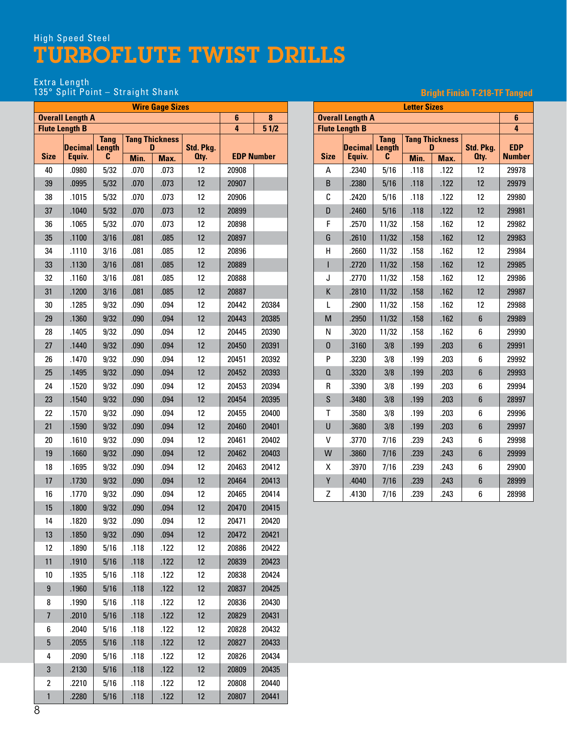#### Extra Length

#### 135° Split Point – Straight Shank

| <b>Wire Gage Sizes</b><br><b>Overall Length A</b> |                       |                              |      |                            |           |       |                   |  |  |  |  |  |
|---------------------------------------------------|-----------------------|------------------------------|------|----------------------------|-----------|-------|-------------------|--|--|--|--|--|
|                                                   |                       |                              |      |                            |           | 6     | 8                 |  |  |  |  |  |
|                                                   | <b>Flute Length B</b> |                              |      |                            |           | 4     | 51/2              |  |  |  |  |  |
|                                                   | Decimal               | <b>Tang</b><br><b>Length</b> |      | <b>Tang Thickness</b><br>D | Std. Pkg. |       |                   |  |  |  |  |  |
| <b>Size</b>                                       | Equiv.                | C                            | Min. | Max.                       | Oty.      |       | <b>EDP Number</b> |  |  |  |  |  |
| 40                                                | .0980                 | 5/32                         | .070 | .073                       | 12        | 20908 |                   |  |  |  |  |  |
| 39                                                | .0995                 | 5/32                         | .070 | .073                       | 12        | 20907 |                   |  |  |  |  |  |
| 38                                                | .1015                 | 5/32                         | .070 | .073                       | 12        | 20906 |                   |  |  |  |  |  |
| 37                                                | .1040                 | 5/32                         | .070 | .073                       | 12        | 20899 |                   |  |  |  |  |  |
| 36                                                | .1065                 | 5/32                         | .070 | .073                       | 12        | 20898 |                   |  |  |  |  |  |
| 35                                                | .1100                 | 3/16                         | .081 | .085                       | 12        | 20897 |                   |  |  |  |  |  |
| 34                                                | .1110                 | 3/16                         | .081 | .085                       | 12        | 20896 |                   |  |  |  |  |  |
| 33                                                | .1130                 | 3/16                         | .081 | .085                       | 12        | 20889 |                   |  |  |  |  |  |
| 32                                                | .1160                 | 3/16                         | .081 | .085                       | 12        | 20888 |                   |  |  |  |  |  |
| 31                                                | .1200                 | 3/16                         | .081 | .085                       | 12        | 20887 |                   |  |  |  |  |  |
| 30                                                | .1285                 | 9/32                         | .090 | .094                       | 12        | 20442 | 20384             |  |  |  |  |  |
| 29                                                | .1360                 | 9/32                         | .090 | .094                       | 12        | 20443 | 20385             |  |  |  |  |  |
| 28                                                | .1405                 | 9/32                         | .090 | .094                       | 12        | 20445 | 20390             |  |  |  |  |  |
| 27                                                | .1440                 | 9/32                         | .090 | .094                       | 12        | 20450 | 20391             |  |  |  |  |  |
| 26                                                | .1470                 | 9/32                         | .090 | .094                       | 12        | 20451 | 20392             |  |  |  |  |  |
| 25                                                | .1495                 | 9/32                         | .090 | .094                       | 12        | 20452 | 20393             |  |  |  |  |  |
| 24                                                | .1520                 | 9/32                         | .090 | .094                       | 12        | 20453 | 20394             |  |  |  |  |  |
| 23                                                | .1540                 | 9/32                         | .090 | .094                       | 12        | 20454 | 20395             |  |  |  |  |  |
| 22                                                | .1570                 | 9/32                         | .090 | .094                       | 12        | 20455 | 20400             |  |  |  |  |  |
| 21                                                | .1590                 | 9/32                         | .090 | .094                       | 12        | 20460 | 20401             |  |  |  |  |  |
| 20                                                | .1610                 | 9/32                         | .090 | .094                       | 12        | 20461 | 20402             |  |  |  |  |  |
| 19                                                | .1660                 | 9/32                         | .090 | .094                       | 12        | 20462 | 20403             |  |  |  |  |  |
| 18                                                | .1695                 | 9/32                         | .090 | .094                       | 12        | 20463 | 20412             |  |  |  |  |  |
| 17                                                | .1730                 | 9/32                         | .090 | .094                       | 12        | 20464 | 20413             |  |  |  |  |  |
| 16                                                | .1770                 | 9/32                         | .090 | .094                       | 12        | 20465 | 20414             |  |  |  |  |  |
| 15                                                | .1800                 | 9/32                         | .090 | .094                       | 12        | 20470 | 20415             |  |  |  |  |  |
| 14                                                | .1820                 | 9/32                         | .090 | .094                       | 12        | 20471 | 20420             |  |  |  |  |  |
| 13                                                | .1850                 | 9/32                         | .090 | .094                       | 12        | 20472 | 20421             |  |  |  |  |  |
| 12                                                | .1890                 | 5/16                         | .118 | .122                       | 12        | 20886 | 20422             |  |  |  |  |  |
| 11                                                | .1910                 | 5/16                         | .118 | .122                       | 12        | 20839 | 20423             |  |  |  |  |  |
| 10                                                | .1935                 | 5/16                         | .118 | .122                       | 12        | 20838 | 20424             |  |  |  |  |  |
| $\boldsymbol{9}$                                  | .1960                 | 5/16                         | .118 | .122                       | 12        | 20837 | 20425             |  |  |  |  |  |
| 8                                                 | .1990                 | 5/16                         | .118 | .122                       | 12        | 20836 | 20430             |  |  |  |  |  |
| $\overline{7}$                                    | .2010                 | 5/16                         | .118 | .122                       | 12        | 20829 | 20431             |  |  |  |  |  |
| 6                                                 | .2040                 | 5/16                         | .118 | .122                       | 12        | 20828 | 20432             |  |  |  |  |  |
| 5                                                 | .2055                 | 5/16                         | .118 | .122                       | 12        | 20827 | 20433             |  |  |  |  |  |
| 4                                                 | .2090                 | 5/16                         | .118 | .122                       | 12        | 20826 | 20434             |  |  |  |  |  |
| 3                                                 | .2130                 | 5/16                         | .118 | .122                       | 12        | 20809 | 20435             |  |  |  |  |  |
| 2                                                 | .2210                 | 5/16                         | .118 | .122                       | 12        | 20808 | 20440             |  |  |  |  |  |
| $\mathbf{1}$                                      | .2280                 | 5/16                         | .118 | .122                       | 12        | 20807 | 20441             |  |  |  |  |  |

#### **Letter Sizes Overall Length A 6 Flute Length B 4 Size Decimal Equiv. Tang Length C Tang Thickness D Std. Pkg. Qty. EDP Min. Max. Number** A | .2340 | 5/16 | .118 | .122 | 12 | 29978 B | .2380 | 5/16 | .118 | .122 | 12 | 29979 C | .2420 | 5/16 | .118 | .122 | 12 | 29980 D .2460 5/16 .118 .122 12 29981 F .2570 11/32 .158 .162 12 29982 G .2610 11/32 .158 .162 12 29983 H .2660 11/32 .158 .162 12 29984 I .2720 11/32 .158 .162 12 29985 J .2770 11/32 .158 .162 12 29986 K .2810 11/32 .158 .162 12 29987 L .2900 11/32 .158 .162 12 29988 M | .2950 | 11/32 | .158 | .162 | 6 | 29989 N .3020 11/32 .158 .162 6 29990 O .3160 3/8 .199 .203 6 29991 P | .3230 | 3/8 | .199 | .203 | 6 | 29992 Q | .3320 | 3/8 | .199 | .203 | 6 | 29993 R .3390 3/8 .199 .203 6 29994 S | .3480 | 3/8 | .199 | .203 | 6 | 28997 T | .3580 | 3/8 | .199 | .203 | 6 | 29996 U | .3680 | 3/8 | .199 | .203 | 6 | 29997 V | .3770 | 7/16 | .239 | .243 | 6 | 29998 W | .3860 | 7/16 | .239 | .243 | 6 | 29999 X .3970 7/16 .239 .243 6 29900 Y | .4040 | 7/16 | .239 | .243 | 6 | 28999 Z | .4130 | 7/16 | .239 | .243 | 6 | 28998

#### **Bright Finish T-218-TF Tanged**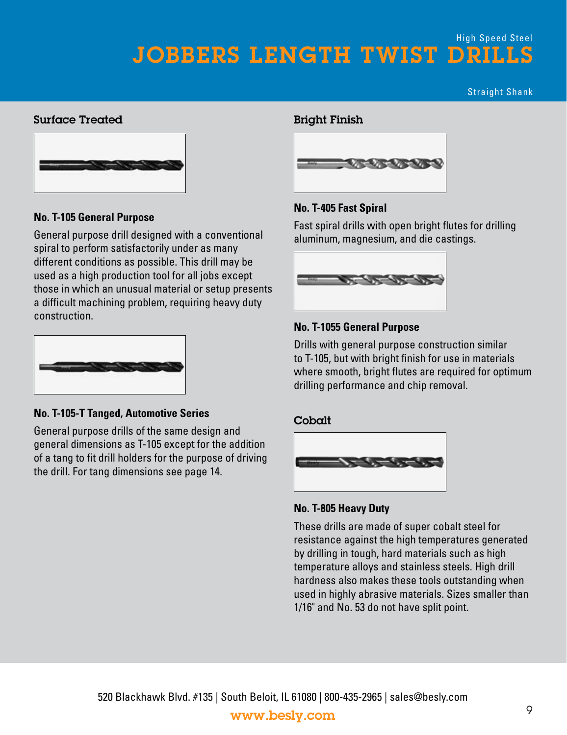Straight Shank

#### Surface Treated



#### **No. T-105 General Purpose**

General purpose drill designed with a conventional spiral to perform satisfactorily under as many different conditions as possible. This drill may be used as a high production tool for all jobs except those in which an unusual material or setup presents a difficult machining problem, requiring heavy duty construction.



#### **No. T-105-T Tanged, Automotive Series**

General purpose drills of the same design and general dimensions as T-105 except for the addition of a tang to fit drill holders for the purpose of driving the drill. For tang dimensions see page 14.

#### Bright Finish



#### **No. T-405 Fast Spiral**

Fast spiral drills with open bright flutes for drilling aluminum, magnesium, and die castings.



#### **No. T-1055 General Purpose**

Drills with general purpose construction similar to T-105, but with bright finish for use in materials where smooth, bright flutes are required for optimum drilling performance and chip removal.

#### Cobalt



#### **No. T-805 Heavy Duty**

These drills are made of super cobalt steel for resistance against the high temperatures generated by drilling in tough, hard materials such as high temperature alloys and stainless steels. High drill hardness also makes these tools outstanding when used in highly abrasive materials. Sizes smaller than 1/16" and No. 53 do not have split point.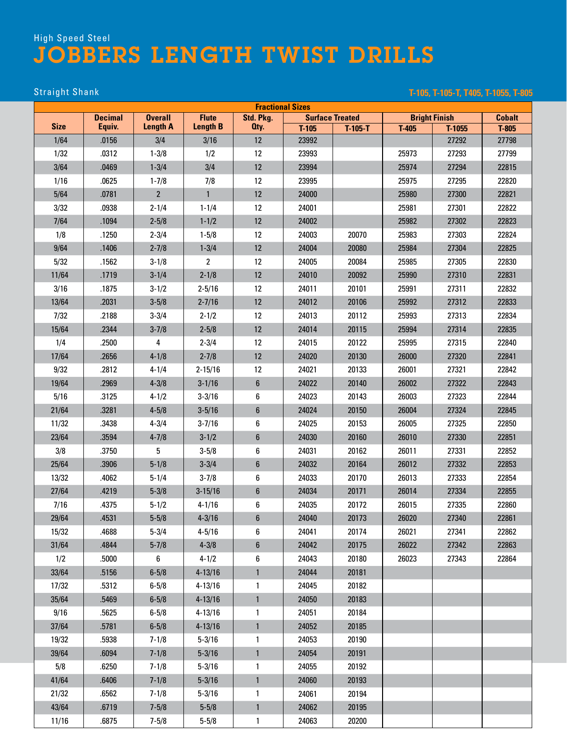Straight Shank **T-105, T-105-T, T405, T-1055, T-805**

|             |                          |                                   |                                 |                   | <b>Fractional Sizes</b> |           |         |                      |                  |
|-------------|--------------------------|-----------------------------------|---------------------------------|-------------------|-------------------------|-----------|---------|----------------------|------------------|
| <b>Size</b> | <b>Decimal</b><br>Equiv. | <b>Overall</b><br><b>Length A</b> | <b>Flute</b><br><b>Length B</b> | Std. Pkg.<br>Oty. | <b>Surface Treated</b>  |           |         | <b>Bright Finish</b> | <b>Cobalt</b>    |
| 1/64        | .0156                    | 3/4                               | 3/16                            | 12                | $T-105$<br>23992        | $T-105-T$ | $T-405$ | $T-1055$<br>27292    | $T-805$<br>27798 |
| 1/32        | .0312                    | $1 - 3/8$                         | 1/2                             | 12                | 23993                   |           | 25973   | 27293                | 27799            |
|             | .0469                    | $1 - 3/4$                         | 3/4                             | 12                | 23994                   |           | 25974   | 27294                | 22815            |
| 3/64        |                          |                                   |                                 | 12                |                         |           |         |                      |                  |
| 1/16        | .0625                    | $1 - 7/8$<br>$\overline{2}$       | 7/8                             | 12                | 23995                   |           | 25975   | 27295                | 22820            |
| 5/64        | .0781                    |                                   | $\mathbf{1}$                    |                   | 24000                   |           | 25980   | 27300                | 22821            |
| 3/32        | .0938                    | $2 - 1/4$                         | $1 - 1/4$                       | 12                | 24001                   |           | 25981   | 27301                | 22822            |
| 7/64        | .1094                    | $2 - 5/8$                         | $1 - 1/2$                       | 12                | 24002                   |           | 25982   | 27302                | 22823            |
| 1/8         | .1250                    | $2 - 3/4$                         | $1 - 5/8$                       | 12                | 24003                   | 20070     | 25983   | 27303                | 22824            |
| 9/64        | .1406                    | $2 - 7/8$                         | $1 - 3/4$                       | 12                | 24004                   | 20080     | 25984   | 27304                | 22825            |
| 5/32        | .1562                    | $3 - 1/8$                         | $\overline{2}$                  | 12                | 24005                   | 20084     | 25985   | 27305                | 22830            |
| 11/64       | .1719                    | $3 - 1/4$                         | $2 - 1/8$                       | 12                | 24010                   | 20092     | 25990   | 27310                | 22831            |
| 3/16        | .1875                    | $3 - 1/2$                         | $2 - 5/16$                      | 12                | 24011                   | 20101     | 25991   | 27311                | 22832            |
| 13/64       | .2031                    | $3 - 5/8$                         | $2 - 7/16$                      | 12                | 24012                   | 20106     | 25992   | 27312                | 22833            |
| 7/32        | .2188                    | $3 - 3/4$                         | $2 - 1/2$                       | 12                | 24013                   | 20112     | 25993   | 27313                | 22834            |
| 15/64       | .2344                    | $3 - 7/8$                         | $2 - 5/8$                       | 12                | 24014                   | 20115     | 25994   | 27314                | 22835            |
| 1/4         | .2500                    | 4                                 | $2 - 3/4$                       | 12                | 24015                   | 20122     | 25995   | 27315                | 22840            |
| 17/64       | .2656                    | $4 - 1/8$                         | $2 - 7/8$                       | 12                | 24020                   | 20130     | 26000   | 27320                | 22841            |
| 9/32        | .2812                    | $4 - 1/4$                         | $2 - 15/16$                     | 12                | 24021                   | 20133     | 26001   | 27321                | 22842            |
| 19/64       | .2969                    | $4 - 3/8$                         | $3 - 1/16$                      | $6\phantom{1}$    | 24022                   | 20140     | 26002   | 27322                | 22843            |
| 5/16        | .3125                    | $4 - 1/2$                         | $3 - 3/16$                      | 6                 | 24023                   | 20143     | 26003   | 27323                | 22844            |
| 21/64       | .3281                    | $4 - 5/8$                         | $3 - 5/16$                      | $6\phantom{.}$    | 24024                   | 20150     | 26004   | 27324                | 22845            |
| 11/32       | .3438                    | $4 - 3/4$                         | $3 - 7/16$                      | 6                 | 24025                   | 20153     | 26005   | 27325                | 22850            |
| 23/64       | .3594                    | $4 - 7/8$                         | $3 - 1/2$                       | $6\phantom{1}$    | 24030                   | 20160     | 26010   | 27330                | 22851            |
| 3/8         | .3750                    | 5                                 | $3 - 5/8$                       | 6                 | 24031                   | 20162     | 26011   | 27331                | 22852            |
| 25/64       | .3906                    | $5 - 1/8$                         | $3 - 3/4$                       | $6\phantom{.}$    | 24032                   | 20164     | 26012   | 27332                | 22853            |
| 13/32       | .4062                    | $5 - 1/4$                         | $3 - 7/8$                       | 6                 | 24033                   | 20170     | 26013   | 27333                | 22854            |
| 27/64       | .4219                    | $5 - 3/8$                         | $3 - 15/16$                     | $6\phantom{1}$    | 24034                   | 20171     | 26014   | 27334                | 22855            |
| 7/16        | .4375                    | $5 - 1/2$                         | $4 - 1/16$                      | 6                 | 24035                   | 20172     | 26015   | 27335                | 22860            |
| 29/64       | .4531                    | $5 - 5/8$                         | $4 - 3/16$                      | $\boldsymbol{6}$  | 24040                   | 20173     | 26020   | 27340                | 22861            |
| 15/32       | .4688                    | $5 - 3/4$                         | $4 - 5/16$                      | 6                 | 24041                   | 20174     | 26021   | 27341                | 22862            |
| 31/64       | .4844                    | $5 - 7/8$                         | $4 - 3/8$                       | 6                 | 24042                   | 20175     | 26022   | 27342                | 22863            |
| 1/2         | .5000                    | 6                                 | $4 - 1/2$                       | 6                 | 24043                   | 20180     | 26023   | 27343                | 22864            |
| 33/64       | .5156                    | $6 - 5/8$                         | $4 - 13/16$                     | $\mathbf{1}$      | 24044                   | 20181     |         |                      |                  |
| 17/32       | .5312                    | $6 - 5/8$                         | $4 - 13/16$                     | 1                 | 24045                   | 20182     |         |                      |                  |
| 35/64       | .5469                    | $6 - 5/8$                         | $4 - 13/16$                     | $\mathbf{1}$      | 24050                   | 20183     |         |                      |                  |
| 9/16        | .5625                    | $6 - 5/8$                         | $4 - 13/16$                     | 1                 | 24051                   | 20184     |         |                      |                  |
| 37/64       | .5781                    | $6 - 5/8$                         | $4 - 13/16$                     | $\mathbf{1}$      | 24052                   | 20185     |         |                      |                  |
| 19/32       | .5938                    | $7 - 1/8$                         | $5 - 3/16$                      | 1                 | 24053                   | 20190     |         |                      |                  |
| 39/64       | .6094                    | $7 - 1/8$                         | $5 - 3/16$                      | $\mathbf{1}$      | 24054                   | 20191     |         |                      |                  |
| 5/8         | .6250                    | $7 - 1/8$                         | $5 - 3/16$                      | 1                 | 24055                   | 20192     |         |                      |                  |
| 41/64       | .6406                    | $7 - 1/8$                         | $5 - 3/16$                      | $\mathbf{1}$      | 24060                   | 20193     |         |                      |                  |
| 21/32       | .6562                    | $7 - 1/8$                         | $5 - 3/16$                      | 1                 | 24061                   | 20194     |         |                      |                  |
| 43/64       | .6719                    | $7 - 5/8$                         | $5 - 5/8$                       | $\mathbf{1}$      | 24062                   | 20195     |         |                      |                  |
| 11/16       | .6875                    | $7 - 5/8$                         | $5 - 5/8$                       | $\mathbf{1}$      | 24063                   | 20200     |         |                      |                  |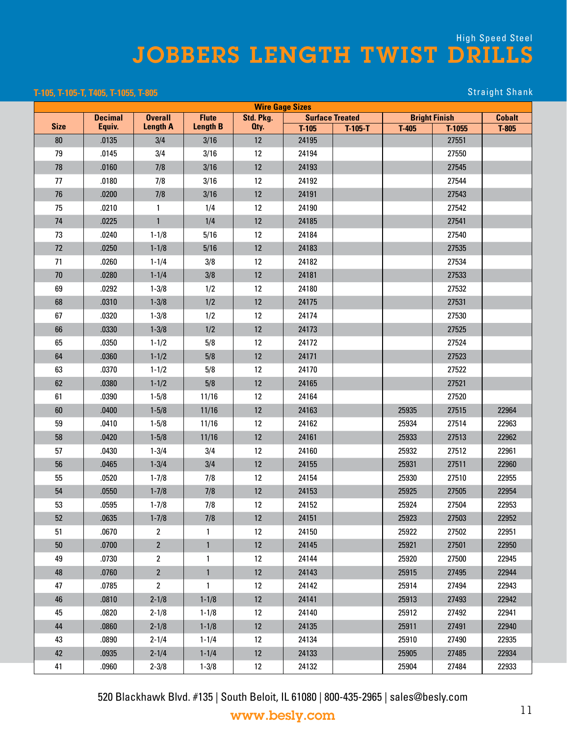#### **T-105, T-105-T, T405, T-1055, T-805** Straight Shank

|             |                |                 |                 |                   | <b>Wire Gage Sizes</b> |           |         |                      |               |  |
|-------------|----------------|-----------------|-----------------|-------------------|------------------------|-----------|---------|----------------------|---------------|--|
|             | <b>Decimal</b> | <b>Overall</b>  | <b>Flute</b>    | Std. Pkg.         | <b>Surface Treated</b> |           |         | <b>Bright Finish</b> | <b>Cobalt</b> |  |
| <b>Size</b> | Equiv.         | <b>Length A</b> | <b>Length B</b> | Oty.              | $T-105$                | $T-105-T$ | $T-405$ | $T-1055$             | $T-805$       |  |
| 80          | .0135          | 3/4             | 3/16            | 12                | 24195                  |           |         | 27551                |               |  |
| 79          | .0145          | 3/4             | 3/16            | 12                | 24194                  |           |         | 27550                |               |  |
| 78          | .0160          | 7/8             | 3/16            | 12                | 24193                  |           |         | 27545                |               |  |
| 77          | .0180          | 7/8             | 3/16            | 12                | 24192                  |           |         | 27544                |               |  |
| 76          | .0200          | 7/8             | 3/16            | 12                | 24191                  |           |         | 27543                |               |  |
| 75          | .0210          | $\mathbf{1}$    | 1/4             | 12                | 24190                  |           |         | 27542                |               |  |
| 74          | .0225          | $\mathbf{1}$    | 1/4             | 12                | 24185                  |           |         | 27541                |               |  |
| 73          | .0240          | $1 - 1/8$       | 5/16            | 12                | 24184                  |           |         | 27540                |               |  |
| 72          | .0250          | $1 - 1/8$       | 5/16            | 12                | 24183                  |           |         | 27535                |               |  |
| 71          | .0260          | $1 - 1/4$       | 3/8             | 12                | 24182                  |           |         | 27534                |               |  |
| 70          | .0280          | $1 - 1/4$       | 3/8             | 12                | 24181                  |           |         | 27533                |               |  |
| 69          | .0292          | $1 - 3/8$       | 1/2             | 12                | 24180                  |           |         | 27532                |               |  |
| 68          | .0310          | $1 - 3/8$       | 1/2             | 12                | 24175                  |           |         | 27531                |               |  |
| 67          | .0320          | $1 - 3/8$       | 1/2             | 12                | 24174                  |           |         | 27530                |               |  |
| 66          | .0330          | $1 - 3/8$       | 1/2             | 12                | 24173                  |           |         | 27525                |               |  |
| 65          | .0350          | $1 - 1/2$       | 5/8             | 12                | 24172                  |           |         | 27524                |               |  |
| 64          | .0360          | $1 - 1/2$       | 5/8             | $12 \,$           | 24171                  |           |         | 27523                |               |  |
| 63          | .0370          | $1 - 1/2$       | 5/8             | 12                | 24170                  |           |         | 27522                |               |  |
| 62          | .0380          | $1 - 1/2$       | 5/8             | 12                | 24165                  |           |         | 27521                |               |  |
| 61          | .0390          | $1 - 5/8$       | 11/16           | 12                | 24164                  |           |         | 27520                |               |  |
| 60          | .0400          | $1 - 5/8$       | 11/16           | $12 \,$           | 24163                  |           | 25935   | 27515                | 22964         |  |
| 59          | .0410          | $1 - 5/8$       | 11/16           | 12                | 24162                  |           | 25934   | 27514                | 22963         |  |
| 58          | .0420          | $1 - 5/8$       | 11/16           | 12                | 24161                  |           | 25933   | 27513                | 22962         |  |
| 57          | .0430          | $1 - 3/4$       | 3/4             | 12                | 24160                  |           | 25932   | 27512                | 22961         |  |
| 56          | .0465          | $1 - 3/4$       | 3/4             | $12 \,$           | 24155                  |           | 25931   | 27511                | 22960         |  |
| 55          | .0520          | $1 - 7/8$       | 7/8             | 12                | 24154                  |           | 25930   | 27510                | 22955         |  |
| 54          | .0550          | $1 - 7/8$       | 7/8             | $12 \,$           | 24153                  |           | 25925   | 27505                | 22954         |  |
| 53          | .0595          | $1 - 7/8$       | 7/8             | $12 \,$           | 24152                  |           | 25924   | 27504                | 22953         |  |
| 52          | .0635          | $1 - 7/8$       | 7/8             | $12 \,$           | 24151                  |           | 25923   | 27503                | 22952         |  |
| 51          | .0670          | $\overline{2}$  | 1               | $12 \overline{ }$ | 24150                  |           | 25922   | 27502                | 22951         |  |
| $50\,$      | .0700          | $\overline{2}$  | $\mathbf{1}$    | 12                | 24145                  |           | 25921   | 27501                | 22950         |  |
| 49          | .0730          | 2               | 1               | $12 \,$           | 24144                  |           | 25920   | 27500                | 22945         |  |
| 48          | .0760          | $\overline{2}$  | $\mathbf{1}$    | $12 \,$           | 24143                  |           | 25915   | 27495                | 22944         |  |
| 47          | .0785          | $\overline{2}$  | $\mathbf{1}$    | 12                | 24142                  |           | 25914   | 27494                | 22943         |  |
| 46          | .0810          | $2 - 1/8$       | $1 - 1/8$       | 12                | 24141                  |           | 25913   | 27493                | 22942         |  |
| 45          | .0820          | $2 - 1/8$       | $1 - 1/8$       | 12                | 24140                  |           | 25912   | 27492                | 22941         |  |
| 44          | .0860          | $2 - 1/8$       | $1 - 1/8$       | $12 \,$           | 24135                  |           | 25911   | 27491                | 22940         |  |
| 43          | .0890          | $2 - 1/4$       | $1 - 1/4$       | 12                | 24134                  |           | 25910   | 27490                | 22935         |  |
| 42          | .0935          | $2 - 1/4$       | $1 - 1/4$       | 12                | 24133                  |           | 25905   | 27485                | 22934         |  |
| 41          | .0960          | $2 - 3/8$       | $1 - 3/8$       | $12 \overline{ }$ | 24132                  |           | 25904   | 27484                | 22933         |  |

520 Blackhawk Blvd. #135 | South Beloit, IL 61080 | 800-435-2965 | sales@besly.com

www.besly.com 11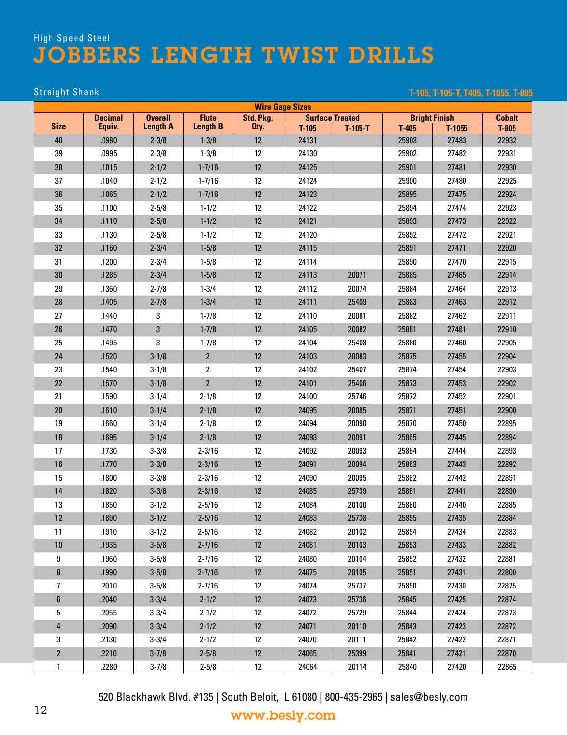### Straight Shank **T-105, T-105-T, T405, T-1055, T-805**

|                | <b>Wire Gage Sizes</b> |                 |                 |           |                        |           |         |                      |               |
|----------------|------------------------|-----------------|-----------------|-----------|------------------------|-----------|---------|----------------------|---------------|
|                | <b>Decimal</b>         | <b>Overall</b>  | <b>Flute</b>    | Std. Pkg. | <b>Surface Treated</b> |           |         | <b>Bright Finish</b> | <b>Cobalt</b> |
| <b>Size</b>    | Equiv.                 | <b>Length A</b> | <b>Length B</b> | Oty.      | $T-105$                | $T-105-T$ | $T-405$ | $T-1055$             | $T-805$       |
| 40             | .0980                  | $2 - 3/8$       | $1 - 3/8$       | 12        | 24131                  |           | 25903   | 27483                | 22932         |
| 39             | .0995                  | $2 - 3/8$       | $1 - 3/8$       | 12        | 24130                  |           | 25902   | 27482                | 22931         |
| 38             | .1015                  | $2 - 1/2$       | $1 - 7/16$      | 12        | 24125                  |           | 25901   | 27481                | 22930         |
| 37             | .1040                  | $2 - 1/2$       | $1 - 7/16$      | 12        | 24124                  |           | 25900   | 27480                | 22925         |
| 36             | .1065                  | $2 - 1/2$       | $1 - 7/16$      | 12        | 24123                  |           | 25895   | 27475                | 22924         |
| 35             | .1100                  | $2 - 5/8$       | $1 - 1/2$       | 12        | 24122                  |           | 25894   | 27474                | 22923         |
| 34             | .1110                  | $2 - 5/8$       | $1 - 1/2$       | 12        | 24121                  |           | 25893   | 27473                | 22922         |
| 33             | .1130                  | $2 - 5/8$       | $1 - 1/2$       | 12        | 24120                  |           | 25892   | 27472                | 22921         |
| 32             | .1160                  | $2 - 3/4$       | $1 - 5/8$       | 12        | 24115                  |           | 25891   | 27471                | 22920         |
| 31             | .1200                  | $2 - 3/4$       | $1 - 5/8$       | 12        | 24114                  |           | 25890   | 27470                | 22915         |
| 30             | .1285                  | $2 - 3/4$       | $1 - 5/8$       | 12        | 24113                  | 20071     | 25885   | 27465                | 22914         |
| 29             | .1360                  | $2 - 7/8$       | $1 - 3/4$       | 12        | 24112                  | 20074     | 25884   | 27464                | 22913         |
| 28             | .1405                  | $2 - 7/8$       | $1 - 3/4$       | 12        | 24111                  | 25409     | 25883   | 27463                | 22912         |
| 27             | .1440                  | 3               | $1 - 7/8$       | 12        | 24110                  | 20081     | 25882   | 27462                | 22911         |
| 26             | .1470                  | 3               | $1 - 7/8$       | 12        | 24105                  | 20082     | 25881   | 27461                | 22910         |
| 25             | .1495                  | 3               | $1 - 7/8$       | 12        | 24104                  | 25408     | 25880   | 27460                | 22905         |
| 24             | .1520                  | $3 - 1/8$       | $\overline{2}$  | 12        | 24103                  | 20083     | 25875   | 27455                | 22904         |
| 23             | .1540                  | $3 - 1/8$       | $\overline{2}$  | 12        | 24102                  | 25407     | 25874   | 27454                | 22903         |
| 22             | .1570                  | $3 - 1/8$       | $\overline{2}$  | 12        | 24101                  | 25406     | 25873   | 27453                | 22902         |
| 21             | .1590                  | $3 - 1/4$       | $2 - 1/8$       | 12        | 24100                  | 25746     | 25872   | 27452                | 22901         |
| 20             | .1610                  | $3 - 1/4$       | $2 - 1/8$       | 12        | 24095                  | 20085     | 25871   | 27451                | 22900         |
| 19             | .1660                  | $3 - 1/4$       | $2 - 1/8$       | 12        | 24094                  | 20090     | 25870   | 27450                | 22895         |
| 18             | .1695                  | $3 - 1/4$       | $2 - 1/8$       | 12        | 24093                  | 20091     | 25865   | 27445                | 22894         |
| 17             | .1730                  | $3 - 3/8$       | $2 - 3/16$      | 12        | 24092                  | 20093     | 25864   | 27444                | 22893         |
| 16             | .1770                  | $3 - 3/8$       | $2 - 3/16$      | 12        | 24091                  | 20094     | 25863   | 27443                | 22892         |
| 15             | .1800                  | $3 - 3/8$       | $2 - 3/16$      | 12        | 24090                  | 20095     | 25862   | 27442                | 22891         |
| 14             | .1820                  | $3 - 3/8$       | $2 - 3/16$      | 12        | 24085                  | 25739     | 25861   | 27441                | 22890         |
| 13             | .1850                  | $3 - 1/2$       | $2 - 5/16$      | 12        | 24084                  | 20100     | 25860   | 27440                | 22885         |
| 12             | .1890                  | $3 - 1/2$       | $2 - 5/16$      | 12        | 24083                  | 25738     | 25855   | 27435                | 22884         |
| 11             | .1910                  | $3 - 1/2$       | $2 - 5/16$      | 12        | 24082                  | 20102     | 25854   | 27434                | 22883         |
| $10\,$         | .1935                  | $3 - 5/8$       | $2 - 7/16$      | $12 \,$   | 24081                  | 20103     | 25853   | 27433                | 22882         |
| 9              | .1960                  | $3 - 5/8$       | $2 - 7/16$      | 12        | 24080                  | 20104     | 25852   | 27432                | 22881         |
| 8              | .1990                  | $3 - 5/8$       | $2 - 7/16$      | 12        | 24075                  | 20105     | 25851   | 27431                | 22800         |
| 7              | .2010                  | $3 - 5/8$       | $2 - 7/16$      | 12        | 24074                  | 25737     | 25850   | 27430                | 22875         |
| 6              | .2040                  | $3 - 3/4$       | $2 - 1/2$       | 12        | 24073                  | 25736     | 25845   | 27425                | 22874         |
| 5              | .2055                  | $3 - 3/4$       | $2 - 1/2$       | 12        | 24072                  | 25729     | 25844   | 27424                | 22873         |
| $\overline{4}$ | .2090                  | $3 - 3/4$       | $2 - 1/2$       | $12\,$    | 24071                  | 20110     | 25843   | 27423                | 22872         |
| 3              | .2130                  | $3 - 3/4$       | $2 - 1/2$       | 12        | 24070                  | 20111     | 25842   | 27422                | 22871         |
| $\mathbf{2}$   | .2210                  | $3 - 7/8$       | $2 - 5/8$       | 12        | 24065                  | 25399     | 25841   | 27421                | 22870         |
| $\mathbf{1}$   | .2280                  | $3 - 7/8$       | $2 - 5/8$       | 12        | 24064                  | 20114     | 25840   | 27420                | 22865         |
|                |                        |                 |                 |           |                        |           |         |                      |               |

520 Blackhawk Blvd. #135 | South Beloit, IL 61080 | 800-435-2965 | sales@besly.com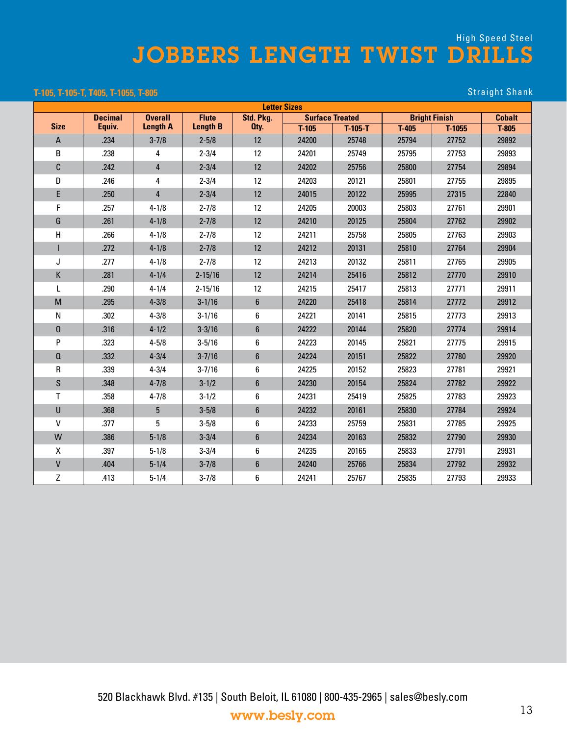#### **T-105, T-105-T, T405, T-1055, T-805** Straight Shank

|              | <b>Letter Sizes</b><br><b>Decimal</b><br><b>Overall</b><br><b>Flute</b><br>Std. Pkg.<br><b>Bright Finish</b><br><b>Cobalt</b><br><b>Surface Treated</b><br><b>Size</b> |                 |                 |                |         |           |         |        |         |  |  |  |  |  |
|--------------|------------------------------------------------------------------------------------------------------------------------------------------------------------------------|-----------------|-----------------|----------------|---------|-----------|---------|--------|---------|--|--|--|--|--|
|              |                                                                                                                                                                        |                 |                 |                |         |           |         |        |         |  |  |  |  |  |
|              | Equiv.                                                                                                                                                                 | <b>Length A</b> | <b>Length B</b> | Oty.           | $T-105$ | $T-105-T$ | $T-405$ | T-1055 | $T-805$ |  |  |  |  |  |
| A            | .234                                                                                                                                                                   | $3 - 7/8$       | $2 - 5/8$       | 12             | 24200   | 25748     | 25794   | 27752  | 29892   |  |  |  |  |  |
| B            | .238                                                                                                                                                                   | 4               | $2 - 3/4$       | 12             | 24201   | 25749     | 25795   | 27753  | 29893   |  |  |  |  |  |
| C            | .242                                                                                                                                                                   | $\overline{4}$  | $2 - 3/4$       | 12             | 24202   | 25756     | 25800   | 27754  | 29894   |  |  |  |  |  |
| D            | .246                                                                                                                                                                   | 4               | $2 - 3/4$       | 12             | 24203   | 20121     | 25801   | 27755  | 29895   |  |  |  |  |  |
| E            | .250                                                                                                                                                                   | $\overline{4}$  | $2 - 3/4$       | 12             | 24015   | 20122     | 25995   | 27315  | 22840   |  |  |  |  |  |
| F            | .257                                                                                                                                                                   | $4 - 1/8$       | $2 - 7/8$       | 12             | 24205   | 20003     | 25803   | 27761  | 29901   |  |  |  |  |  |
| G            | .261                                                                                                                                                                   | $4 - 1/8$       | $2 - 7/8$       | 12             | 24210   | 20125     | 25804   | 27762  | 29902   |  |  |  |  |  |
| H            | .266                                                                                                                                                                   | $4 - 1/8$       | $2 - 7/8$       | 12             | 24211   | 25758     | 25805   | 27763  | 29903   |  |  |  |  |  |
|              | .272                                                                                                                                                                   | $4 - 1/8$       | $2 - 7/8$       | 12             | 24212   | 20131     | 25810   | 27764  | 29904   |  |  |  |  |  |
| J            | .277                                                                                                                                                                   | $4 - 1/8$       | $2 - 7/8$       | 12             | 24213   | 20132     | 25811   | 27765  | 29905   |  |  |  |  |  |
| K            | .281                                                                                                                                                                   | $4 - 1/4$       | $2 - 15/16$     | 12             | 24214   | 25416     | 25812   | 27770  | 29910   |  |  |  |  |  |
| L            | .290                                                                                                                                                                   | $4 - 1/4$       | $2 - 15/16$     | 12             | 24215   | 25417     | 25813   | 27771  | 29911   |  |  |  |  |  |
| M            | .295                                                                                                                                                                   | $4 - 3/8$       | $3 - 1/16$      | $6\phantom{1}$ | 24220   | 25418     | 25814   | 27772  | 29912   |  |  |  |  |  |
| N            | .302                                                                                                                                                                   | $4 - 3/8$       | $3 - 1/16$      | 6              | 24221   | 20141     | 25815   | 27773  | 29913   |  |  |  |  |  |
| 0            | .316                                                                                                                                                                   | $4 - 1/2$       | $3 - 3/16$      | $6\phantom{.}$ | 24222   | 20144     | 25820   | 27774  | 29914   |  |  |  |  |  |
| P            | .323                                                                                                                                                                   | $4 - 5/8$       | $3 - 5/16$      | 6              | 24223   | 20145     | 25821   | 27775  | 29915   |  |  |  |  |  |
| $\Omega$     | .332                                                                                                                                                                   | $4 - 3/4$       | $3 - 7/16$      | $6\phantom{a}$ | 24224   | 20151     | 25822   | 27780  | 29920   |  |  |  |  |  |
| R            | .339                                                                                                                                                                   | $4 - 3/4$       | $3 - 7/16$      | 6              | 24225   | 20152     | 25823   | 27781  | 29921   |  |  |  |  |  |
| S            | .348                                                                                                                                                                   | $4 - 7/8$       | $3 - 1/2$       | $6\phantom{1}$ | 24230   | 20154     | 25824   | 27782  | 29922   |  |  |  |  |  |
| T            | .358                                                                                                                                                                   | $4 - 7/8$       | $3 - 1/2$       | 6              | 24231   | 25419     | 25825   | 27783  | 29923   |  |  |  |  |  |
| U            | .368                                                                                                                                                                   | $5\phantom{.0}$ | $3 - 5/8$       | $6\phantom{1}$ | 24232   | 20161     | 25830   | 27784  | 29924   |  |  |  |  |  |
| $\mathsf{V}$ | .377                                                                                                                                                                   | 5               | $3 - 5/8$       | 6              | 24233   | 25759     | 25831   | 27785  | 29925   |  |  |  |  |  |
| W            | .386                                                                                                                                                                   | $5 - 1/8$       | $3 - 3/4$       | $6\phantom{1}$ | 24234   | 20163     | 25832   | 27790  | 29930   |  |  |  |  |  |
| X            | .397                                                                                                                                                                   | $5 - 1/8$       | $3 - 3/4$       | 6              | 24235   | 20165     | 25833   | 27791  | 29931   |  |  |  |  |  |
| V            | .404                                                                                                                                                                   | $5 - 1/4$       | $3 - 7/8$       | $6\phantom{1}$ | 24240   | 25766     | 25834   | 27792  | 29932   |  |  |  |  |  |
| Z            | .413                                                                                                                                                                   | $5 - 1/4$       | $3 - 7/8$       | 6              | 24241   | 25767     | 25835   | 27793  | 29933   |  |  |  |  |  |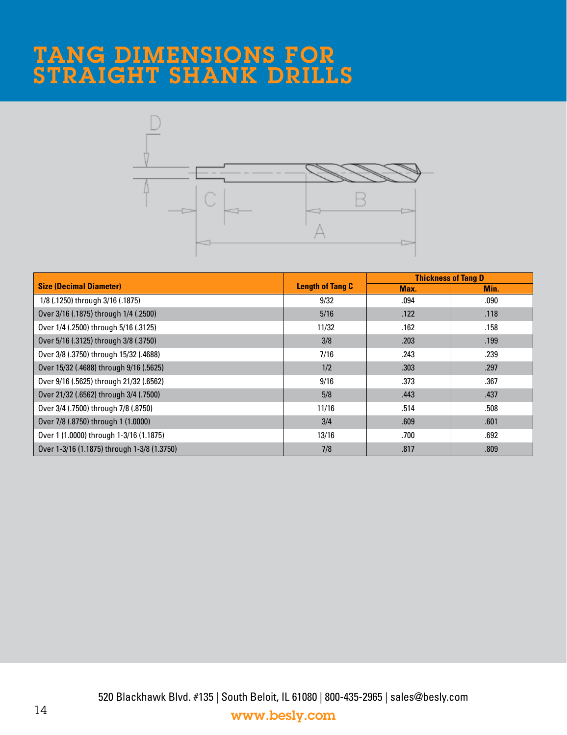# TANG DIMENSIONS FOR STRAIGHT SHANK DRILLS



|                                             |                         |      | <b>Thickness of Tang D</b> |
|---------------------------------------------|-------------------------|------|----------------------------|
| <b>Size (Decimal Diameter)</b>              | <b>Length of Tang C</b> | Max. | Min.                       |
| 1/8 (.1250) through 3/16 (.1875)            | 9/32                    | .094 | .090                       |
| Over 3/16 (.1875) through 1/4 (.2500)       | 5/16                    | .122 | .118                       |
| Over 1/4 (.2500) through 5/16 (.3125)       | 11/32                   | .162 | .158                       |
| Over 5/16 (.3125) through 3/8 (.3750)       | 3/8                     | .203 | .199                       |
| Over 3/8 (.3750) through 15/32 (.4688)      | 7/16                    | .243 | .239                       |
| Over 15/32 (.4688) through 9/16 (.5625)     | 1/2                     | .303 | .297                       |
| Over 9/16 (.5625) through 21/32 (.6562)     | 9/16                    | .373 | .367                       |
| Over 21/32 (.6562) through 3/4 (.7500)      | 5/8                     | .443 | .437                       |
| Over 3/4 (.7500) through 7/8 (.8750)        | 11/16                   | .514 | .508                       |
| Over 7/8 (.8750) through 1 (1.0000)         | 3/4                     | .609 | .601                       |
| Over 1 (1.0000) through 1-3/16 (1.1875)     | 13/16                   | .700 | .692                       |
| Over 1-3/16 (1.1875) through 1-3/8 (1.3750) | 7/8                     | .817 | .809                       |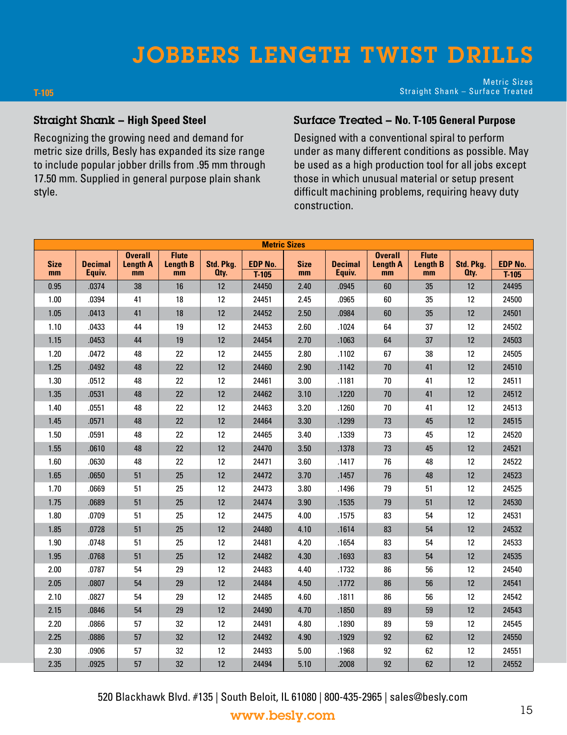# JOBBERS LENGTH TWIST DRILLS

**T-105**

Metric Sizes Straight Shank – Surface Treated

#### Straight Shank – **High Speed Steel**

Recognizing the growing need and demand for metric size drills, Besly has expanded its size range to include popular jobber drills from .95 mm through 17.50 mm. Supplied in general purpose plain shank style.

### Surface Treated – **No. T-105 General Purpose**

Designed with a conventional spiral to perform under as many different conditions as possible. May be used as a high production tool for all jobs except those in which unusual material or setup present difficult machining problems, requiring heavy duty construction.

| <b>Metric Sizes</b><br><b>Overall</b><br><b>Overall</b><br><b>Flute</b><br><b>Flute</b> |                          |                       |                       |                   |                           |                   |                          |                       |                       |                   |                           |
|-----------------------------------------------------------------------------------------|--------------------------|-----------------------|-----------------------|-------------------|---------------------------|-------------------|--------------------------|-----------------------|-----------------------|-------------------|---------------------------|
| <b>Size</b><br>mm                                                                       | <b>Decimal</b><br>Equiv. | <b>Length A</b><br>mm | <b>Length B</b><br>mm | Std. Pkg.<br>Oty. | <b>EDP No.</b><br>$T-105$ | <b>Size</b><br>mm | <b>Decimal</b><br>Equiv. | <b>Length A</b><br>mm | <b>Length B</b><br>mm | Std. Pkg.<br>Oty. | <b>EDP No.</b><br>$T-105$ |
| 0.95                                                                                    | .0374                    | 38                    | 16                    | 12                | 24450                     | 2.40              | .0945                    | 60                    | 35                    | 12                | 24495                     |
| 1.00                                                                                    | .0394                    | 41                    | $18\,$                | 12                | 24451                     | 2.45              | .0965                    | 60                    | 35                    | 12                | 24500                     |
| 1.05                                                                                    | .0413                    | 41                    | 18                    | 12                | 24452                     | 2.50              | .0984                    | 60                    | 35                    | $12 \,$           | 24501                     |
| 1.10                                                                                    | .0433                    | 44                    | 19                    | 12                | 24453                     | 2.60              | .1024                    | 64                    | 37                    | 12                | 24502                     |
| 1.15                                                                                    | .0453                    | 44                    | 19                    | 12                | 24454                     | 2.70              | .1063                    | 64                    | 37                    | $12 \,$           | 24503                     |
| 1.20                                                                                    | .0472                    | 48                    | 22                    | 12                | 24455                     | 2.80              | .1102                    | 67                    | 38                    | 12                | 24505                     |
| 1.25                                                                                    | .0492                    | 48                    | 22                    | 12                | 24460                     | 2.90              | .1142                    | 70                    | 41                    | 12                | 24510                     |
| 1.30                                                                                    | .0512                    | 48                    | 22                    | 12                | 24461                     | 3.00              | .1181                    | $70$                  | 41                    | 12                | 24511                     |
| 1.35                                                                                    | .0531                    | 48                    | 22                    | 12                | 24462                     | 3.10              | .1220                    | $70\,$                | 41                    | $12 \overline{ }$ | 24512                     |
| 1.40                                                                                    | .0551                    | 48                    | 22                    | 12                | 24463                     | 3.20              | .1260                    | 70                    | 41                    | 12                | 24513                     |
| 1.45                                                                                    | .0571                    | 48                    | 22                    | $12 \,$           | 24464                     | 3.30              | .1299                    | 73                    | 45                    | $12 \,$           | 24515                     |
| 1.50                                                                                    | .0591                    | 48                    | 22                    | 12                | 24465                     | 3.40              | .1339                    | 73                    | 45                    | 12                | 24520                     |
| 1.55                                                                                    | .0610                    | 48                    | 22                    | $12 \overline{ }$ | 24470                     | 3.50              | .1378                    | 73                    | 45                    | 12                | 24521                     |
| 1.60                                                                                    | .0630                    | 48                    | 22                    | 12                | 24471                     | 3.60              | .1417                    | 76                    | 48                    | 12                | 24522                     |
| 1.65                                                                                    | .0650                    | 51                    | 25                    | 12                | 24472                     | 3.70              | .1457                    | 76                    | 48                    | $12 \overline{ }$ | 24523                     |
| 1.70                                                                                    | .0669                    | 51                    | 25                    | 12                | 24473                     | 3.80              | .1496                    | 79                    | 51                    | 12                | 24525                     |
| 1.75                                                                                    | .0689                    | 51                    | 25                    | 12                | 24474                     | 3.90              | .1535                    | 79                    | 51                    | 12                | 24530                     |
| 1.80                                                                                    | .0709                    | 51                    | 25                    | 12                | 24475                     | 4.00              | .1575                    | 83                    | 54                    | 12                | 24531                     |
| 1.85                                                                                    | .0728                    | 51                    | 25                    | 12                | 24480                     | 4.10              | .1614                    | 83                    | 54                    | 12                | 24532                     |
| 1.90                                                                                    | .0748                    | 51                    | 25                    | 12                | 24481                     | 4.20              | .1654                    | 83                    | 54                    | 12                | 24533                     |
| 1.95                                                                                    | .0768                    | 51                    | 25                    | 12                | 24482                     | 4.30              | .1693                    | 83                    | 54                    | 12                | 24535                     |
| 2.00                                                                                    | .0787                    | 54                    | 29                    | 12                | 24483                     | 4.40              | .1732                    | 86                    | 56                    | 12                | 24540                     |
| 2.05                                                                                    | .0807                    | 54                    | 29                    | 12                | 24484                     | 4.50              | .1772                    | 86                    | 56                    | 12                | 24541                     |
| 2.10                                                                                    | .0827                    | 54                    | 29                    | 12                | 24485                     | 4.60              | .1811                    | 86                    | 56                    | 12                | 24542                     |
| 2.15                                                                                    | .0846                    | 54                    | 29                    | 12                | 24490                     | 4.70              | .1850                    | 89                    | 59                    | 12                | 24543                     |
| 2.20                                                                                    | .0866                    | 57                    | 32                    | 12                | 24491                     | 4.80              | .1890                    | 89                    | 59                    | 12                | 24545                     |
| 2.25                                                                                    | .0886                    | 57                    | 32                    | 12                | 24492                     | 4.90              | .1929                    | 92                    | 62                    | 12                | 24550                     |
| 2.30                                                                                    | .0906                    | 57                    | 32                    | 12                | 24493                     | 5.00              | .1968                    | 92                    | 62                    | 12                | 24551                     |
| 2.35                                                                                    | .0925                    | 57                    | 32                    | 12                | 24494                     | 5.10              | .2008                    | 92                    | 62                    | 12                | 24552                     |

520 Blackhawk Blvd. #135 | South Beloit, IL 61080 | 800-435-2965 | sales@besly.com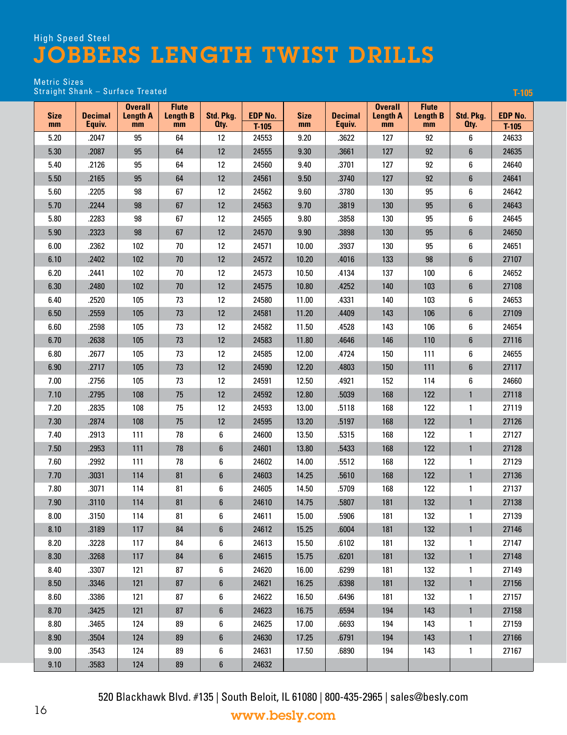**T-105**

#### Metric Sizes Straight Shank – Surface Treated

| <b>Size</b><br>mm | <b>Decimal</b><br>Equiv. | <b>Overall</b><br><b>Length A</b><br>mm | <b>Flute</b><br><b>Length B</b><br>mm | Std. Pkg.<br>Oty. | <b>EDP No.</b><br>$T-105$ | <b>Size</b><br>mm | <b>Decimal</b><br>Equiv. | <b>Overall</b><br><b>Length A</b><br>mm | <b>Flute</b><br><b>Length B</b><br>mm | Std. Pkg.<br>Oty. | <b>EDP No.</b><br>$T-105$ |
|-------------------|--------------------------|-----------------------------------------|---------------------------------------|-------------------|---------------------------|-------------------|--------------------------|-----------------------------------------|---------------------------------------|-------------------|---------------------------|
| 5.20              | .2047                    | 95                                      | 64                                    | 12                | 24553                     | 9.20              | .3622                    | 127                                     | 92                                    | 6                 | 24633                     |
| 5.30              | .2087                    | 95                                      | 64                                    | 12                | 24555                     | 9.30              | .3661                    | 127                                     | 92                                    | 6                 | 24635                     |
| 5.40              | .2126                    | 95                                      | 64                                    | 12                | 24560                     | 9.40              | .3701                    | 127                                     | 92                                    | 6                 | 24640                     |
| 5.50              | .2165                    | 95                                      | 64                                    | 12                | 24561                     | 9.50              | .3740                    | 127                                     | 92                                    | 6                 | 24641                     |
| 5.60              | .2205                    | 98                                      | 67                                    | 12                | 24562                     | 9.60              | .3780                    | 130                                     | 95                                    | 6                 | 24642                     |
| 5.70              | .2244                    | 98                                      | 67                                    | 12                | 24563                     | 9.70              | .3819                    | 130                                     | 95                                    | 6                 | 24643                     |
| 5.80              | .2283                    | 98                                      | 67                                    | 12                | 24565                     | 9.80              | .3858                    | 130                                     | 95                                    | 6                 | 24645                     |
| 5.90              | .2323                    | 98                                      | 67                                    | 12                | 24570                     | 9.90              | .3898                    | 130                                     | 95                                    | 6                 | 24650                     |
| 6.00              | .2362                    | 102                                     | 70                                    | 12                | 24571                     | 10.00             | .3937                    | 130                                     | 95                                    | 6                 | 24651                     |
| 6.10              | .2402                    | 102                                     | 70                                    | 12                | 24572                     | 10.20             | .4016                    | 133                                     | 98                                    | 6                 | 27107                     |
| 6.20              | .2441                    | 102                                     | 70                                    | 12                | 24573                     | 10.50             | .4134                    | 137                                     | 100                                   | 6                 | 24652                     |
| 6.30              | .2480                    | 102                                     | 70                                    | 12                | 24575                     | 10.80             | .4252                    | 140                                     | 103                                   | 6                 | 27108                     |
| 6.40              | .2520                    | 105                                     | 73                                    | 12                | 24580                     | 11.00             | .4331                    | 140                                     | 103                                   | 6                 | 24653                     |
| 6.50              | .2559                    | 105                                     | 73                                    | 12                | 24581                     | 11.20             | .4409                    | 143                                     | 106                                   | 6                 | 27109                     |
| 6.60              | .2598                    | 105                                     | 73                                    | 12                | 24582                     | 11.50             | .4528                    | 143                                     | 106                                   | 6                 | 24654                     |
| 6.70              | .2638                    | 105                                     | 73                                    | 12                | 24583                     | 11.80             | .4646                    | 146                                     | 110                                   | 6                 | 27116                     |
| 6.80              | .2677                    | 105                                     | 73                                    | 12                | 24585                     | 12.00             | .4724                    | 150                                     | 111                                   | 6                 | 24655                     |
| 6.90              | .2717                    | 105                                     | 73                                    | 12                | 24590                     | 12.20             | .4803                    | 150                                     | 111                                   | 6                 | 27117                     |
| 7.00              | .2756                    | 105                                     | 73                                    | 12                | 24591                     | 12.50             | .4921                    | 152                                     | 114                                   | 6                 | 24660                     |
| 7.10              | .2795                    | 108                                     | 75                                    | 12                | 24592                     | 12.80             | .5039                    | 168                                     | 122                                   | $\mathbf{1}$      | 27118                     |
| 7.20              | .2835                    | 108                                     | 75                                    | 12                | 24593                     | 13.00             | .5118                    | 168                                     | 122                                   | 1                 | 27119                     |
| 7.30              | .2874                    | 108                                     | 75                                    | 12                | 24595                     | 13.20             | .5197                    | 168                                     | 122                                   | $\mathbf{1}$      | 27126                     |
| 7.40              | .2913                    | 111                                     | 78                                    | 6                 | 24600                     | 13.50             | .5315                    | 168                                     | 122                                   | 1                 | 27127                     |
| 7.50              | .2953                    | 111                                     | 78                                    | 6                 | 24601                     | 13.80             | .5433                    | 168                                     | 122                                   | $\mathbf{1}$      | 27128                     |
| 7.60              | .2992                    | 111                                     | 78                                    | 6                 | 24602                     | 14.00             | .5512                    | 168                                     | 122                                   | 1                 | 27129                     |
| 7.70              | .3031                    | 114                                     | 81                                    | 6                 | 24603                     | 14.25             | .5610                    | 168                                     | 122                                   | $\mathbf{1}$      | 27136                     |
| 7.80              | .3071                    | 114                                     | 81                                    | 6                 | 24605                     | 14.50             | .5709                    | 168                                     | 122                                   | 1                 | 27137                     |
| 7.90              | .3110                    | 114                                     | 81                                    | 6                 | 24610                     | 14.75             | .5807                    | 181                                     | 132                                   | $\mathbf{1}$      | 27138                     |
| 8.00              | .3150                    | 114                                     | 81                                    | 6                 | 24611                     | 15.00             | .5906                    | 181                                     | 132                                   | 1                 | 27139                     |
| 8.10              | .3189                    | 117                                     | 84                                    | 6                 | 24612                     | 15.25             | .6004                    | 181                                     | 132                                   | $\mathbf{1}$      | 27146                     |
| 8.20              | .3228                    | 117                                     | 84                                    | 6                 | 24613                     | 15.50             | .6102                    | 181                                     | 132                                   | 1                 | 27147                     |
| 8.30              | .3268                    | 117                                     | 84                                    | 6                 | 24615                     | 15.75             | .6201                    | 181                                     | 132                                   | $\mathbf{1}$      | 27148                     |
| 8.40              | .3307                    | 121                                     | 87                                    | 6                 | 24620                     | 16.00             | .6299                    | 181                                     | 132                                   | 1                 | 27149                     |
| 8.50              | .3346                    | 121                                     | 87                                    | 6                 | 24621                     | 16.25             | .6398                    | 181                                     | 132                                   | $\mathbf{1}$      | 27156                     |
| 8.60              | .3386                    | 121                                     | 87                                    | 6                 | 24622                     | 16.50             | .6496                    | 181                                     | 132                                   | 1                 | 27157                     |
| 8.70              | .3425                    | 121                                     | 87                                    | 6                 | 24623                     | 16.75             | .6594                    | 194                                     | 143                                   | $\mathbf{1}$      | 27158                     |
| 8.80              | .3465                    | 124                                     | 89                                    | 6                 | 24625                     | 17.00             | .6693                    | 194                                     | 143                                   | 1                 | 27159                     |
| 8.90              | .3504                    | 124                                     | 89                                    | 6                 | 24630                     | 17.25             | .6791                    | 194                                     | 143                                   | $\mathbf{1}$      | 27166                     |
| 9.00              | .3543                    | 124                                     | 89                                    | 6                 | 24631                     | 17.50             | .6890                    | 194                                     | 143                                   | 1                 | 27167                     |
| 9.10              | .3583                    | 124                                     | ${\bf 89}$                            | 6                 | 24632                     |                   |                          |                                         |                                       |                   |                           |

520 Blackhawk Blvd. #135 | South Beloit, IL 61080 | 800-435-2965 | sales@besly.com <sup>16</sup> www.besly.com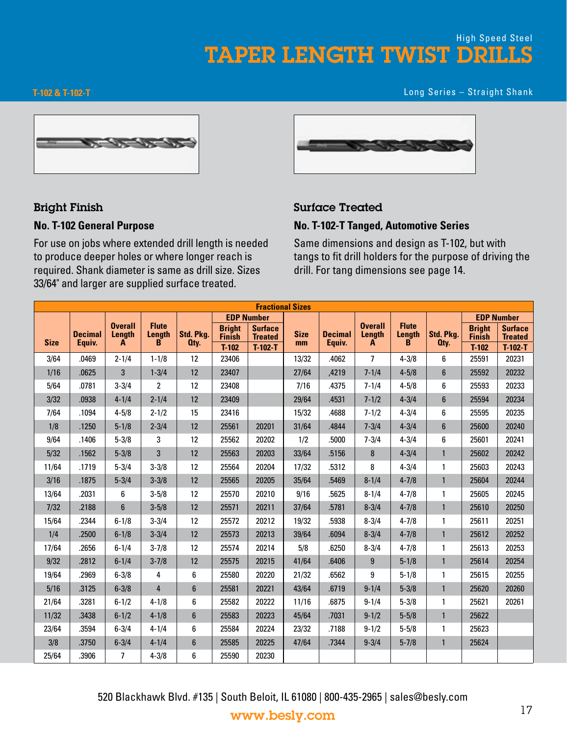**T-102 & T-102-T** Long Series – Straight Shank



#### Bright Finish

#### **No. T-102 General Purpose**

For use on jobs where extended drill length is needed to produce deeper holes or where longer reach is required. Shank diameter is same as drill size. Sizes 33/64" and larger are supplied surface treated.



#### Surface Treated

#### **No. T-102-T Tanged, Automotive Series**

Same dimensions and design as T-102, but with tangs to fit drill holders for the purpose of driving the drill. For tang dimensions see page 14.

|             | <b>Fractional Sizes</b><br><b>EDP Number</b><br><b>EDP Number</b> |                                      |                             |                   |                                |                                  |                   |                          |                               |                                    |                   |                                |                                  |  |
|-------------|-------------------------------------------------------------------|--------------------------------------|-----------------------------|-------------------|--------------------------------|----------------------------------|-------------------|--------------------------|-------------------------------|------------------------------------|-------------------|--------------------------------|----------------------------------|--|
|             |                                                                   |                                      |                             |                   |                                |                                  |                   |                          |                               |                                    |                   |                                |                                  |  |
| <b>Size</b> | <b>Decimal</b><br>Equiv.                                          | <b>Overall</b><br><b>Length</b><br>A | <b>Flute</b><br>Length<br>B | Std. Pkg.<br>Oty. | <b>Bright</b><br><b>Finish</b> | <b>Surface</b><br><b>Treated</b> | <b>Size</b><br>mm | <b>Decimal</b><br>Equiv. | <b>Overall</b><br>Length<br>A | <b>Flute</b><br><b>Length</b><br>B | Std. Pkg.<br>Oty. | <b>Bright</b><br><b>Finish</b> | <b>Surface</b><br><b>Treated</b> |  |
|             |                                                                   |                                      |                             |                   | $T-102$                        | $T-102-T$                        |                   |                          |                               |                                    |                   | $T-102$                        | $T-102-T$                        |  |
| 3/64        | .0469                                                             | $2 - 1/4$                            | $1 - 1/8$                   | 12                | 23406                          |                                  | 13/32             | .4062                    | $\overline{7}$                | $4 - 3/8$                          | 6                 | 25591                          | 20231                            |  |
| 1/16        | .0625                                                             | 3                                    | $1 - 3/4$                   | 12                | 23407                          |                                  | 27/64             | ,4219                    | $7 - 1/4$                     | $4 - 5/8$                          | $6\phantom{1}$    | 25592                          | 20232                            |  |
| 5/64        | .0781                                                             | $3 - 3/4$                            | $\overline{2}$              | 12                | 23408                          |                                  | 7/16              | .4375                    | $7 - 1/4$                     | $4 - 5/8$                          | 6                 | 25593                          | 20233                            |  |
| 3/32        | .0938                                                             | $4 - 1/4$                            | $2 - 1/4$                   | 12                | 23409                          |                                  | 29/64             | .4531                    | $7 - 1/2$                     | $4 - 3/4$                          | $6\phantom{1}$    | 25594                          | 20234                            |  |
| 7/64        | .1094                                                             | $4 - 5/8$                            | $2 - 1/2$                   | 15                | 23416                          |                                  | 15/32             | .4688                    | $7 - 1/2$                     | $4 - 3/4$                          | 6                 | 25595                          | 20235                            |  |
| 1/8         | .1250                                                             | $5 - 1/8$                            | $2 - 3/4$                   | 12                | 25561                          | 20201                            | 31/64             | .4844                    | $7 - 3/4$                     | $4 - 3/4$                          | $6\phantom{1}$    | 25600                          | 20240                            |  |
| 9/64        | .1406                                                             | $5 - 3/8$                            | 3                           | 12                | 25562                          | 20202                            | 1/2               | .5000                    | $7 - 3/4$                     | $4 - 3/4$                          | 6                 | 25601                          | 20241                            |  |
| 5/32        | .1562                                                             | $5 - 3/8$                            | 3                           | 12                | 25563                          | 20203                            | 33/64             | .5156                    | 8                             | $4 - 3/4$                          | $\mathbf{1}$      | 25602                          | 20242                            |  |
| 11/64       | .1719                                                             | $5 - 3/4$                            | $3 - 3/8$                   | 12                | 25564                          | 20204                            | 17/32             | .5312                    | 8                             | $4 - 3/4$                          | $\mathbf{1}$      | 25603                          | 20243                            |  |
| 3/16        | .1875                                                             | $5 - 3/4$                            | $3 - 3/8$                   | 12                | 25565                          | 20205                            | 35/64             | .5469                    | $8 - 1/4$                     | $4 - 7/8$                          | $\mathbf{1}$      | 25604                          | 20244                            |  |
| 13/64       | .2031                                                             | 6                                    | $3 - 5/8$                   | 12                | 25570                          | 20210                            | 9/16              | .5625                    | $8 - 1/4$                     | $4 - 7/8$                          | $\mathbf{1}$      | 25605                          | 20245                            |  |
| 7/32        | .2188                                                             | $6\phantom{a}$                       | $3 - 5/8$                   | 12                | 25571                          | 20211                            | 37/64             | .5781                    | $8 - 3/4$                     | $4 - 7/8$                          | $\mathbf{1}$      | 25610                          | 20250                            |  |
| 15/64       | .2344                                                             | $6 - 1/8$                            | $3 - 3/4$                   | 12                | 25572                          | 20212                            | 19/32             | .5938                    | $8 - 3/4$                     | $4 - 7/8$                          | 1                 | 25611                          | 20251                            |  |
| 1/4         | .2500                                                             | $6 - 1/8$                            | $3 - 3/4$                   | 12                | 25573                          | 20213                            | 39/64             | .6094                    | $8 - 3/4$                     | $4 - 7/8$                          | $\mathbf{1}$      | 25612                          | 20252                            |  |
| 17/64       | .2656                                                             | $6 - 1/4$                            | $3 - 7/8$                   | 12                | 25574                          | 20214                            | 5/8               | .6250                    | $8 - 3/4$                     | $4 - 7/8$                          | $\mathbf{1}$      | 25613                          | 20253                            |  |
| 9/32        | .2812                                                             | $6 - 1/4$                            | $3 - 7/8$                   | 12                | 25575                          | 20215                            | 41/64             | .6406                    | 9                             | $5 - 1/8$                          | $\mathbf{1}$      | 25614                          | 20254                            |  |
| 19/64       | .2969                                                             | $6 - 3/8$                            | 4                           | 6                 | 25580                          | 20220                            | 21/32             | .6562                    | 9                             | $5 - 1/8$                          | 1                 | 25615                          | 20255                            |  |
| 5/16        | .3125                                                             | $6 - 3/8$                            | $\overline{4}$              | $6\phantom{1}$    | 25581                          | 20221                            | 43/64             | .6719                    | $9 - 1/4$                     | $5 - 3/8$                          | $\mathbf{1}$      | 25620                          | 20260                            |  |
| 21/64       | .3281                                                             | $6 - 1/2$                            | $4 - 1/8$                   | 6                 | 25582                          | 20222                            | 11/16             | .6875                    | $9 - 1/4$                     | $5 - 3/8$                          | $\mathbf{1}$      | 25621                          | 20261                            |  |
| 11/32       | .3438                                                             | $6 - 1/2$                            | $4 - 1/8$                   | $6\phantom{1}$    | 25583                          | 20223                            | 45/64             | .7031                    | $9 - 1/2$                     | $5 - 5/8$                          | $\mathbf{1}$      | 25622                          |                                  |  |
| 23/64       | .3594                                                             | $6 - 3/4$                            | $4 - 1/4$                   | 6                 | 25584                          | 20224                            | 23/32             | .7188                    | $9 - 1/2$                     | $5 - 5/8$                          | $\mathbf{1}$      | 25623                          |                                  |  |
| 3/8         | .3750                                                             | $6 - 3/4$                            | $4 - 1/4$                   | $6\phantom{1}$    | 25585                          | 20225                            | 47/64             | .7344                    | $9 - 3/4$                     | $5 - 7/8$                          | $\mathbf{1}$      | 25624                          |                                  |  |
| 25/64       | .3906                                                             | $\overline{7}$                       | $4 - 3/8$                   | 6                 | 25590                          | 20230                            |                   |                          |                               |                                    |                   |                                |                                  |  |

520 Blackhawk Blvd. #135 | South Beloit, IL 61080 | 800-435-2965 | sales@besly.com www.besly.com 17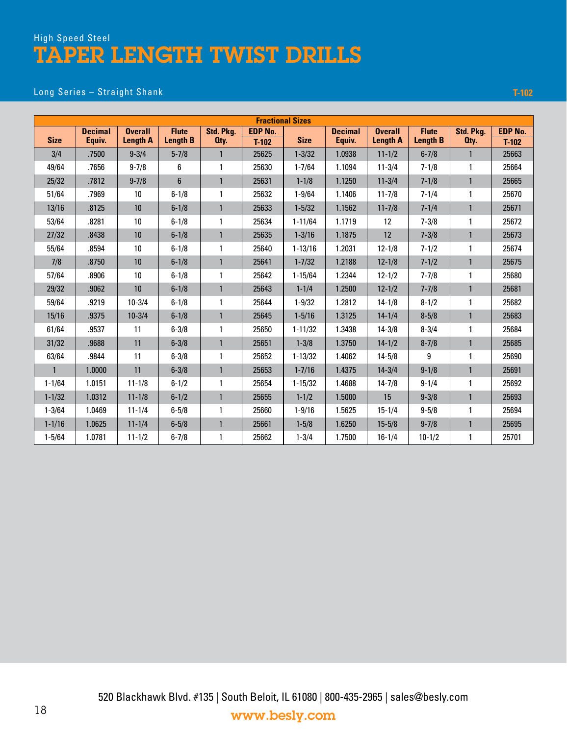#### Long Series – Straight Shank **T-102**

|              | <b>Fractional Sizes</b><br>Std. Pkg.<br><b>EDP No.</b><br>Std. Pkg.<br><b>EDP No.</b><br><b>Decimal</b><br><b>Overall</b><br><b>Flute</b><br><b>Decimal</b><br><b>Overall</b><br><b>Flute</b><br><b>Length B</b><br><b>Length B</b><br><b>Size</b><br>Equiv.<br><b>Length A</b><br><b>Size</b><br>Equiv.<br><b>Length A</b><br>Oty.<br>Oty.<br>$T-102$<br>$T-102$ |                 |                |              |       |             |        |            |            |              |       |  |  |  |
|--------------|-------------------------------------------------------------------------------------------------------------------------------------------------------------------------------------------------------------------------------------------------------------------------------------------------------------------------------------------------------------------|-----------------|----------------|--------------|-------|-------------|--------|------------|------------|--------------|-------|--|--|--|
|              |                                                                                                                                                                                                                                                                                                                                                                   |                 |                |              |       |             |        |            |            |              |       |  |  |  |
|              |                                                                                                                                                                                                                                                                                                                                                                   |                 |                |              |       |             |        |            |            |              |       |  |  |  |
| 3/4          | .7500                                                                                                                                                                                                                                                                                                                                                             | $9 - 3/4$       | $5 - 7/8$      | $\mathbf{1}$ | 25625 | $1 - 3/32$  | 1.0938 | $11 - 1/2$ | $6 - 7/8$  | $\mathbf{1}$ | 25663 |  |  |  |
| 49/64        | .7656                                                                                                                                                                                                                                                                                                                                                             | $9 - 7/8$       | 6              | 1            | 25630 | $1 - 7/64$  | 1.1094 | $11 - 3/4$ | $7 - 1/8$  | $\mathbf{1}$ | 25664 |  |  |  |
| 25/32        | .7812                                                                                                                                                                                                                                                                                                                                                             | $9 - 7/8$       | $6\phantom{1}$ | $\mathbf{1}$ | 25631 | $1 - 1/8$   | 1.1250 | $11 - 3/4$ | $7 - 1/8$  | $\mathbf{1}$ | 25665 |  |  |  |
| 51/64        | .7969                                                                                                                                                                                                                                                                                                                                                             | 10              | $6 - 1/8$      | $\mathbf{1}$ | 25632 | $1 - 9/64$  | 1.1406 | $11 - 7/8$ | $7 - 1/4$  | $\mathbf{1}$ | 25670 |  |  |  |
| 13/16        | .8125                                                                                                                                                                                                                                                                                                                                                             | 10              | $6 - 1/8$      | $\mathbf{1}$ | 25633 | $1 - 5/32$  | 1.1562 | $11 - 7/8$ | $7 - 1/4$  | $\mathbf{1}$ | 25671 |  |  |  |
| 53/64        | .8281                                                                                                                                                                                                                                                                                                                                                             | 10              | $6 - 1/8$      | 1            | 25634 | $1 - 11/64$ | 1.1719 | 12         | $7 - 3/8$  | $\mathbf{1}$ | 25672 |  |  |  |
| 27/32        | .8438                                                                                                                                                                                                                                                                                                                                                             | 10              | $6 - 1/8$      | $\mathbf{1}$ | 25635 | $1 - 3/16$  | 1.1875 | 12         | $7 - 3/8$  | $\mathbf{1}$ | 25673 |  |  |  |
| 55/64        | .8594                                                                                                                                                                                                                                                                                                                                                             | 10              | $6 - 1/8$      | 1            | 25640 | $1 - 13/16$ | 1.2031 | $12 - 1/8$ | $7 - 1/2$  | $\mathbf{1}$ | 25674 |  |  |  |
| 7/8          | .8750                                                                                                                                                                                                                                                                                                                                                             | 10 <sup>°</sup> | $6 - 1/8$      | $\mathbf{1}$ | 25641 | $1 - 7/32$  | 1.2188 | $12 - 1/8$ | $7 - 1/2$  | $\mathbf{1}$ | 25675 |  |  |  |
| 57/64        | .8906                                                                                                                                                                                                                                                                                                                                                             | 10              | $6 - 1/8$      | 1            | 25642 | $1 - 15/64$ | 1.2344 | $12 - 1/2$ | $7 - 7/8$  | 1            | 25680 |  |  |  |
| 29/32        | .9062                                                                                                                                                                                                                                                                                                                                                             | 10              | $6 - 1/8$      | $\mathbf{1}$ | 25643 | $1 - 1/4$   | 1.2500 | $12 - 1/2$ | $7 - 7/8$  | $\mathbf{1}$ | 25681 |  |  |  |
| 59/64        | .9219                                                                                                                                                                                                                                                                                                                                                             | $10 - 3/4$      | $6 - 1/8$      | 1            | 25644 | $1 - 9/32$  | 1.2812 | $14 - 1/8$ | $8 - 1/2$  | 1            | 25682 |  |  |  |
| 15/16        | .9375                                                                                                                                                                                                                                                                                                                                                             | $10 - 3/4$      | $6 - 1/8$      | $\mathbf{1}$ | 25645 | $1 - 5/16$  | 1.3125 | $14 - 1/4$ | $8 - 5/8$  | $\mathbf{1}$ | 25683 |  |  |  |
| 61/64        | .9537                                                                                                                                                                                                                                                                                                                                                             | 11              | $6 - 3/8$      | $\mathbf{1}$ | 25650 | $1 - 11/32$ | 1.3438 | $14 - 3/8$ | $8 - 3/4$  | $\mathbf{1}$ | 25684 |  |  |  |
| 31/32        | .9688                                                                                                                                                                                                                                                                                                                                                             | 11              | $6 - 3/8$      | $\mathbf{1}$ | 25651 | $1 - 3/8$   | 1.3750 | $14 - 1/2$ | $8 - 7/8$  | $\mathbf{1}$ | 25685 |  |  |  |
| 63/64        | .9844                                                                                                                                                                                                                                                                                                                                                             | 11              | $6 - 3/8$      | 1            | 25652 | $1 - 13/32$ | 1.4062 | $14 - 5/8$ | 9          | $\mathbf{1}$ | 25690 |  |  |  |
| $\mathbf{1}$ | 1.0000                                                                                                                                                                                                                                                                                                                                                            | 11              | $6 - 3/8$      | $\mathbf{1}$ | 25653 | $1 - 7/16$  | 1.4375 | $14 - 3/4$ | $9 - 1/8$  | $\mathbf{1}$ | 25691 |  |  |  |
| $1 - 1/64$   | 1.0151                                                                                                                                                                                                                                                                                                                                                            | $11 - 1/8$      | $6 - 1/2$      | $\mathbf{1}$ | 25654 | $1 - 15/32$ | 1.4688 | $14 - 7/8$ | $9 - 1/4$  | $\mathbf{1}$ | 25692 |  |  |  |
| $1 - 1/32$   | 1.0312                                                                                                                                                                                                                                                                                                                                                            | $11 - 1/8$      | $6 - 1/2$      | $\mathbf{1}$ | 25655 | $1 - 1/2$   | 1.5000 | 15         | $9 - 3/8$  | $\mathbf{1}$ | 25693 |  |  |  |
| $1 - 3/64$   | 1.0469                                                                                                                                                                                                                                                                                                                                                            | $11 - 1/4$      | $6 - 5/8$      | $\mathbf{1}$ | 25660 | $1 - 9/16$  | 1.5625 | $15 - 1/4$ | $9 - 5/8$  | $\mathbf{1}$ | 25694 |  |  |  |
| $1 - 1/16$   | 1.0625                                                                                                                                                                                                                                                                                                                                                            | $11 - 1/4$      | $6 - 5/8$      | $\mathbf{1}$ | 25661 | $1 - 5/8$   | 1.6250 | $15 - 5/8$ | $9 - 7/8$  | $\mathbf{1}$ | 25695 |  |  |  |
| $1 - 5/64$   | 1.0781                                                                                                                                                                                                                                                                                                                                                            | $11 - 1/2$      | $6 - 7/8$      | 1            | 25662 | $1 - 3/4$   | 1.7500 | $16 - 1/4$ | $10 - 1/2$ | 1            | 25701 |  |  |  |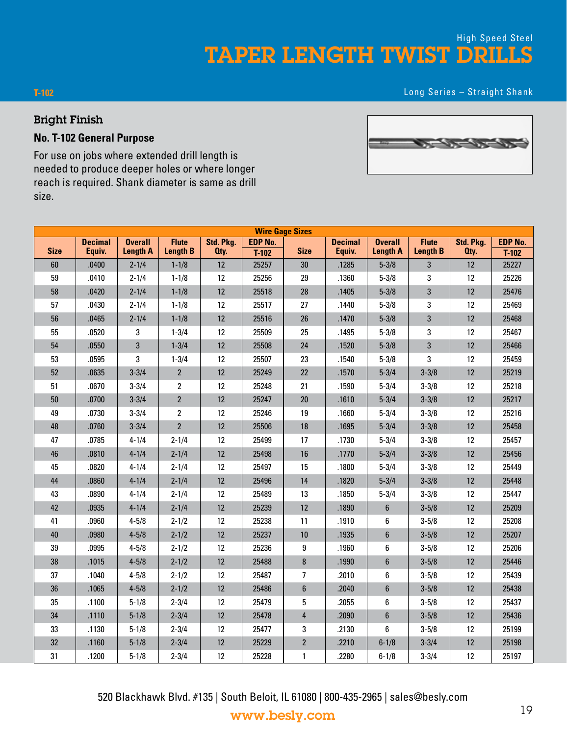TAPER LENGTH TWIST DRILLS High Speed Steel

Long Series – Straight Shank

#### Bright Finish

**T-102**

#### **No. T-102 General Purpose**

For use on jobs where extended drill length is needed to produce deeper holes or where longer reach is required. Shank diameter is same as drill size.

|             | <b>Wire Gage Sizes</b><br><b>EDP No.</b><br><b>Decimal</b><br><b>Overall</b><br><b>Flute</b><br>Std. Pkg.<br><b>Decimal</b><br><b>Flute</b><br>Std. Pkg.<br><b>EDP No.</b><br><b>Overall</b> |                 |                 |      |         |                  |        |                  |                 |      |         |  |  |  |
|-------------|----------------------------------------------------------------------------------------------------------------------------------------------------------------------------------------------|-----------------|-----------------|------|---------|------------------|--------|------------------|-----------------|------|---------|--|--|--|
|             |                                                                                                                                                                                              |                 |                 |      |         |                  |        |                  |                 |      |         |  |  |  |
| <b>Size</b> | Equiv.                                                                                                                                                                                       | <b>Length A</b> | <b>Length B</b> | Oty. | $T-102$ | <b>Size</b>      | Equiv. | <b>Length A</b>  | <b>Length B</b> | Oty. | $T-102$ |  |  |  |
| 60          | .0400                                                                                                                                                                                        | $2 - 1/4$       | $1 - 1/8$       | 12   | 25257   | 30               | .1285  | $5 - 3/8$        | 3               | 12   | 25227   |  |  |  |
| 59          | .0410                                                                                                                                                                                        | $2 - 1/4$       | $1 - 1/8$       | 12   | 25256   | 29               | .1360  | $5 - 3/8$        | 3               | 12   | 25226   |  |  |  |
| 58          | .0420                                                                                                                                                                                        | $2 - 1/4$       | $1 - 1/8$       | 12   | 25518   | 28               | .1405  | $5 - 3/8$        | 3               | 12   | 25476   |  |  |  |
| 57          | .0430                                                                                                                                                                                        | $2 - 1/4$       | $1 - 1/8$       | 12   | 25517   | 27               | .1440  | $5 - 3/8$        | 3               | 12   | 25469   |  |  |  |
| 56          | .0465                                                                                                                                                                                        | $2 - 1/4$       | $1 - 1/8$       | 12   | 25516   | 26               | .1470  | $5 - 3/8$        | 3               | 12   | 25468   |  |  |  |
| 55          | .0520                                                                                                                                                                                        | 3               | $1 - 3/4$       | 12   | 25509   | 25               | .1495  | $5 - 3/8$        | 3               | 12   | 25467   |  |  |  |
| 54          | .0550                                                                                                                                                                                        | 3               | $1 - 3/4$       | 12   | 25508   | 24               | .1520  | $5 - 3/8$        | 3               | 12   | 25466   |  |  |  |
| 53          | .0595                                                                                                                                                                                        | 3               | $1 - 3/4$       | 12   | 25507   | 23               | .1540  | $5 - 3/8$        | 3               | 12   | 25459   |  |  |  |
| 52          | .0635                                                                                                                                                                                        | $3 - 3/4$       | $\mathbf{2}$    | 12   | 25249   | $22\,$           | .1570  | $5 - 3/4$        | $3 - 3/8$       | 12   | 25219   |  |  |  |
| 51          | .0670                                                                                                                                                                                        | $3 - 3/4$       | $\overline{2}$  | 12   | 25248   | 21               | .1590  | $5 - 3/4$        | $3 - 3/8$       | 12   | 25218   |  |  |  |
| 50          | .0700                                                                                                                                                                                        | $3 - 3/4$       | $\mathbf{2}$    | 12   | 25247   | $20\,$           | .1610  | $5 - 3/4$        | $3 - 3/8$       | 12   | 25217   |  |  |  |
| 49          | .0730                                                                                                                                                                                        | $3 - 3/4$       | $\overline{2}$  | 12   | 25246   | 19               | .1660  | $5 - 3/4$        | $3 - 3/8$       | 12   | 25216   |  |  |  |
| 48          | .0760                                                                                                                                                                                        | $3 - 3/4$       | $\overline{2}$  | 12   | 25506   | 18               | .1695  | $5 - 3/4$        | $3 - 3/8$       | 12   | 25458   |  |  |  |
| 47          | .0785                                                                                                                                                                                        | $4 - 1/4$       | $2 - 1/4$       | 12   | 25499   | 17               | .1730  | $5 - 3/4$        | $3 - 3/8$       | 12   | 25457   |  |  |  |
| 46          | .0810                                                                                                                                                                                        | $4 - 1/4$       | $2 - 1/4$       | 12   | 25498   | 16               | .1770  | $5 - 3/4$        | $3 - 3/8$       | 12   | 25456   |  |  |  |
| 45          | .0820                                                                                                                                                                                        | $4 - 1/4$       | $2 - 1/4$       | 12   | 25497   | 15               | .1800  | $5 - 3/4$        | $3 - 3/8$       | 12   | 25449   |  |  |  |
| 44          | .0860                                                                                                                                                                                        | $4 - 1/4$       | $2 - 1/4$       | 12   | 25496   | 14               | .1820  | $5 - 3/4$        | $3 - 3/8$       | 12   | 25448   |  |  |  |
| 43          | .0890                                                                                                                                                                                        | $4 - 1/4$       | $2 - 1/4$       | 12   | 25489   | 13               | .1850  | $5 - 3/4$        | $3 - 3/8$       | 12   | 25447   |  |  |  |
| 42          | .0935                                                                                                                                                                                        | $4 - 1/4$       | $2 - 1/4$       | 12   | 25239   | 12               | .1890  | $\boldsymbol{6}$ | $3 - 5/8$       | 12   | 25209   |  |  |  |
| 41          | .0960                                                                                                                                                                                        | $4 - 5/8$       | $2 - 1/2$       | 12   | 25238   | 11               | .1910  | 6                | $3 - 5/8$       | 12   | 25208   |  |  |  |
| 40          | .0980                                                                                                                                                                                        | $4 - 5/8$       | $2 - 1/2$       | 12   | 25237   | 10               | .1935  | $\boldsymbol{6}$ | $3 - 5/8$       | 12   | 25207   |  |  |  |
| 39          | .0995                                                                                                                                                                                        | $4 - 5/8$       | $2 - 1/2$       | 12   | 25236   | 9                | .1960  | 6                | $3 - 5/8$       | 12   | 25206   |  |  |  |
| 38          | .1015                                                                                                                                                                                        | $4 - 5/8$       | $2 - 1/2$       | 12   | 25488   | $\bf 8$          | .1990  | 6                | $3 - 5/8$       | 12   | 25446   |  |  |  |
| 37          | .1040                                                                                                                                                                                        | $4 - 5/8$       | $2 - 1/2$       | 12   | 25487   | $\overline{7}$   | .2010  | 6                | $3 - 5/8$       | 12   | 25439   |  |  |  |
| 36          | .1065                                                                                                                                                                                        | $4 - 5/8$       | $2 - 1/2$       | 12   | 25486   | $\boldsymbol{6}$ | .2040  | $6\phantom{a}$   | $3 - 5/8$       | 12   | 25438   |  |  |  |
| 35          | .1100                                                                                                                                                                                        | $5 - 1/8$       | $2 - 3/4$       | 12   | 25479   | 5                | .2055  | 6                | $3 - 5/8$       | 12   | 25437   |  |  |  |
| 34          | .1110                                                                                                                                                                                        | $5 - 1/8$       | $2 - 3/4$       | 12   | 25478   | $\overline{4}$   | .2090  | $6\phantom{a}$   | $3 - 5/8$       | 12   | 25436   |  |  |  |
| 33          | .1130                                                                                                                                                                                        | $5 - 1/8$       | $2 - 3/4$       | 12   | 25477   | 3                | .2130  | 6                | $3 - 5/8$       | 12   | 25199   |  |  |  |
| 32          | .1160                                                                                                                                                                                        | $5 - 1/8$       | $2 - 3/4$       | 12   | 25229   | $\overline{2}$   | .2210  | $6 - 1/8$        | $3 - 3/4$       | 12   | 25198   |  |  |  |
| 31          | .1200                                                                                                                                                                                        | $5 - 1/8$       | $2 - 3/4$       | 12   | 25228   | $\mathbf{1}$     | .2280  | $6 - 1/8$        | $3 - 3/4$       | 12   | 25197   |  |  |  |

<u>the contract of the contract of the contract of the contract of the contract of the contract of the contract of the contract of the contract of the contract of the contract of the contract of the contract of the contract </u>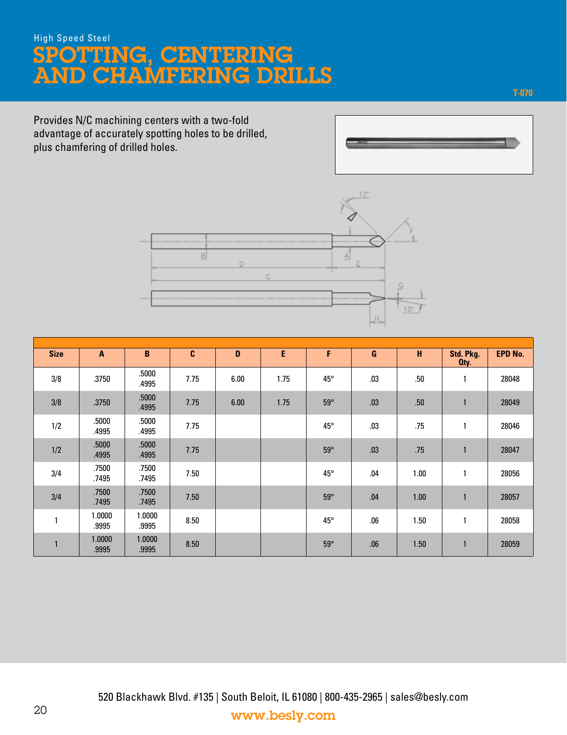# SPOTTING, CENTERING AND CHAMFERING DRILLS High Speed Steel

Provides N/C machining centers with a two-fold advantage of accurately spotting holes to be drilled, plus chamfering of drilled holes.





| <b>Size</b> | $\mathbf{A}$    | B               | C    | D    | E    | F            | G   | н    | Std. Pkg.<br>Oty. | <b>EPD No.</b> |
|-------------|-----------------|-----------------|------|------|------|--------------|-----|------|-------------------|----------------|
| 3/8         | .3750           | .5000<br>.4995  | 7.75 | 6.00 | 1.75 | 45°          | .03 | .50  | 1                 | 28048          |
| 3/8         | .3750           | .5000<br>.4995  | 7.75 | 6.00 | 1.75 | $59^\circ$   | .03 | .50  | $\mathbf{1}$      | 28049          |
| 1/2         | .5000<br>.4995  | .5000<br>.4995  | 7.75 |      |      | $45^{\circ}$ | .03 | .75  | $\mathbf{1}$      | 28046          |
| 1/2         | .5000<br>.4995  | .5000<br>.4995  | 7.75 |      |      | $59^\circ$   | .03 | .75  | $\mathbf{1}$      | 28047          |
| 3/4         | .7500<br>.7495  | .7500<br>.7495  | 7.50 |      |      | $45^{\circ}$ | .04 | 1.00 | 1                 | 28056          |
| 3/4         | .7500<br>.7495  | .7500<br>.7495  | 7.50 |      |      | $59^\circ$   | .04 | 1.00 | $\mathbf{1}$      | 28057          |
| 1           | 1.0000<br>.9995 | 1.0000<br>.9995 | 8.50 |      |      | $45^{\circ}$ | .06 | 1.50 | 1                 | 28058          |
| 1           | 1.0000<br>.9995 | 1.0000<br>.9995 | 8.50 |      |      | $59^\circ$   | .06 | 1.50 | $\mathbf{1}$      | 28059          |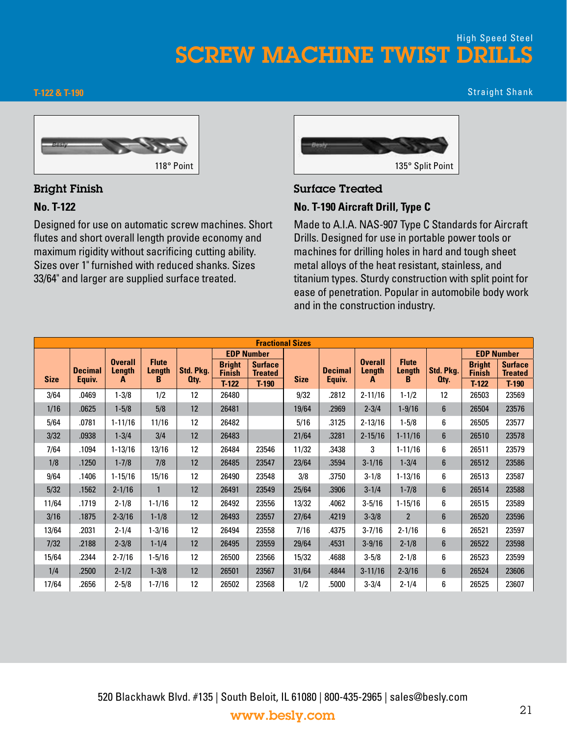## SCREW MACHINE TWIST DRILLS High Speed Steel

#### **T-122 & T-190**

Straight Shank



#### Bright Finish

#### **No. T-122**

Designed for use on automatic screw machines. Short flutes and short overall length provide economy and maximum rigidity without sacrificing cutting ability. Sizes over 1" furnished with reduced shanks. Sizes 33/64" and larger are supplied surface treated.



#### Surface Treated **No. T-190 Aircraft Drill, Type C**

Made to A.I.A. NAS-907 Type C Standards for Aircraft Drills. Designed for use in portable power tools or machines for drilling holes in hard and tough sheet metal alloys of the heat resistant, stainless, and titanium types. Sturdy construction with split point for ease of penetration. Popular in automobile body work and in the construction industry.

|             | <b>Fractional Sizes</b><br><b>EDP Number</b><br><b>EDP Number</b> |                          |                        |           |                                |                                  |             |                |                          |                             |                |                                |                                  |  |
|-------------|-------------------------------------------------------------------|--------------------------|------------------------|-----------|--------------------------------|----------------------------------|-------------|----------------|--------------------------|-----------------------------|----------------|--------------------------------|----------------------------------|--|
|             |                                                                   |                          |                        |           |                                |                                  |             |                |                          |                             |                |                                |                                  |  |
| <b>Size</b> | <b>Decimal</b>                                                    | <b>Overall</b><br>Length | <b>Flute</b><br>Length | Std. Pkg. | <b>Bright</b><br><b>Finish</b> | <b>Surface</b><br><b>Treated</b> | <b>Size</b> | <b>Decimal</b> | <b>Overall</b><br>Length | <b>Flute</b><br>Length<br>в | Std. Pkg.      | <b>Bright</b><br><b>Finish</b> | <b>Surface</b><br><b>Treated</b> |  |
|             | Equiv.                                                            | A                        | в                      | Oty.      | $T-122$                        | $T-190$                          |             | Equiv.         | A                        |                             | Oty.           | $T-122$                        | $T-190$                          |  |
| 3/64        | .0469                                                             | $1 - 3/8$                | 1/2                    | 12        | 26480                          |                                  | 9/32        | .2812          | $2 - 11/16$              | $1 - 1/2$                   | 12             | 26503                          | 23569                            |  |
| 1/16        | .0625                                                             | $1 - 5/8$                | 5/8                    | 12        | 26481                          |                                  | 19/64       | .2969          | $2 - 3/4$                | $1 - 9/16$                  | $6\phantom{1}$ | 26504                          | 23576                            |  |
| 5/64        | .0781                                                             | $1 - 11/16$              | 11/16                  | 12        | 26482                          |                                  | 5/16        | 3125           | $2 - 13/16$              | $1 - 5/8$                   | 6              | 26505                          | 23577                            |  |
| 3/32        | .0938                                                             | $1 - 3/4$                | 3/4                    | 12        | 26483                          |                                  | 21/64       | .3281          | $2 - 15/16$              | $1 - 11/16$                 | $6\phantom{1}$ | 26510                          | 23578                            |  |
| 7/64        | .1094                                                             | $1 - 13/16$              | 13/16                  | 12        | 26484                          | 23546                            | 11/32       | .3438          | 3                        | $1 - 11/16$                 | 6              | 26511                          | 23579                            |  |
| 1/8         | .1250                                                             | $1 - 7/8$                | 7/8                    | 12        | 26485                          | 23547                            | 23/64       | .3594          | $3 - 1/16$               | $1 - 3/4$                   | $6\phantom{1}$ | 26512                          | 23586                            |  |
| 9/64        | .1406                                                             | $1 - 15/16$              | 15/16                  | 12        | 26490                          | 23548                            | 3/8         | .3750          | $3 - 1/8$                | $1 - 13/16$                 | 6              | 26513                          | 23587                            |  |
| 5/32        | .1562                                                             | $2 - 1/16$               | $\mathbf{1}$           | 12        | 26491                          | 23549                            | 25/64       | .3906          | $3 - 1/4$                | $1 - 7/8$                   | $6\phantom{1}$ | 26514                          | 23588                            |  |
| 11/64       | .1719                                                             | $2 - 1/8$                | $1 - 1/16$             | 12        | 26492                          | 23556                            | 13/32       | .4062          | $3 - 5/16$               | $1 - 15/16$                 | 6              | 26515                          | 23589                            |  |
| 3/16        | .1875                                                             | $2 - 3/16$               | $1 - 1/8$              | 12        | 26493                          | 23557                            | 27/64       | .4219          | $3 - 3/8$                | $\overline{2}$              | $6\phantom{1}$ | 26520                          | 23596                            |  |
| 13/64       | .2031                                                             | $2 - 1/4$                | $1 - 3/16$             | 12        | 26494                          | 23558                            | 7/16        | .4375          | $3 - 7/16$               | $2 - 1/16$                  | 6              | 26521                          | 23597                            |  |
| 7/32        | .2188                                                             | $2 - 3/8$                | $1 - 1/4$              | 12        | 26495                          | 23559                            | 29/64       | .4531          | $3 - 9/16$               | $2 - 1/8$                   | $6\phantom{a}$ | 26522                          | 23598                            |  |
| 15/64       | .2344                                                             | $2 - 7/16$               | $1 - 5/16$             | 12        | 26500                          | 23566                            | 15/32       | .4688          | $3 - 5/8$                | $2 - 1/8$                   | 6              | 26523                          | 23599                            |  |
| 1/4         | .2500                                                             | $2 - 1/2$                | $1 - 3/8$              | 12        | 26501                          | 23567                            | 31/64       | .4844          | $3 - 11/16$              | $2 - 3/16$                  | $6\phantom{1}$ | 26524                          | 23606                            |  |
| 17/64       | .2656                                                             | $2 - 5/8$                | $1 - 7/16$             | 12        | 26502                          | 23568                            | 1/2         | .5000          | $3 - 3/4$                | $2 - 1/4$                   | 6              | 26525                          | 23607                            |  |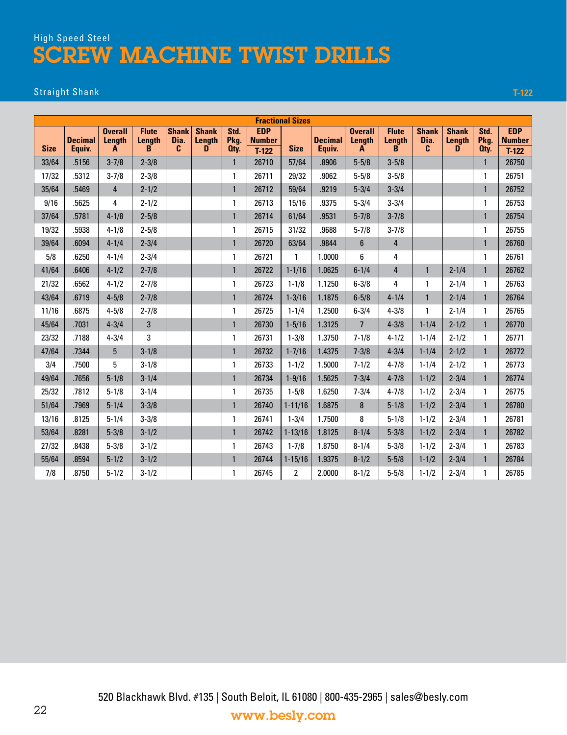# High Speed Steel SCREW MACHINE TWIST DRILLS

#### Straight Shank **T-122**

| <b>Fractional Sizes</b><br><b>EDP</b><br><b>EDP</b><br>Shank<br>Std.<br><b>Overall</b><br><b>Shank</b><br>Std.<br><b>Overall</b><br><b>Flute</b><br><b>Flute</b> |                          |                 |                    |           |                             |              |                          |                |                          |                  |                    |                                      |             |              |                          |
|------------------------------------------------------------------------------------------------------------------------------------------------------------------|--------------------------|-----------------|--------------------|-----------|-----------------------------|--------------|--------------------------|----------------|--------------------------|------------------|--------------------|--------------------------------------|-------------|--------------|--------------------------|
| <b>Size</b>                                                                                                                                                      | <b>Decimal</b><br>Equiv. | Length<br>A     | <b>Length</b><br>B | Dia.<br>C | <b>Shank</b><br>Length<br>D | Pkg.<br>Oty. | <b>Number</b><br>$T-122$ | <b>Size</b>    | <b>Decimal</b><br>Equiv. | Length<br>A      | <b>Length</b><br>B | <b>Shank</b><br>Dia.<br>$\mathbf{c}$ | Length<br>D | Pkg.<br>Oty. | <b>Number</b><br>$T-122$ |
| 33/64                                                                                                                                                            | .5156                    | $3 - 7/8$       | $2 - 3/8$          |           |                             | $\mathbf{1}$ | 26710                    | 57/64          | .8906                    | $5 - 5/8$        | $3 - 5/8$          |                                      |             | $\mathbf{1}$ | 26750                    |
| 17/32                                                                                                                                                            | .5312                    | $3 - 7/8$       | $2 - 3/8$          |           |                             | 1            | 26711                    | 29/32          | .9062                    | $5 - 5/8$        | $3 - 5/8$          |                                      |             | 1            | 26751                    |
| 35/64                                                                                                                                                            | .5469                    | 4               | $2 - 1/2$          |           |                             | $\mathbf{1}$ | 26712                    | 59/64          | .9219                    | $5 - 3/4$        | $3 - 3/4$          |                                      |             | $\mathbf{1}$ | 26752                    |
| 9/16                                                                                                                                                             | .5625                    | 4               | $2 - 1/2$          |           |                             | 1            | 26713                    | 15/16          | .9375                    | $5 - 3/4$        | $3 - 3/4$          |                                      |             | $\mathbf{1}$ | 26753                    |
| 37/64                                                                                                                                                            | .5781                    | $4 - 1/8$       | $2 - 5/8$          |           |                             | $\mathbf{1}$ | 26714                    | 61/64          | .9531                    | $5 - 7/8$        | $3 - 7/8$          |                                      |             | $\mathbf{1}$ | 26754                    |
| 19/32                                                                                                                                                            | .5938                    | $4 - 1/8$       | $2 - 5/8$          |           |                             | $\mathbf{1}$ | 26715                    | 31/32          | .9688                    | $5 - 7/8$        | $3 - 7/8$          |                                      |             | 1            | 26755                    |
| 39/64                                                                                                                                                            | .6094                    | $4 - 1/4$       | $2 - 3/4$          |           |                             | $\mathbf{1}$ | 26720                    | 63/64          | .9844                    | $\boldsymbol{6}$ | 4                  |                                      |             | $\mathbf{1}$ | 26760                    |
| 5/8                                                                                                                                                              | .6250                    | $4 - 1/4$       | $2 - 3/4$          |           |                             | 1            | 26721                    | 1              | 1.0000                   | 6                | 4                  |                                      |             | $\mathbf{1}$ | 26761                    |
| 41/64                                                                                                                                                            | .6406                    | $4 - 1/2$       | $2 - 7/8$          |           |                             | $\mathbf{1}$ | 26722                    | $1 - 1/16$     | 1.0625                   | $6 - 1/4$        | 4                  | $\mathbf{1}$                         | $2 - 1/4$   | $\mathbf{1}$ | 26762                    |
| 21/32                                                                                                                                                            | .6562                    | $4 - 1/2$       | $2 - 7/8$          |           |                             | 1            | 26723                    | $1 - 1/8$      | 1.1250                   | $6 - 3/8$        | 4                  | 1                                    | $2 - 1/4$   | 1            | 26763                    |
| 43/64                                                                                                                                                            | .6719                    | $4 - 5/8$       | $2 - 7/8$          |           |                             | $\mathbf{1}$ | 26724                    | $1 - 3/16$     | 1.1875                   | $6 - 5/8$        | $4 - 1/4$          | $\mathbf{1}$                         | $2 - 1/4$   | $\mathbf{1}$ | 26764                    |
| 11/16                                                                                                                                                            | .6875                    | $4 - 5/8$       | $2 - 7/8$          |           |                             | 1            | 26725                    | $1 - 1/4$      | 1.2500                   | $6 - 3/4$        | $4 - 3/8$          | 1                                    | $2 - 1/4$   | $\mathbf{1}$ | 26765                    |
| 45/64                                                                                                                                                            | .7031                    | $4 - 3/4$       | 3                  |           |                             | $\mathbf{1}$ | 26730                    | $1 - 5/16$     | 1.3125                   | $\overline{7}$   | $4 - 3/8$          | $1 - 1/4$                            | $2 - 1/2$   | $\mathbf{1}$ | 26770                    |
| 23/32                                                                                                                                                            | .7188                    | $4 - 3/4$       | 3                  |           |                             | 1            | 26731                    | $1 - 3/8$      | 1.3750                   | $7 - 1/8$        | $4 - 1/2$          | $1 - 1/4$                            | $2 - 1/2$   | $\mathbf{1}$ | 26771                    |
| 47/64                                                                                                                                                            | .7344                    | $5\phantom{.0}$ | $3 - 1/8$          |           |                             | $\mathbf{1}$ | 26732                    | $1 - 7/16$     | 1.4375                   | $7 - 3/8$        | $4 - 3/4$          | $1 - 1/4$                            | $2 - 1/2$   | $\mathbf{1}$ | 26772                    |
| 3/4                                                                                                                                                              | .7500                    | 5               | $3 - 1/8$          |           |                             | 1            | 26733                    | $1 - 1/2$      | 1.5000                   | $7 - 1/2$        | $4 - 7/8$          | $1 - 1/4$                            | $2 - 1/2$   | $\mathbf{1}$ | 26773                    |
| 49/64                                                                                                                                                            | .7656                    | $5 - 1/8$       | $3 - 1/4$          |           |                             | $\mathbf{1}$ | 26734                    | $1 - 9/16$     | 1.5625                   | $7 - 3/4$        | $4 - 7/8$          | $1 - 1/2$                            | $2 - 3/4$   | $\mathbf{1}$ | 26774                    |
| 25/32                                                                                                                                                            | .7812                    | $5 - 1/8$       | $3 - 1/4$          |           |                             | 1            | 26735                    | $1 - 5/8$      | 1.6250                   | $7 - 3/4$        | $4 - 7/8$          | $1 - 1/2$                            | $2 - 3/4$   | $\mathbf{1}$ | 26775                    |
| 51/64                                                                                                                                                            | .7969                    | $5 - 1/4$       | $3 - 3/8$          |           |                             | $\mathbf{1}$ | 26740                    | $1 - 11/16$    | 1.6875                   | 8                | $5 - 1/8$          | $1 - 1/2$                            | $2 - 3/4$   | $\mathbf{1}$ | 26780                    |
| 13/16                                                                                                                                                            | .8125                    | $5 - 1/4$       | $3 - 3/8$          |           |                             | 1            | 26741                    | $1 - 3/4$      | 1.7500                   | 8                | $5 - 1/8$          | $1 - 1/2$                            | $2 - 3/4$   | $\mathbf{1}$ | 26781                    |
| 53/64                                                                                                                                                            | .8281                    | $5 - 3/8$       | $3 - 1/2$          |           |                             | $\mathbf{1}$ | 26742                    | $1 - 13/16$    | 1.8125                   | $8 - 1/4$        | $5 - 3/8$          | $1 - 1/2$                            | $2 - 3/4$   | $\mathbf{1}$ | 26782                    |
| 27/32                                                                                                                                                            | .8438                    | $5 - 3/8$       | $3 - 1/2$          |           |                             | 1            | 26743                    | $1 - 7/8$      | 1.8750                   | $8 - 1/4$        | $5 - 3/8$          | $1 - 1/2$                            | $2 - 3/4$   | 1            | 26783                    |
| 55/64                                                                                                                                                            | .8594                    | $5 - 1/2$       | $3 - 1/2$          |           |                             | $\mathbf{1}$ | 26744                    | $1 - 15/16$    | 1.9375                   | $8 - 1/2$        | $5 - 5/8$          | $1 - 1/2$                            | $2 - 3/4$   | $\mathbf{1}$ | 26784                    |
| 7/8                                                                                                                                                              | .8750                    | $5 - 1/2$       | $3 - 1/2$          |           |                             | 1            | 26745                    | $\overline{2}$ | 2.0000                   | $8 - 1/2$        | $5 - 5/8$          | $1 - 1/2$                            | $2 - 3/4$   | $\mathbf{1}$ | 26785                    |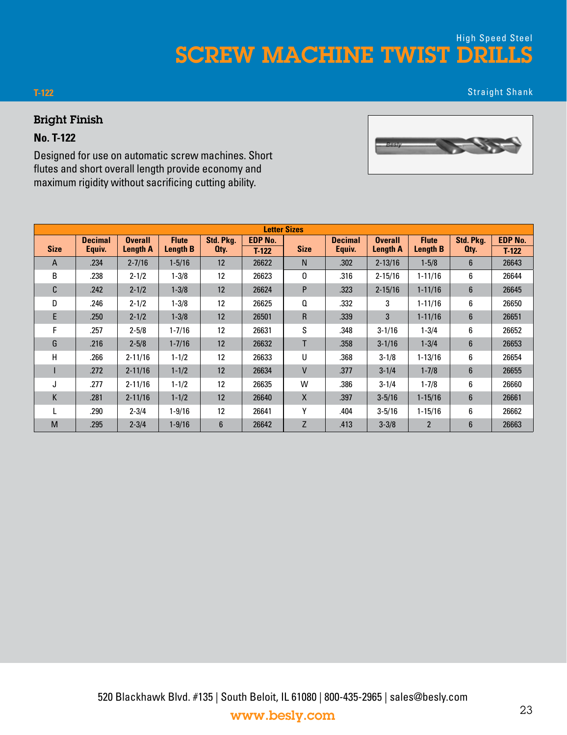### SCREW MACHINE TWIST DRILLS High Speed Steel

#### **T-122**

Straight Shank

#### Bright Finish

#### **No. T-122**

Designed for use on automatic screw machines. Short flutes and short overall length provide economy and maximum rigidity without sacrificing cutting ability.

|             |                |                 |                 |                   |                | <b>Letter Sizes</b> |                |                 |                 |                |                |
|-------------|----------------|-----------------|-----------------|-------------------|----------------|---------------------|----------------|-----------------|-----------------|----------------|----------------|
|             | <b>Decimal</b> | <b>Overall</b>  | <b>Flute</b>    | Std. Pkg.         | <b>EDP No.</b> |                     | <b>Decimal</b> | <b>Overall</b>  | <b>Flute</b>    | Std. Pkg.      | <b>EDP No.</b> |
| <b>Size</b> | Equiv.         | <b>Length A</b> | <b>Length B</b> | Oty.              | $T-122$        | <b>Size</b>         | Equiv.         | <b>Length A</b> | <b>Length B</b> | Oty.           | $T-122$        |
| A           | .234           | $2 - 7/16$      | $1 - 5/16$      | 12                | 26622          | N <sub>1</sub>      | .302           | $2 - 13/16$     | $1 - 5/8$       | 6              | 26643          |
| B           | .238           | $2 - 1/2$       | $1 - 3/8$       | 12                | 26623          | 0                   | .316           | $2 - 15/16$     | $1 - 11/16$     | 6              | 26644          |
| C           | .242           | $2 - 1/2$       | $1 - 3/8$       | 12                | 26624          | P                   | .323           | $2 - 15/16$     | $1 - 11/16$     | 6              | 26645          |
| D           | .246           | $2 - 1/2$       | $1 - 3/8$       | 12                | 26625          | Q                   | .332           | 3               | $1 - 11/16$     | 6              | 26650          |
| E.          | .250           | $2 - 1/2$       | $1 - 3/8$       | 12                | 26501          | $\mathsf{R}$        | .339           | 3               | $1 - 11/16$     | 6              | 26651          |
| F           | .257           | $2 - 5/8$       | $1 - 7/16$      | 12                | 26631          | S                   | .348           | $3 - 1/16$      | $1 - 3/4$       | 6              | 26652          |
| G           | .216           | $2 - 5/8$       | $1 - 7/16$      | 12                | 26632          | T                   | .358           | $3 - 1/16$      | $1 - 3/4$       | $6\phantom{1}$ | 26653          |
| н           | .266           | $2 - 11/16$     | $1 - 1/2$       | $12 \overline{ }$ | 26633          | U                   | .368           | $3 - 1/8$       | $1 - 13/16$     | 6              | 26654          |
|             | .272           | $2 - 11/16$     | $1 - 1/2$       | 12                | 26634          | $\mathsf{V}$        | .377           | $3 - 1/4$       | $1 - 7/8$       | 6              | 26655          |
| J           | .277           | $2 - 11/16$     | $1 - 1/2$       | 12                | 26635          | W                   | .386           | $3 - 1/4$       | $1 - 7/8$       | 6              | 26660          |
| K           | .281           | $2 - 11/16$     | $1 - 1/2$       | 12                | 26640          | X                   | .397           | $3 - 5/16$      | $1 - 15/16$     | 6              | 26661          |
|             | .290           | $2 - 3/4$       | $1 - 9/16$      | 12                | 26641          | Υ                   | .404           | $3 - 5/16$      | $1 - 15/16$     | 6              | 26662          |
| M           | .295           | $2 - 3/4$       | $1 - 9/16$      | 6                 | 26642          | Z                   | .413           | $3 - 3/8$       | $\overline{2}$  | 6              | 26663          |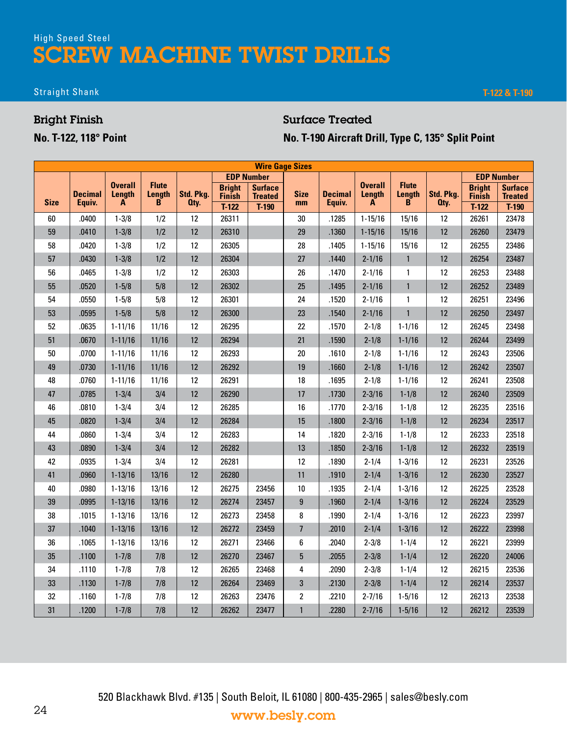# High Speed Steel SCREW MACHINE TWIST DRILLS

#### Straight Shank **T-122 & T-190**

#### Bright Finish

**No. T-122, 118° Point**

### Surface Treated **No. T-190 Aircraft Drill, Type C, 135° Split Point**

|             | <b>Wire Gage Sizes</b><br><b>EDP Number</b><br><b>EDP Number</b> |                               |                             |                   |                                |                                  |                          |                          |                               |                             |                   |                                |                                  |  |
|-------------|------------------------------------------------------------------|-------------------------------|-----------------------------|-------------------|--------------------------------|----------------------------------|--------------------------|--------------------------|-------------------------------|-----------------------------|-------------------|--------------------------------|----------------------------------|--|
|             |                                                                  |                               |                             |                   |                                |                                  |                          |                          |                               |                             |                   |                                |                                  |  |
| <b>Size</b> | <b>Decimal</b><br>Equiv.                                         | <b>Overall</b><br>Length<br>A | <b>Flute</b><br>Length<br>B | Std. Pkg.<br>Oty. | <b>Bright</b><br><b>Finish</b> | <b>Surface</b><br><b>Treated</b> | <b>Size</b><br>mm        | <b>Decimal</b><br>Equiv. | <b>Overall</b><br>Length<br>A | <b>Flute</b><br>Length<br>B | Std. Pkg.<br>Oty. | <b>Bright</b><br><b>Finish</b> | <b>Surface</b><br><b>Treated</b> |  |
|             |                                                                  |                               |                             |                   | $T-122$                        | $T-190$                          |                          |                          |                               |                             |                   | $T-122$                        | $T-190$                          |  |
| 60          | .0400                                                            | $1 - 3/8$                     | 1/2                         | 12                | 26311                          |                                  | 30                       | .1285                    | $1 - 15/16$                   | 15/16                       | 12                | 26261                          | 23478                            |  |
| 59          | .0410                                                            | $1 - 3/8$                     | 1/2                         | 12                | 26310                          |                                  | 29                       | .1360                    | $1 - 15/16$                   | 15/16                       | 12                | 26260                          | 23479                            |  |
| 58          | .0420                                                            | $1 - 3/8$                     | 1/2                         | 12                | 26305                          |                                  | 28                       | .1405                    | $1 - 15/16$                   | 15/16                       | 12                | 26255                          | 23486                            |  |
| 57          | .0430                                                            | $1 - 3/8$                     | 1/2                         | 12                | 26304                          |                                  | 27                       | .1440                    | $2 - 1/16$                    | $\mathbf{1}$                | 12                | 26254                          | 23487                            |  |
| 56          | .0465                                                            | $1 - 3/8$                     | 1/2                         | 12                | 26303                          |                                  | 26                       | .1470                    | $2 - 1/16$                    | 1                           | 12                | 26253                          | 23488                            |  |
| 55          | .0520                                                            | $1 - 5/8$                     | 5/8                         | 12                | 26302                          |                                  | 25                       | .1495                    | $2 - 1/16$                    | $\mathbf{1}$                | 12                | 26252                          | 23489                            |  |
| 54          | .0550                                                            | $1 - 5/8$                     | 5/8                         | 12                | 26301                          |                                  | 24                       | .1520                    | $2 - 1/16$                    | 1                           | 12                | 26251                          | 23496                            |  |
| 53          | .0595                                                            | $1 - 5/8$                     | 5/8                         | 12                | 26300                          |                                  | 23                       | .1540                    | $2 - 1/16$                    | $\mathbf{1}$                | 12                | 26250                          | 23497                            |  |
| 52          | .0635                                                            | $1 - 11/16$                   | 11/16                       | 12                | 26295                          |                                  | 22                       | .1570                    | $2 - 1/8$                     | $1 - 1/16$                  | 12                | 26245                          | 23498                            |  |
| 51          | .0670                                                            | $1 - 11/16$                   | 11/16                       | 12                | 26294                          |                                  | 21                       | .1590                    | $2 - 1/8$                     | $1 - 1/16$                  | 12                | 26244                          | 23499                            |  |
| 50          | .0700                                                            | $1 - 11/16$                   | 11/16                       | 12                | 26293                          |                                  | 20                       | .1610                    | $2 - 1/8$                     | $1 - 1/16$                  | 12                | 26243                          | 23506                            |  |
| 49          | .0730                                                            | $1 - 11/16$                   | 11/16                       | 12                | 26292                          |                                  | 19                       | .1660                    | $2 - 1/8$                     | $1 - 1/16$                  | 12                | 26242                          | 23507                            |  |
| 48          | .0760                                                            | $1 - 11/16$                   | 11/16                       | 12                | 26291                          |                                  | 18                       | .1695                    | $2 - 1/8$                     | $1 - 1/16$                  | 12                | 26241                          | 23508                            |  |
| 47          | .0785                                                            | $1 - 3/4$                     | 3/4                         | 12                | 26290                          |                                  | 17                       | .1730                    | $2 - 3/16$                    | $1 - 1/8$                   | 12                | 26240                          | 23509                            |  |
| 46          | .0810                                                            | $1 - 3/4$                     | 3/4                         | 12                | 26285                          |                                  | 16                       | .1770                    | $2 - 3/16$                    | $1 - 1/8$                   | 12                | 26235                          | 23516                            |  |
| 45          | .0820                                                            | $1 - 3/4$                     | 3/4                         | 12                | 26284                          |                                  | 15                       | .1800                    | $2 - 3/16$                    | $1 - 1/8$                   | 12                | 26234                          | 23517                            |  |
| 44          | .0860                                                            | $1 - 3/4$                     | 3/4                         | 12                | 26283                          |                                  | 14                       | .1820                    | $2 - 3/16$                    | $1 - 1/8$                   | 12                | 26233                          | 23518                            |  |
| 43          | .0890                                                            | $1 - 3/4$                     | 3/4                         | 12                | 26282                          |                                  | 13                       | .1850                    | $2 - 3/16$                    | $1 - 1/8$                   | 12                | 26232                          | 23519                            |  |
| 42          | .0935                                                            | $1 - 3/4$                     | 3/4                         | 12                | 26281                          |                                  | 12                       | .1890                    | $2 - 1/4$                     | $1 - 3/16$                  | 12                | 26231                          | 23526                            |  |
| 41          | .0960                                                            | $1 - 13/16$                   | 13/16                       | 12                | 26280                          |                                  | 11                       | .1910                    | $2 - 1/4$                     | $1 - 3/16$                  | 12                | 26230                          | 23527                            |  |
| 40          | .0980                                                            | $1 - 13/16$                   | 13/16                       | 12                | 26275                          | 23456                            | $10\,$                   | .1935                    | $2 - 1/4$                     | $1 - 3/16$                  | 12                | 26225                          | 23528                            |  |
| 39          | .0995                                                            | $1 - 13/16$                   | 13/16                       | 12                | 26274                          | 23457                            | 9                        | .1960                    | $2 - 1/4$                     | $1 - 3/16$                  | 12                | 26224                          | 23529                            |  |
| 38          | .1015                                                            | $1 - 13/16$                   | 13/16                       | 12                | 26273                          | 23458                            | 8                        | .1990                    | $2 - 1/4$                     | $1 - 3/16$                  | 12                | 26223                          | 23997                            |  |
| 37          | .1040                                                            | $1 - 13/16$                   | 13/16                       | 12                | 26272                          | 23459                            | $\overline{\phantom{a}}$ | .2010                    | $2 - 1/4$                     | $1 - 3/16$                  | 12                | 26222                          | 23998                            |  |
| 36          | .1065                                                            | $1 - 13/16$                   | 13/16                       | 12                | 26271                          | 23466                            | 6                        | .2040                    | $2 - 3/8$                     | $1 - 1/4$                   | 12                | 26221                          | 23999                            |  |
| 35          | .1100                                                            | $1 - 7/8$                     | 7/8                         | 12                | 26270                          | 23467                            | 5                        | .2055                    | $2 - 3/8$                     | $1 - 1/4$                   | 12                | 26220                          | 24006                            |  |
| 34          | .1110                                                            | $1 - 7/8$                     | 7/8                         | 12                | 26265                          | 23468                            | 4                        | .2090                    | $2 - 3/8$                     | $1 - 1/4$                   | 12                | 26215                          | 23536                            |  |
| 33          | .1130                                                            | $1 - 7/8$                     | 7/8                         | 12                | 26264                          | 23469                            | 3                        | .2130                    | $2 - 3/8$                     | $1 - 1/4$                   | 12                | 26214                          | 23537                            |  |
| 32          | .1160                                                            | $1 - 7/8$                     | 7/8                         | 12                | 26263                          | 23476                            | 2                        | .2210                    | $2 - 7/16$                    | $1 - 5/16$                  | 12                | 26213                          | 23538                            |  |
| 31          | .1200                                                            | $1 - 7/8$                     | 7/8                         | 12                | 26262                          | 23477                            | $\mathbf{1}$             | .2280                    | $2 - 7/16$                    | $1 - 5/16$                  | 12                | 26212                          | 23539                            |  |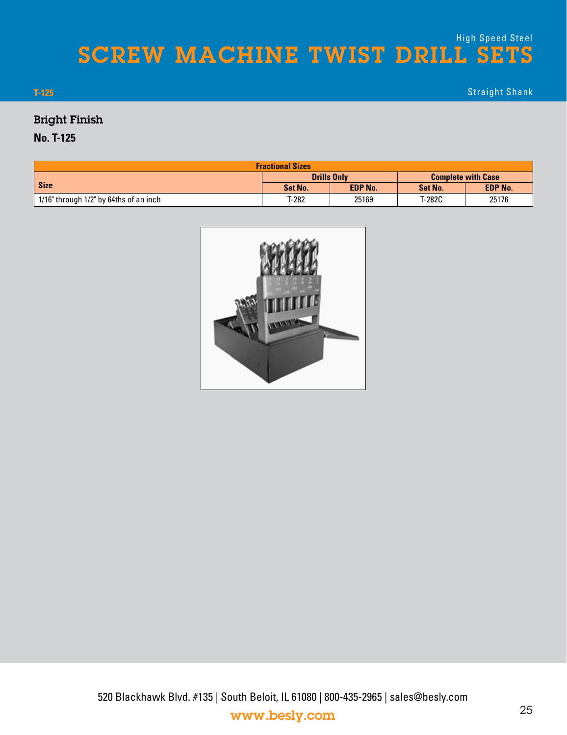# SCREW MACHINE TWIST DRILL SETS High Speed Steel

Straight Shank

#### **T-125**

### Bright Finish

#### **No. T-125**

| <b>Fractional Sizes</b>                |         |                    |                           |                |  |  |  |  |  |
|----------------------------------------|---------|--------------------|---------------------------|----------------|--|--|--|--|--|
|                                        |         | <b>Drills Only</b> | <b>Complete with Case</b> |                |  |  |  |  |  |
| <b>Size</b>                            | Set No. | <b>EDP No.</b>     | Set No.                   | <b>EDP No.</b> |  |  |  |  |  |
| 1/16" through 1/2" by 64ths of an inch | T-282   | 25169              | T-282C                    | 25176          |  |  |  |  |  |

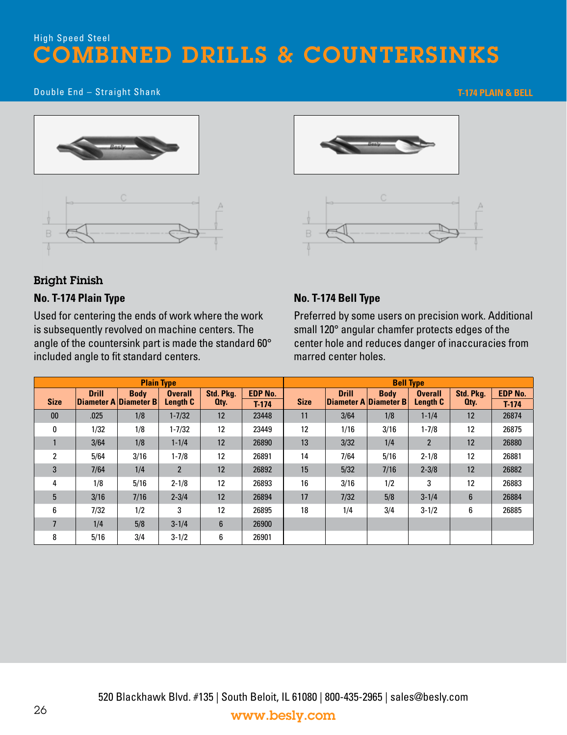## High Speed Steel OMBINED DRILLS & COUNTERSINKS

#### Double End – Straight Shank

#### **T-174 PLAIN & BELL**







#### Bright Finish

#### **No. T-174 Plain Type**

Used for centering the ends of work where the work is subsequently revolved on machine centers. The angle of the countersink part is made the standard 60° included angle to fit standard centers.

#### **No. T-174 Bell Type**

Preferred by some users on precision work. Additional small 120° angular chamfer protects edges of the center hole and reduces danger of inaccuracies from marred center holes.

|             |              | <b>Plain Type</b>                    |                            |                   |                           | <b>Bell Type</b> |              |                                      |                                   |                   |                           |  |
|-------------|--------------|--------------------------------------|----------------------------|-------------------|---------------------------|------------------|--------------|--------------------------------------|-----------------------------------|-------------------|---------------------------|--|
| <b>Size</b> | <b>Drill</b> | <b>Body</b><br>Diameter A Diameter B | <b>Overall</b><br>Length C | Std. Pkg.<br>Oty. | <b>EDP No.</b><br>$T-174$ | <b>Size</b>      | <b>Drill</b> | <b>Body</b><br>Diameter A Diameter B | <b>Overall</b><br><b>Length C</b> | Std. Pkg.<br>Oty. | <b>EDP No.</b><br>$T-174$ |  |
| 00          | .025         | 1/8                                  | $1 - 7/32$                 | 12                | 23448                     | 11               | 3/64         | 1/8                                  | $1 - 1/4$                         | 12                | 26874                     |  |
| 0           | 1/32         | 1/8                                  | $1 - 7/32$                 | 12                | 23449                     | 12               | 1/16         | 3/16                                 | $1 - 7/8$                         | 12                | 26875                     |  |
|             | 3/64         | 1/8                                  | $1 - 1/4$                  | 12                | 26890                     | 13               | 3/32         | 1/4                                  | $\overline{2}$                    | 12                | 26880                     |  |
| 2           | 5/64         | 3/16                                 | $1 - 7/8$                  | 12                | 26891                     | 14               | 7/64         | 5/16                                 | $2 - 1/8$                         | 12                | 26881                     |  |
| 3           | 7/64         | 1/4                                  | $\overline{2}$             | 12                | 26892                     | 15               | 5/32         | 7/16                                 | $2 - 3/8$                         | 12                | 26882                     |  |
| 4           | 1/8          | 5/16                                 | $2 - 1/8$                  | 12                | 26893                     | 16               | 3/16         | 1/2                                  | 3                                 | 12                | 26883                     |  |
| 5           | 3/16         | 7/16                                 | $2 - 3/4$                  | 12                | 26894                     | 17               | 7/32         | 5/8                                  | $3 - 1/4$                         | $6\phantom{1}$    | 26884                     |  |
| 6           | 7/32         | 1/2                                  | 3                          | 12                | 26895                     | 18               | 1/4          | 3/4                                  | $3 - 1/2$                         | 6                 | 26885                     |  |
| 7           | 1/4          | 5/8                                  | $3 - 1/4$                  | 6                 | 26900                     |                  |              |                                      |                                   |                   |                           |  |
| 8           | 5/16         | 3/4                                  | $3 - 1/2$                  | 6                 | 26901                     |                  |              |                                      |                                   |                   |                           |  |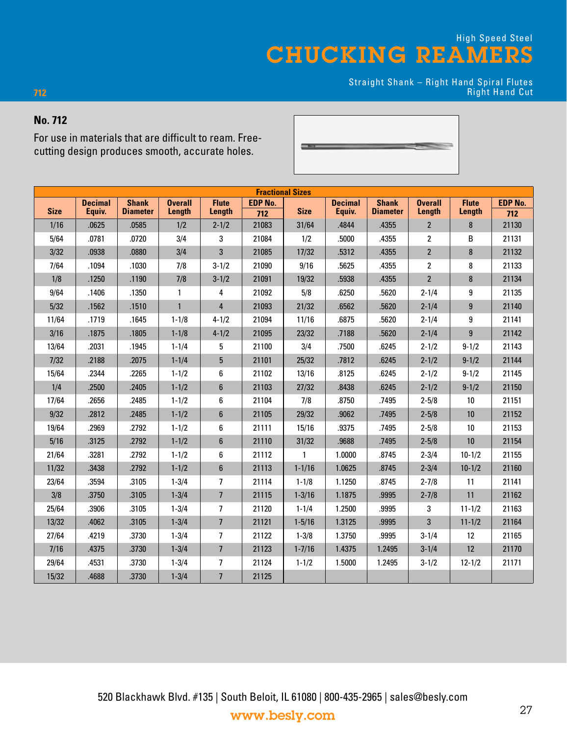Straight Shank – Right Hand Spiral Flutes Right Hand Cut

#### **No. 712**

**712**

For use in materials that are difficult to ream. Freecutting design produces smooth, accurate holes.

| <b>Fractional Sizes</b> |                |                 |                |                  |                |              |                |                 |                |                  |                |
|-------------------------|----------------|-----------------|----------------|------------------|----------------|--------------|----------------|-----------------|----------------|------------------|----------------|
|                         | <b>Decimal</b> | <b>Shank</b>    | <b>Overall</b> | <b>Flute</b>     | <b>EDP No.</b> |              | <b>Decimal</b> | <b>Shank</b>    | <b>Overall</b> | <b>Flute</b>     | <b>EDP No.</b> |
| <b>Size</b>             | Equiv.         | <b>Diameter</b> | Length         | Length           | 712            | <b>Size</b>  | Equiv.         | <b>Diameter</b> | Length         | <b>Length</b>    | 712            |
| 1/16                    | .0625          | .0585           | 1/2            | $2 - 1/2$        | 21083          | 31/64        | .4844          | .4355           | $\overline{2}$ | 8                | 21130          |
| 5/64                    | .0781          | .0720           | 3/4            | 3                | 21084          | 1/2          | .5000          | .4355           | $\overline{2}$ | B                | 21131          |
| 3/32                    | .0938          | .0880           | 3/4            | 3                | 21085          | 17/32        | .5312          | .4355           | $\overline{2}$ | 8                | 21132          |
| 7/64                    | .1094          | .1030           | 7/8            | $3 - 1/2$        | 21090          | 9/16         | .5625          | .4355           | $\overline{2}$ | 8                | 21133          |
| 1/8                     | .1250          | .1190           | 7/8            | $3 - 1/2$        | 21091          | 19/32        | .5938          | .4355           | $\overline{2}$ | $\bf 8$          | 21134          |
| 9/64                    | .1406          | .1350           | $\mathbf{1}$   | 4                | 21092          | 5/8          | .6250          | .5620           | $2 - 1/4$      | $\boldsymbol{9}$ | 21135          |
| $5/32$                  | .1562          | .1510           | $\mathbf{1}$   | $\overline{4}$   | 21093          | 21/32        | .6562          | .5620           | $2 - 1/4$      | $\boldsymbol{9}$ | 21140          |
| 11/64                   | .1719          | .1645           | $1 - 1/8$      | $4 - 1/2$        | 21094          | 11/16        | .6875          | .5620           | $2 - 1/4$      | $\boldsymbol{9}$ | 21141          |
| 3/16                    | .1875          | .1805           | $1 - 1/8$      | $4 - 1/2$        | 21095          | 23/32        | .7188          | .5620           | $2 - 1/4$      | $\boldsymbol{9}$ | 21142          |
| 13/64                   | .2031          | .1945           | $1 - 1/4$      | 5                | 21100          | 3/4          | .7500          | .6245           | $2 - 1/2$      | $9 - 1/2$        | 21143          |
| $7/32$                  | .2188          | .2075           | $1 - 1/4$      | $5\phantom{.0}$  | 21101          | 25/32        | .7812          | .6245           | $2 - 1/2$      | $9 - 1/2$        | 21144          |
| 15/64                   | .2344          | .2265           | $1 - 1/2$      | 6                | 21102          | 13/16        | .8125          | .6245           | $2 - 1/2$      | $9 - 1/2$        | 21145          |
| 1/4                     | .2500          | .2405           | $1 - 1/2$      | $\boldsymbol{6}$ | 21103          | 27/32        | .8438          | .6245           | $2 - 1/2$      | $9 - 1/2$        | 21150          |
| 17/64                   | .2656          | .2485           | $1 - 1/2$      | 6                | 21104          | 7/8          | .8750          | .7495           | $2 - 5/8$      | 10               | 21151          |
| 9/32                    | .2812          | .2485           | $1 - 1/2$      | $\boldsymbol{6}$ | 21105          | 29/32        | .9062          | .7495           | $2 - 5/8$      | $10\,$           | 21152          |
| 19/64                   | .2969          | .2792           | $1 - 1/2$      | 6                | 21111          | 15/16        | .9375          | .7495           | $2 - 5/8$      | $10$             | 21153          |
| 5/16                    | .3125          | .2792           | $1 - 1/2$      | $\boldsymbol{6}$ | 21110          | 31/32        | .9688          | .7495           | $2 - 5/8$      | $10\,$           | 21154          |
| 21/64                   | .3281          | .2792           | $1 - 1/2$      | 6                | 21112          | $\mathbf{1}$ | 1.0000         | .8745           | $2 - 3/4$      | $10 - 1/2$       | 21155          |
| 11/32                   | .3438          | .2792           | $1 - 1/2$      | $\bf 6$          | 21113          | $1 - 1/16$   | 1.0625         | .8745           | $2 - 3/4$      | $10 - 1/2$       | 21160          |
| 23/64                   | .3594          | .3105           | $1 - 3/4$      | $\overline{7}$   | 21114          | $1 - 1/8$    | 1.1250         | .8745           | $2 - 7/8$      | 11               | 21141          |
| 3/8                     | .3750          | .3105           | $1 - 3/4$      | $\overline{7}$   | 21115          | $1 - 3/16$   | 1.1875         | .9995           | $2 - 7/8$      | 11               | 21162          |
| 25/64                   | .3906          | .3105           | $1 - 3/4$      | $\overline{7}$   | 21120          | $1 - 1/4$    | 1.2500         | .9995           | 3              | $11 - 1/2$       | 21163          |
| 13/32                   | .4062          | .3105           | $1 - 3/4$      | $\overline{7}$   | 21121          | $1 - 5/16$   | 1.3125         | .9995           | 3              | $11 - 1/2$       | 21164          |
| 27/64                   | .4219          | .3730           | $1 - 3/4$      | 7                | 21122          | $1 - 3/8$    | 1.3750         | .9995           | $3 - 1/4$      | 12               | 21165          |
| 7/16                    | .4375          | .3730           | $1 - 3/4$      | $\overline{7}$   | 21123          | $1 - 7/16$   | 1.4375         | 1.2495          | $3 - 1/4$      | 12               | 21170          |
| 29/64                   | .4531          | .3730           | $1 - 3/4$      | $\overline{1}$   | 21124          | $1 - 1/2$    | 1.5000         | 1.2495          | $3 - 1/2$      | $12 - 1/2$       | 21171          |
| 15/32                   | .4688          | .3730           | $1 - 3/4$      | $\overline{7}$   | 21125          |              |                |                 |                |                  |                |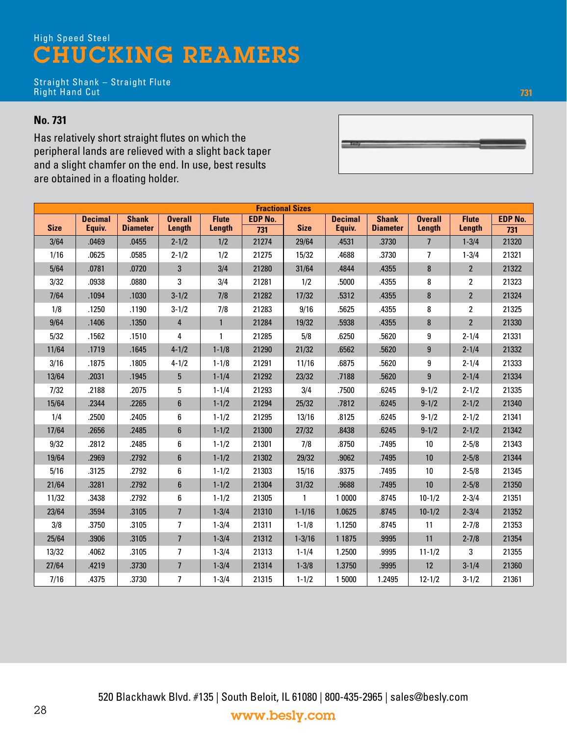Straight Shank – Straight Flute Right Hand Cut

#### **No. 731**

Has relatively short straight flutes on which the peripheral lands are relieved with a slight back taper and a slight chamfer on the end. In use, best results are obtained in a floating holder.

| <b>Fractional Sizes</b> |                |                 |                          |              |                |             |                |                 |                 |                |                |
|-------------------------|----------------|-----------------|--------------------------|--------------|----------------|-------------|----------------|-----------------|-----------------|----------------|----------------|
|                         | <b>Decimal</b> | <b>Shank</b>    | <b>Overall</b>           | <b>Flute</b> | <b>EDP No.</b> |             | <b>Decimal</b> | <b>Shank</b>    | <b>Overall</b>  | <b>Flute</b>   | <b>EDP No.</b> |
| <b>Size</b>             | Equiv.         | <b>Diameter</b> | Length                   | Length       | 731            | <b>Size</b> | Equiv.         | <b>Diameter</b> | Length          | Length         | 731            |
| 3/64                    | .0469          | .0455           | $2 - 1/2$                | 1/2          | 21274          | 29/64       | .4531          | .3730           | $7\overline{ }$ | $1 - 3/4$      | 21320          |
| 1/16                    | .0625          | .0585           | $2 - 1/2$                | 1/2          | 21275          | 15/32       | .4688          | .3730           | 7               | $1 - 3/4$      | 21321          |
| 5/64                    | .0781          | .0720           | $\mathbf{3}$             | 3/4          | 21280          | 31/64       | .4844          | .4355           | 8               | $\overline{2}$ | 21322          |
| 3/32                    | .0938          | .0880           | 3                        | 3/4          | 21281          | 1/2         | .5000          | .4355           | 8               | $\overline{2}$ | 21323          |
| 7/64                    | .1094          | .1030           | $3 - 1/2$                | 7/8          | 21282          | 17/32       | .5312          | .4355           | 8               | $\overline{2}$ | 21324          |
| 1/8                     | .1250          | .1190           | $3 - 1/2$                | 7/8          | 21283          | 9/16        | .5625          | .4355           | 8               | $\overline{2}$ | 21325          |
| 9/64                    | .1406          | .1350           | $\overline{4}$           | $\mathbf{1}$ | 21284          | 19/32       | .5938          | .4355           | 8               | $\overline{2}$ | 21330          |
| 5/32                    | .1562          | .1510           | 4                        | 1            | 21285          | 5/8         | .6250          | .5620           | 9               | $2 - 1/4$      | 21331          |
| 11/64                   | .1719          | .1645           | $4 - 1/2$                | $1 - 1/8$    | 21290          | 21/32       | .6562          | .5620           | $\overline{9}$  | $2 - 1/4$      | 21332          |
| 3/16                    | .1875          | .1805           | $4 - 1/2$                | $1 - 1/8$    | 21291          | 11/16       | .6875          | .5620           | 9               | $2 - 1/4$      | 21333          |
| 13/64                   | .2031          | .1945           | $\overline{5}$           | $1 - 1/4$    | 21292          | 23/32       | .7188          | .5620           | $\overline{9}$  | $2 - 1/4$      | 21334          |
| 7/32                    | .2188          | .2075           | 5                        | $1 - 1/4$    | 21293          | 3/4         | .7500          | .6245           | $9 - 1/2$       | $2 - 1/2$      | 21335          |
| 15/64                   | .2344          | .2265           | 6                        | $1 - 1/2$    | 21294          | 25/32       | .7812          | .6245           | $9 - 1/2$       | $2 - 1/2$      | 21340          |
| 1/4                     | .2500          | .2405           | 6                        | $1 - 1/2$    | 21295          | 13/16       | .8125          | .6245           | $9 - 1/2$       | $2 - 1/2$      | 21341          |
| 17/64                   | .2656          | .2485           | 6                        | $1 - 1/2$    | 21300          | 27/32       | .8438          | .6245           | $9 - 1/2$       | $2 - 1/2$      | 21342          |
| 9/32                    | .2812          | .2485           | 6                        | $1 - 1/2$    | 21301          | 7/8         | .8750          | .7495           | 10              | $2 - 5/8$      | 21343          |
| 19/64                   | .2969          | .2792           | 6                        | $1 - 1/2$    | 21302          | 29/32       | .9062          | .7495           | 10              | $2 - 5/8$      | 21344          |
| 5/16                    | .3125          | .2792           | 6                        | $1 - 1/2$    | 21303          | 15/16       | .9375          | .7495           | 10              | $2 - 5/8$      | 21345          |
| 21/64                   | .3281          | .2792           | 6                        | $1 - 1/2$    | 21304          | 31/32       | .9688          | .7495           | 10              | $2 - 5/8$      | 21350          |
| 11/32                   | .3438          | .2792           | 6                        | $1 - 1/2$    | 21305          | 1           | 1 0000         | .8745           | $10 - 1/2$      | $2 - 3/4$      | 21351          |
| 23/64                   | .3594          | .3105           | $\overline{\phantom{a}}$ | $1 - 3/4$    | 21310          | $1 - 1/16$  | 1.0625         | .8745           | $10 - 1/2$      | $2 - 3/4$      | 21352          |
| 3/8                     | .3750          | .3105           | 7                        | $1 - 3/4$    | 21311          | $1 - 1/8$   | 1.1250         | .8745           | 11              | $2 - 7/8$      | 21353          |
| 25/64                   | .3906          | .3105           | $\overline{7}$           | $1 - 3/4$    | 21312          | $1 - 3/16$  | 1 1 8 7 5      | .9995           | 11              | $2 - 7/8$      | 21354          |
| 13/32                   | .4062          | .3105           | $\overline{7}$           | $1 - 3/4$    | 21313          | $1 - 1/4$   | 1.2500         | .9995           | $11 - 1/2$      | 3              | 21355          |
| 27/64                   | .4219          | .3730           | $\overline{\phantom{a}}$ | $1 - 3/4$    | 21314          | $1 - 3/8$   | 1.3750         | .9995           | 12              | $3 - 1/4$      | 21360          |
| 7/16                    | .4375          | .3730           | 7                        | $1 - 3/4$    | 21315          | $1 - 1/2$   | 15000          | 1.2495          | $12 - 1/2$      | $3 - 1/2$      | 21361          |



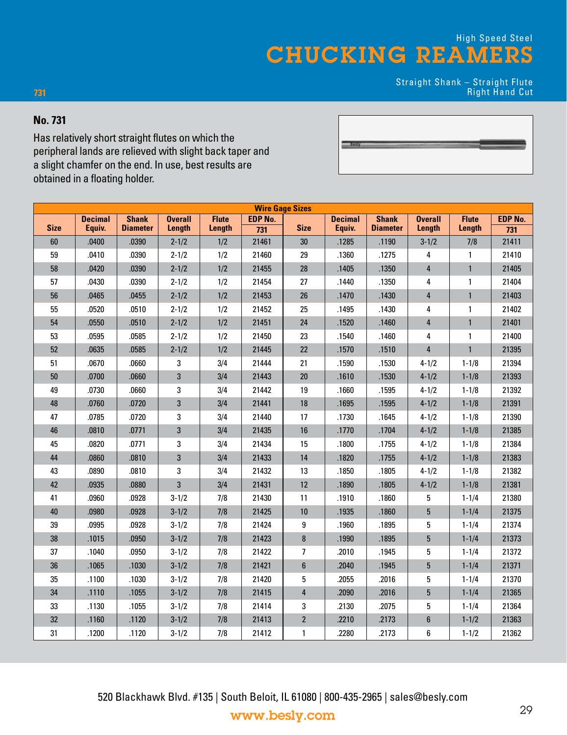$\equiv$ 

Straight Shank – Straight Flute Right Hand Cut

#### **No. 731**

**731**

Has relatively short straight flutes on which the peripheral lands are relieved with slight back taper and a slight chamfer on the end. In use, best results are obtained in a floating holder.

|             | <b>Wire Gage Sizes</b> |                 |                |              |                |                  |                |                 |                |              |         |
|-------------|------------------------|-----------------|----------------|--------------|----------------|------------------|----------------|-----------------|----------------|--------------|---------|
|             | <b>Decimal</b>         | <b>Shank</b>    | <b>Overall</b> | <b>Flute</b> | <b>EDP No.</b> |                  | <b>Decimal</b> | <b>Shank</b>    | <b>Overall</b> | <b>Flute</b> | EDP No. |
| <b>Size</b> | Equiv.                 | <b>Diameter</b> | Length         | Length       | 731            | <b>Size</b>      | Equiv.         | <b>Diameter</b> | Length         | Length       | 731     |
| 60          | .0400                  | .0390           | $2 - 1/2$      | 1/2          | 21461          | 30               | .1285          | .1190           | $3 - 1/2$      | 7/8          | 21411   |
| 59          | .0410                  | .0390           | $2 - 1/2$      | 1/2          | 21460          | 29               | .1360          | .1275           | 4              | 1            | 21410   |
| 58          | .0420                  | .0390           | $2 - 1/2$      | 1/2          | 21455          | 28               | .1405          | .1350           | 4              | $\mathbf{1}$ | 21405   |
| 57          | .0430                  | .0390           | $2 - 1/2$      | 1/2          | 21454          | 27               | .1440          | .1350           | 4              | 1            | 21404   |
| 56          | .0465                  | .0455           | $2 - 1/2$      | 1/2          | 21453          | 26               | .1470          | .1430           | $\overline{4}$ | $\mathbf{1}$ | 21403   |
| 55          | .0520                  | .0510           | $2 - 1/2$      | 1/2          | 21452          | 25               | .1495          | .1430           | 4              | 1            | 21402   |
| 54          | .0550                  | .0510           | $2 - 1/2$      | 1/2          | 21451          | 24               | .1520          | .1460           | 4              | $\mathbf{1}$ | 21401   |
| 53          | .0595                  | .0585           | $2 - 1/2$      | 1/2          | 21450          | 23               | .1540          | .1460           | 4              | 1            | 21400   |
| 52          | .0635                  | .0585           | $2 - 1/2$      | 1/2          | 21445          | 22               | .1570          | .1510           | $\overline{4}$ | $\mathbf{1}$ | 21395   |
| 51          | .0670                  | .0660           | 3              | 3/4          | 21444          | 21               | .1590          | .1530           | $4 - 1/2$      | $1 - 1/8$    | 21394   |
| $50\,$      | .0700                  | .0660           | $\mathbf 3$    | 3/4          | 21443          | 20               | .1610          | .1530           | $4 - 1/2$      | $1 - 1/8$    | 21393   |
| 49          | .0730                  | .0660           | 3              | 3/4          | 21442          | 19               | .1660          | .1595           | $4 - 1/2$      | $1 - 1/8$    | 21392   |
| 48          | .0760                  | .0720           | 3              | 3/4          | 21441          | 18               | .1695          | .1595           | $4 - 1/2$      | $1 - 1/8$    | 21391   |
| 47          | .0785                  | .0720           | 3              | 3/4          | 21440          | 17               | .1730          | .1645           | $4 - 1/2$      | $1 - 1/8$    | 21390   |
| 46          | .0810                  | .0771           | $\mathbf 3$    | 3/4          | 21435          | 16               | .1770          | .1704           | $4 - 1/2$      | $1 - 1/8$    | 21385   |
| 45          | .0820                  | .0771           | 3              | 3/4          | 21434          | 15               | .1800          | .1755           | $4 - 1/2$      | $1 - 1/8$    | 21384   |
| 44          | .0860                  | .0810           | 3              | 3/4          | 21433          | 14               | .1820          | .1755           | $4 - 1/2$      | $1 - 1/8$    | 21383   |
| 43          | .0890                  | .0810           | 3              | 3/4          | 21432          | 13               | .1850          | .1805           | $4 - 1/2$      | $1 - 1/8$    | 21382   |
| 42          | .0935                  | .0880           | $\mathbf{3}$   | 3/4          | 21431          | 12               | .1890          | .1805           | $4 - 1/2$      | $1 - 1/8$    | 21381   |
| 41          | .0960                  | .0928           | $3 - 1/2$      | 7/8          | 21430          | 11               | .1910          | .1860           | 5              | $1 - 1/4$    | 21380   |
| 40          | .0980                  | .0928           | $3 - 1/2$      | 7/8          | 21425          | 10               | .1935          | .1860           | 5              | $1 - 1/4$    | 21375   |
| 39          | .0995                  | .0928           | $3 - 1/2$      | 7/8          | 21424          | 9                | .1960          | .1895           | 5              | $1 - 1/4$    | 21374   |
| 38          | .1015                  | .0950           | $3 - 1/2$      | 7/8          | 21423          | $\bf 8$          | .1990          | .1895           | 5              | $1 - 1/4$    | 21373   |
| 37          | .1040                  | .0950           | $3 - 1/2$      | 7/8          | 21422          | 7                | .2010          | .1945           | 5              | $1 - 1/4$    | 21372   |
| 36          | .1065                  | .1030           | $3 - 1/2$      | 7/8          | 21421          | $\boldsymbol{6}$ | .2040          | .1945           | 5              | $1 - 1/4$    | 21371   |
| 35          | .1100                  | .1030           | $3 - 1/2$      | 7/8          | 21420          | 5                | .2055          | .2016           | 5              | $1 - 1/4$    | 21370   |
| 34          | .1110                  | .1055           | $3 - 1/2$      | 7/8          | 21415          | 4                | .2090          | .2016           | 5              | $1 - 1/4$    | 21365   |
| 33          | .1130                  | .1055           | $3 - 1/2$      | 7/8          | 21414          | 3                | .2130          | .2075           | 5              | $1 - 1/4$    | 21364   |
| 32          | .1160                  | .1120           | $3 - 1/2$      | 7/8          | 21413          | $\overline{2}$   | .2210          | .2173           | 6              | $1 - 1/2$    | 21363   |
| 31          | .1200                  | .1120           | $3 - 1/2$      | 7/8          | 21412          | 1                | .2280          | .2173           | 6              | $1 - 1/2$    | 21362   |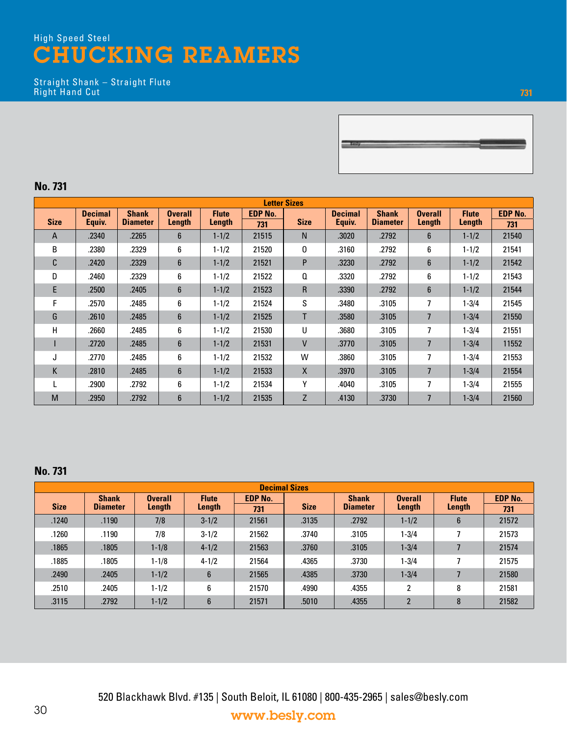Straight Shank – Straight Flute Right Hand Cut



#### **No. 731**

| <b>Letter Sizes</b> |                |                 |                 |                                |       |              |                |                 |                |              |                |  |
|---------------------|----------------|-----------------|-----------------|--------------------------------|-------|--------------|----------------|-----------------|----------------|--------------|----------------|--|
|                     | <b>Decimal</b> | <b>Shank</b>    | <b>Overall</b>  | <b>EDP No.</b><br><b>Flute</b> |       |              | <b>Decimal</b> | <b>Shank</b>    | <b>Overall</b> | <b>Flute</b> | <b>EDP No.</b> |  |
| <b>Size</b>         | Equiv.         | <b>Diameter</b> | Length          | Length                         | 731   | <b>Size</b>  | Equiv.         | <b>Diameter</b> | Length         | Length       | 731            |  |
| A                   | .2340          | .2265           | $6\overline{6}$ | $1 - 1/2$                      | 21515 | N            | .3020          | .2792           | $6\phantom{1}$ | $1 - 1/2$    | 21540          |  |
| B                   | .2380          | .2329           | 6               | $1 - 1/2$                      | 21520 | 0            | .3160          | .2792           | 6              | $1 - 1/2$    | 21541          |  |
| C                   | .2420          | .2329           | $6\overline{6}$ | $1 - 1/2$                      | 21521 | P            | .3230          | .2792           | $6\phantom{1}$ | $1 - 1/2$    | 21542          |  |
| D                   | .2460          | .2329           | 6               | $1 - 1/2$                      | 21522 | Q            | .3320          | .2792           | 6              | $1 - 1/2$    | 21543          |  |
| E                   | .2500          | .2405           | $6\phantom{.}$  | $1 - 1/2$                      | 21523 | R            | .3390          | .2792           | 6              | $1 - 1/2$    | 21544          |  |
| F                   | .2570          | .2485           | 6               | $1 - 1/2$                      | 21524 | S            | .3480          | .3105           | 7              | $1 - 3/4$    | 21545          |  |
| G                   | .2610          | .2485           | $6\phantom{.}$  | $1 - 1/2$                      | 21525 | T            | .3580          | .3105           | $\overline{7}$ | $1 - 3/4$    | 21550          |  |
| Н                   | .2660          | .2485           | 6               | $1 - 1/2$                      | 21530 | U            | .3680          | .3105           | 7              | $1 - 3/4$    | 21551          |  |
|                     | .2720          | .2485           | 6               | $1 - 1/2$                      | 21531 | $\mathsf{V}$ | .3770          | .3105           | $\overline{7}$ | $1 - 3/4$    | 11552          |  |
| J                   | .2770          | .2485           | 6               | $1 - 1/2$                      | 21532 | W            | .3860          | .3105           | 7              | $1 - 3/4$    | 21553          |  |
| K                   | .2810          | .2485           | $6\phantom{1}$  | $1 - 1/2$                      | 21533 | X            | .3970          | .3105           | 7              | $1 - 3/4$    | 21554          |  |
|                     | .2900          | .2792           | 6               | $1 - 1/2$                      | 21534 | Υ            | .4040          | .3105           | 7              | $1 - 3/4$    | 21555          |  |
| M                   | .2950          | .2792           | $6\phantom{1}$  | $1 - 1/2$                      | 21535 | Z            | .4130          | .3730           | $\overline{7}$ | $1 - 3/4$    | 21560          |  |

#### **No. 731**

| <b>Decimal Sizes</b> |                 |                |                |                |             |                 |                |              |                |
|----------------------|-----------------|----------------|----------------|----------------|-------------|-----------------|----------------|--------------|----------------|
|                      | <b>Shank</b>    | <b>Overall</b> | <b>Flute</b>   | <b>EDP No.</b> |             | <b>Shank</b>    | <b>Overall</b> | <b>Flute</b> | <b>EDP No.</b> |
| <b>Size</b>          | <b>Diameter</b> | Length         | Length         | 731            | <b>Size</b> | <b>Diameter</b> | Length         | Length       | 731            |
| .1240                | .1190           | 7/8            | $3 - 1/2$      | 21561          | .3135       | .2792           | $1 - 1/2$      | 6            | 21572          |
| .1260                | .1190           | 7/8            | $3 - 1/2$      | 21562          | .3740       | .3105           | $1 - 3/4$      |              | 21573          |
| .1865                | .1805           | $1 - 1/8$      | $4 - 1/2$      | 21563          | .3760       | .3105           | $1 - 3/4$      |              | 21574          |
| .1885                | .1805           | $1 - 1/8$      | $4 - 1/2$      | 21564          | .4365       | .3730           | $1 - 3/4$      |              | 21575          |
| .2490                | .2405           | $1 - 1/2$      | $6\phantom{1}$ | 21565          | .4385       | .3730           | $1 - 3/4$      |              | 21580          |
| .2510                | .2405           | $1 - 1/2$      | 6              | 21570          | .4990       | .4355           | 2              | 8            | 21581          |
| .3115                | .2792           | $1 - 1/2$      | $6\phantom{1}$ | 21571          | .5010       | .4355           | $\overline{2}$ | 8            | 21582          |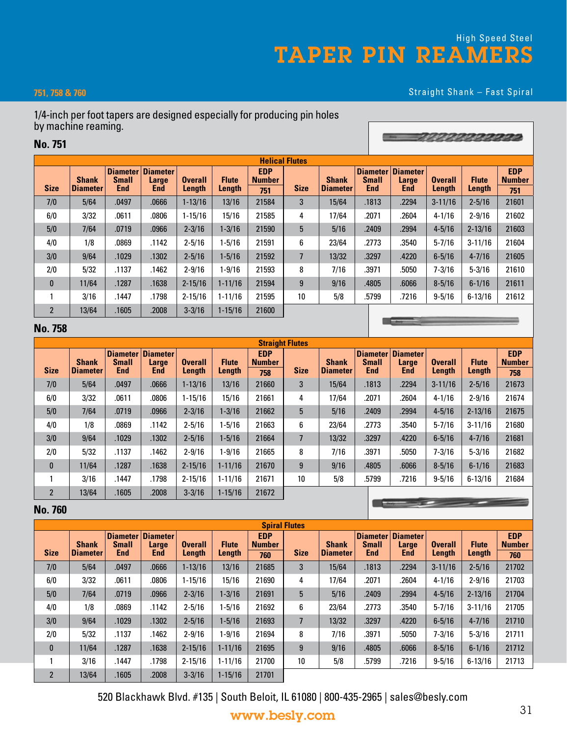# High Speed Steel TAPER PIN REAMERS

#### **751, 758 & 760**

#### Straight Shank – Fast Spiral

1 3 3 3 3 3 3 3 3 3 3

#### 1/4-inch per foot tapers are designed especially for producing pin holes by machine reaming.

#### **No. 751**

| <b>Size</b>    | <b>Shank</b><br><b>Diameter</b> | <b>Small</b><br><b>End</b> | Diameter Diameter<br>Large<br><b>End</b> | <b>Overall</b><br>Length | <b>Flute</b><br>Length | <b>EDP</b><br><b>Number</b><br>751 | <b>Size</b> | <b>Shank</b><br><b>Diameter</b> | <b>Small</b><br><b>End</b> | Diameter Diameter<br>Large<br><b>End</b> | <b>Overall</b><br>Length | <b>Flute</b><br>Length | <b>EDP</b><br><b>Number</b><br>751 |
|----------------|---------------------------------|----------------------------|------------------------------------------|--------------------------|------------------------|------------------------------------|-------------|---------------------------------|----------------------------|------------------------------------------|--------------------------|------------------------|------------------------------------|
| 7/0            | 5/64                            | .0497                      | .0666                                    | $1 - 13/16$              | 13/16                  | 21584                              | 3           | 15/64                           | .1813                      | .2294                                    | $3 - 11/16$              | $2 - 5/16$             | 21601                              |
| 6/0            | 3/32                            | .0611                      | .0806                                    | 1-15/16                  | 15/16                  | 21585                              | 4           | 17/64                           | .2071                      | .2604                                    | $4 - 1/16$               | $2 - 9/16$             | 21602                              |
| 5/0            | 7/64                            | .0719                      | .0966                                    | $2 - 3/16$               | $1 - 3/16$             | 21590                              | 5           | 5/16                            | .2409                      | .2994                                    | $4 - 5/16$               | $2 - 13/16$            | 21603                              |
| 4/0            | 1/8                             | .0869                      | .1142                                    | $2 - 5/16$               | $1 - 5/16$             | 21591                              | 6           | 23/64                           | .2773                      | .3540                                    | $5 - 7/16$               | $3 - 11/16$            | 21604                              |
| 3/0            | 9/64                            | .1029                      | .1302                                    | $2 - 5/16$               | $1 - 5/16$             | 21592                              | 7           | 13/32                           | .3297                      | .4220                                    | $6 - 5/16$               | $4 - 7/16$             | 21605                              |
| 2/0            | 5/32                            | .1137                      | .1462                                    | $2 - 9/16$               | 1-9/16                 | 21593                              | 8           | 7/16                            | .3971                      | .5050                                    | $7 - 3/16$               | $5 - 3/16$             | 21610                              |
| $\mathbf{0}$   | 11/64                           | .1287                      | .1638                                    | $2 - 15/16$              | $1 - 11/16$            | 21594                              | 9           | 9/16                            | .4805                      | .6066                                    | $8 - 5/16$               | $6 - 1/16$             | 21611                              |
|                | 3/16                            | .1447                      | .1798                                    | $2 - 15/16$              | $1 - 11/16$            | 21595                              | 10          | 5/8                             | .5799                      | .7216                                    | $9 - 5/16$               | $6 - 13/16$            | 21612                              |
| $\overline{2}$ | 13/64                           | .1605                      | .2008                                    | $3 - 3/16$               | $1 - 15/16$            | 21600                              |             |                                 |                            |                                          |                          |                        |                                    |

#### **No. 758**

| <b>Straight Flutes</b> |                          |                                               |                                        |                          |                        |                                    |             |                                 |                            |                                          |                          |                        |                                    |
|------------------------|--------------------------|-----------------------------------------------|----------------------------------------|--------------------------|------------------------|------------------------------------|-------------|---------------------------------|----------------------------|------------------------------------------|--------------------------|------------------------|------------------------------------|
| <b>Size</b>            | <b>Shank</b><br>Diameter | <b>Diameter</b><br><b>Small</b><br><b>End</b> | <b>Diameter</b><br>Large<br><b>End</b> | <b>Overall</b><br>Length | <b>Flute</b><br>Length | <b>EDP</b><br><b>Number</b><br>758 | <b>Size</b> | <b>Shank</b><br><b>Diameter</b> | <b>Small</b><br><b>End</b> | Diameter Diameter<br>Large<br><b>End</b> | <b>Overall</b><br>Length | <b>Flute</b><br>Length | <b>EDP</b><br><b>Number</b><br>758 |
| 7/0                    | 5/64                     | .0497                                         | .0666                                  | $1 - 13/16$              | 13/16                  | 21660                              | 3           | 15/64                           | .1813                      | .2294                                    | $3 - 11/16$              | $2 - 5/16$             | 21673                              |
| 6/0                    | 3/32                     | .0611                                         | .0806                                  | $1 - 15/16$              | 15/16                  | 21661                              | 4           | 17/64                           | .2071                      | .2604                                    | $4 - 1/16$               | $2 - 9/16$             | 21674                              |
| 5/0                    | 7/64                     | .0719                                         | .0966                                  | $2 - 3/16$               | $1 - 3/16$             | 21662                              | 5           | 5/16                            | .2409                      | .2994                                    | $4 - 5/16$               | $2 - 13/16$            | 21675                              |
| 4/0                    | 1/8                      | .0869                                         | .1142                                  | $2 - 5/16$               | $1 - 5/16$             | 21663                              | 6           | 23/64                           | .2773                      | .3540                                    | $5 - 7/16$               | $3 - 11/16$            | 21680                              |
| 3/0                    | 9/64                     | .1029                                         | .1302                                  | $2 - 5/16$               | $1 - 5/16$             | 21664                              | 7           | 13/32                           | .3297                      | .4220                                    | $6 - 5/16$               | $4 - 7/16$             | 21681                              |
| 2/0                    | 5/32                     | .1137                                         | .1462                                  | $2 - 9/16$               | $1 - 9/16$             | 21665                              | 8           | 7/16                            | .3971                      | .5050                                    | $7 - 3/16$               | $5 - 3/16$             | 21682                              |
| $\bf{0}$               | 11/64                    | .1287                                         | .1638                                  | $2 - 15/16$              | $1 - 11/16$            | 21670                              | 9           | 9/16                            | .4805                      | .6066                                    | $8 - 5/16$               | $6 - 1/16$             | 21683                              |
|                        | 3/16                     | .1447                                         | .1798                                  | $2 - 15/16$              | $1 - 11/16$            | 21671                              | 10          | 5/8                             | .5799                      | .7216                                    | $9 - 5/16$               | $6 - 13/16$            | 21684                              |
| $\overline{2}$         | 13/64                    | .1605                                         | .2008                                  | $3 - 3/16$               | $1 - 15/16$            | 21672                              |             |                                 |                            |                                          |                          |                        |                                    |

#### **No. 760**

**Spiral Flutes Size Shank Diameter Diameter Small End Diameter Large End Overall Length Flute Length EDP Number Size Shank Diameter Diameter Small End Diameter Large End Overall Length Flute Length EDP Number 760 760** 7/0 | 5/64 | .0497 | .0666 | 1-13/16 | 13/16 | 21685 | 3 | 15/64 | .1813 | .2294 | 3-11/16 | 2-5/16 | 21702 6/0 3/32 .0611 .0806 1-15/16 15/16 21690 4 17/64 .2071 .2604 4-1/16 2-9/16 21703 5/0 7/64 .0719 .0966 2-3/16 1-3/16 21691 5 5/16 .2409 .2994 4-5/16 2-13/16 21704 4/0 | 1/8 | .0869 | .1142 | 2-5/16 | 1-5/16 | 21692 | 6 | 23/64 | .2773 | .3540 | 5-7/16 | 3-11/16 | 21705 3/0 9/64 .1029 .1302 2-5/16 1-5/16 21693 7 13/32 .3297 .4220 6-5/16 4-7/16 21710 2/0 5/32 .1137 .1462 2-9/16 1-9/16 21694 8 7/16 .3971 .5050 7-3/16 5-3/16 21711 0 11/64 .1287 .1638 2-15/16 1-11/16 21695 9 9/16 .4805 .6066 8-5/16 6-1/16 21712 1 3/16 .1447 .1798 2-15/16 1-11/16 21700 10 5/8 .5799 .7216 9-5/16 6-13/16 21713 2 13/64 .1605 .2008 3-3/16 1-15/16 21701

520 Blackhawk Blvd. #135 | South Beloit, IL 61080 | 800-435-2965 | sales@besly.com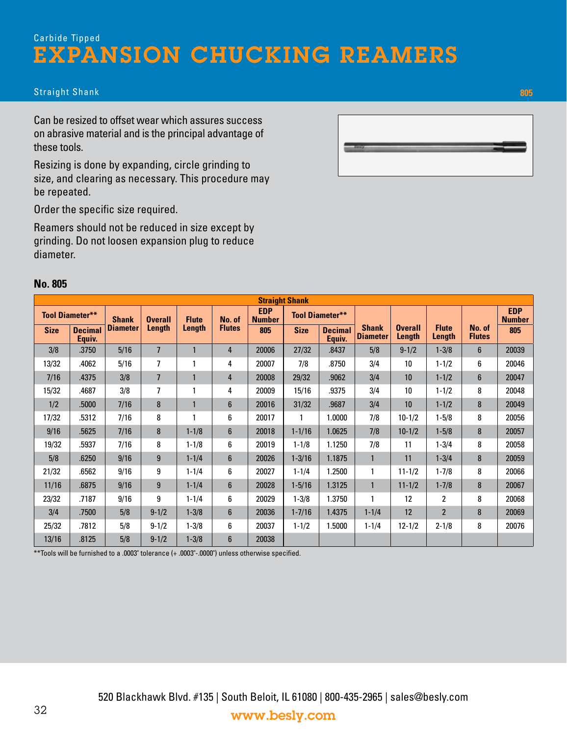### 520 Blackhawk Blvd. #135 | South Beloit, IL 61080 | 800-435-2965 | sales@besly.com www.besly.com

#### Straight Shank **805**

Can be resized to offset wear which assures success on abrasive material and is the principal advantage of these tools.

Resizing is done by expanding, circle grinding to size, and clearing as necessary. This procedure may be repeated.

Order the specific size required.

Reamers should not be reduced in size except by grinding. Do not loosen expansion plug to reduce diameter.

#### **No. 805**

|             | <b>Tool Diameter**</b>   | <b>Shank</b>    | <b>Overall</b> | <b>Flute</b> | No. of         | w<br><b>Number</b> |             | <b>Tool Diameter**</b>   |                                 |                          |                        |                         | w<br><b>Number</b> |
|-------------|--------------------------|-----------------|----------------|--------------|----------------|--------------------|-------------|--------------------------|---------------------------------|--------------------------|------------------------|-------------------------|--------------------|
| <b>Size</b> | <b>Decimal</b><br>Equiv. | <b>Diameter</b> | Length         | Length       | <b>Flutes</b>  | 805                | <b>Size</b> | <b>Decimal</b><br>Equiv. | <b>Shank</b><br><b>Diameter</b> | <b>Overall</b><br>Length | <b>Flute</b><br>Length | No. of<br><b>Flutes</b> | 805                |
| 3/8         | .3750                    | 5/16            | $\overline{7}$ |              | 4              | 20006              | 27/32       | .8437                    | 5/8                             | $9 - 1/2$                | $1 - 3/8$              | $6\phantom{1}$          | 20039              |
| 13/32       | .4062                    | 5/16            | $\overline{7}$ |              | 4              | 20007              | 7/8         | .8750                    | 3/4                             | 10                       | $1 - 1/2$              | 6                       | 20046              |
| 7/16        | .4375                    | 3/8             | $\overline{7}$ |              | $\overline{4}$ | 20008              | 29/32       | .9062                    | 3/4                             | 10                       | $1 - 1/2$              | $6\phantom{1}$          | 20047              |
| 15/32       | .4687                    | 3/8             | 7              |              | 4              | 20009              | 15/16       | .9375                    | 3/4                             | 10                       | $1 - 1/2$              | 8                       | 20048              |
| 1/2         | .5000                    | 7/16            | 8              |              | $6\phantom{1}$ | 20016              | 31/32       | .9687                    | 3/4                             | 10                       | $1 - 1/2$              | 8                       | 20049              |
| 17/32       | .5312                    | 7/16            | 8              |              | 6              | 20017              |             | 1.0000                   | 7/8                             | $10 - 1/2$               | $1 - 5/8$              | 8                       | 20056              |
| 9/16        | .5625                    | 7/16            | 8              | $1 - 1/8$    | $6\phantom{1}$ | 20018              | $1 - 1/16$  | 1.0625                   | 7/8                             | $10 - 1/2$               | $1 - 5/8$              | 8                       | 20057              |
| 19/32       | 5937.                    | 7/16            | 8              | $1 - 1/8$    | 6              | 20019              | $1 - 1/8$   | 1.1250                   | 7/8                             | 11                       | 1-3/4                  | 8                       | 20058              |
| 5/8         | .6250                    | 9/16            | 9              | $1 - 1/4$    | $6\phantom{1}$ | 20026              | $1 - 3/16$  | 1.1875                   |                                 | 11                       | $1 - 3/4$              | 8                       | 20059              |
| 21/32       | .6562                    | 9/16            | 9              | $1 - 1/4$    | 6              | 20027              | $1 - 1/4$   | 1.2500                   |                                 | $11 - 1/2$               | $1 - 7/8$              | 8                       | 20066              |
| 11/16       | .6875                    | 9/16            | 9              | $1 - 1/4$    | $6\phantom{1}$ | 20028              | $1 - 5/16$  | 1.3125                   | $\mathbf{1}$                    | $11 - 1/2$               | $1 - 7/8$              | 8                       | 20067              |
| 23/32       | .7187                    | 9/16            | 9              | $1 - 1/4$    | 6              | 20029              | $1 - 3/8$   | 1.3750                   |                                 | 12                       | 2                      | 8                       | 20068              |
| 3/4         | .7500                    | 5/8             | $9 - 1/2$      | $1 - 3/8$    | $6\phantom{1}$ | 20036              | $1 - 7/16$  | 1.4375                   | $1 - 1/4$                       | 12                       | $\overline{2}$         | 8                       | 20069              |
| 25/32       | .7812                    | 5/8             | $9 - 1/2$      | $1 - 3/8$    | 6              | 20037              | $1 - 1/2$   | 1.5000                   | $1 - 1/4$                       | $12 - 1/2$               | $2 - 1/8$              | 8                       | 20076              |
| 13/16       | .8125                    | 5/8             | $9 - 1/2$      | $1 - 3/8$    | 6              | 20038              |             |                          |                                 |                          |                        |                         |                    |

**Straight Shank**

**EDP** 

\*\*Tools will be furnished to a .0003" tolerance (+ .0003"-.0000") unless otherwise specified.

**EDP** 



32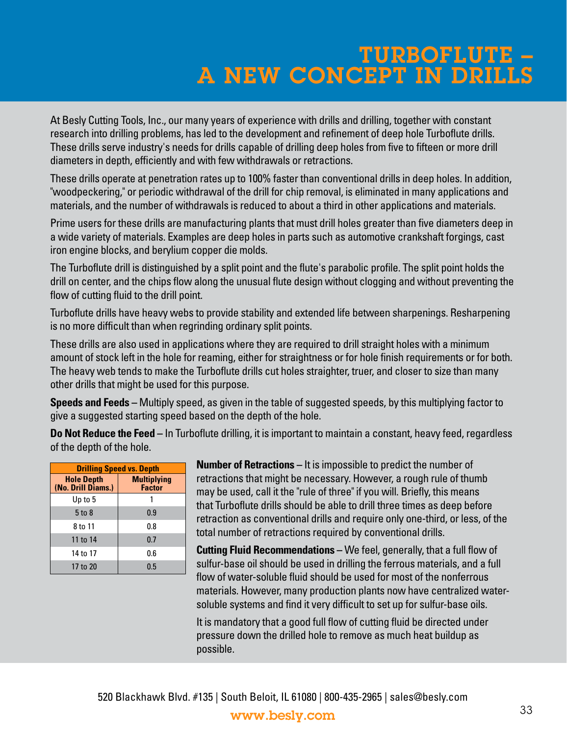# TURBOFLUTE – A NEW CONCEPT IN DRILLS

At Besly Cutting Tools, Inc., our many years of experience with drills and drilling, together with constant research into drilling problems, has led to the development and refinement of deep hole Turboflute drills. These drills serve industry's needs for drills capable of drilling deep holes from five to fifteen or more drill diameters in depth, efficiently and with few withdrawals or retractions.

These drills operate at penetration rates up to 100% faster than conventional drills in deep holes. In addition, "woodpeckering," or periodic withdrawal of the drill for chip removal, is eliminated in many applications and materials, and the number of withdrawals is reduced to about a third in other applications and materials.

Prime users for these drills are manufacturing plants that must drill holes greater than five diameters deep in a wide variety of materials. Examples are deep holes in parts such as automotive crankshaft forgings, cast iron engine blocks, and berylium copper die molds.

The Turboflute drill is distinguished by a split point and the flute's parabolic profile. The split point holds the drill on center, and the chips flow along the unusual flute design without clogging and without preventing the flow of cutting fluid to the drill point.

Turboflute drills have heavy webs to provide stability and extended life between sharpenings. Resharpening is no more difficult than when regrinding ordinary split points.

These drills are also used in applications where they are required to drill straight holes with a minimum amount of stock left in the hole for reaming, either for straightness or for hole finish requirements or for both. The heavy web tends to make the Turboflute drills cut holes straighter, truer, and closer to size than many other drills that might be used for this purpose.

**Speeds and Feeds –** Multiply speed, as given in the table of suggested speeds, by this multiplying factor to give a suggested starting speed based on the depth of the hole.

**Do Not Reduce the Feed –** In Turboflute drilling, it is important to maintain a constant, heavy feed, regardless of the depth of the hole.

| <b>Drilling Speed vs. Depth</b>         |                                     |  |  |  |  |  |  |  |  |  |
|-----------------------------------------|-------------------------------------|--|--|--|--|--|--|--|--|--|
| <b>Hole Depth</b><br>(No. Drill Diams.) | <b>Multiplying</b><br><b>Factor</b> |  |  |  |  |  |  |  |  |  |
| Up to 5                                 |                                     |  |  |  |  |  |  |  |  |  |
| $5$ to $8$                              | 0.9                                 |  |  |  |  |  |  |  |  |  |
| 8 to 11                                 | 0.8                                 |  |  |  |  |  |  |  |  |  |
| 11 to 14                                | 0.7                                 |  |  |  |  |  |  |  |  |  |
| 14 to 17                                | 0.6                                 |  |  |  |  |  |  |  |  |  |
| 17 to 20                                | 0.5                                 |  |  |  |  |  |  |  |  |  |

**Number of Retractions –** It is impossible to predict the number of retractions that might be necessary. However, a rough rule of thumb may be used, call it the "rule of three" if you will. Briefly, this means that Turboflute drills should be able to drill three times as deep before retraction as conventional drills and require only one-third, or less, of the total number of retractions required by conventional drills.

**Cutting Fluid Recommendations –** We feel, generally, that a full flow of sulfur-base oil should be used in drilling the ferrous materials, and a full flow of water-soluble fluid should be used for most of the nonferrous materials. However, many production plants now have centralized watersoluble systems and find it very difficult to set up for sulfur-base oils.

It is mandatory that a good full flow of cutting fluid be directed under pressure down the drilled hole to remove as much heat buildup as possible.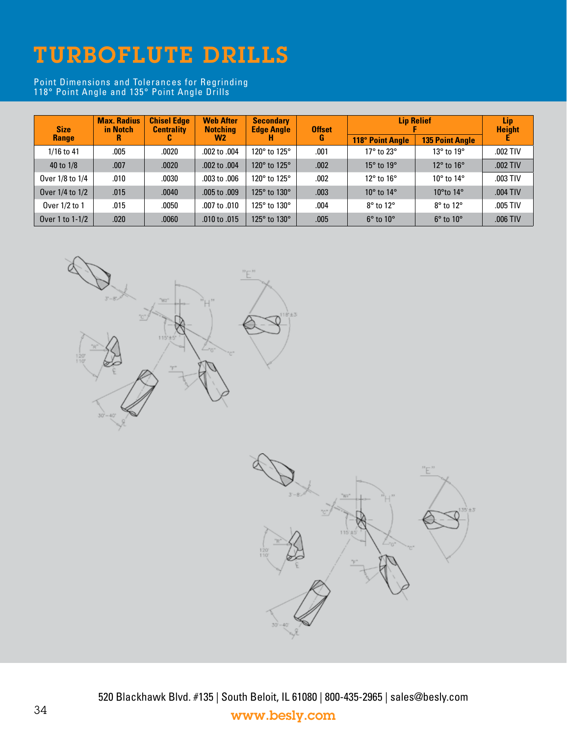# TURBOFLUTE DRILLS

Point Dimensions and Tolerances for Regrinding 118° Point Angle and 135° Point Angle Drills

| <b>Size</b>     | <b>Max. Radius</b><br>in Notch | <b>Chisel Edge</b><br><b>Centrality</b> | <b>Web After</b><br><b>Notching</b> | <b>Secondary</b><br><b>Edge Angle</b> | <b>Offset</b> | <b>Lip Relief</b>            | Lip<br><b>Height</b>         |            |
|-----------------|--------------------------------|-----------------------------------------|-------------------------------------|---------------------------------------|---------------|------------------------------|------------------------------|------------|
| Range           |                                | u                                       | W2                                  |                                       | G             | <b>118° Point Angle</b>      | <b>135 Point Angle</b>       |            |
| $1/16$ to 41    | .005                           | .0020                                   | .002 to .004                        | 120° to 125°                          | .001          | $17^\circ$ to $23^\circ$     | $13^{\circ}$ to $19^{\circ}$ | .002 TIV   |
| 40 to 1/8       | .007                           | .0020                                   | .002 to .004                        | 120° to 125°                          | .002          | $15^{\circ}$ to $19^{\circ}$ | $12^{\circ}$ to $16^{\circ}$ | .002 TIV   |
| Over 1/8 to 1/4 | .010                           | .0030                                   | .003 to .006                        | 120° to 125°                          | .002          | $12^{\circ}$ to $16^{\circ}$ | 10 $\degree$ to 14 $\degree$ | .003 TIV   |
| Over 1/4 to 1/2 | .015                           | .0040                                   | .005 to .009                        | 125° to 130°                          | .003          | $10^{\circ}$ to $14^{\circ}$ | 10°to 14°                    | $.004$ TIV |
| Over 1/2 to 1   | .015                           | .0050                                   | .007 to .010                        | 125° to 130°                          | .004          | $8^\circ$ to $12^\circ$      | $8^\circ$ to $12^\circ$      | .005 TIV   |
| Over 1 to 1-1/2 | .020                           | .0060                                   | .010 to .015                        | 125° to 130°                          | .005          | $6^{\circ}$ to $10^{\circ}$  | $6^{\circ}$ to $10^{\circ}$  | $.006$ TIV |





520 Blackhawk Blvd. #135 | South Beloit, IL 61080 | 800-435-2965 | sales@besly.com <sup>34</sup> www.besly.com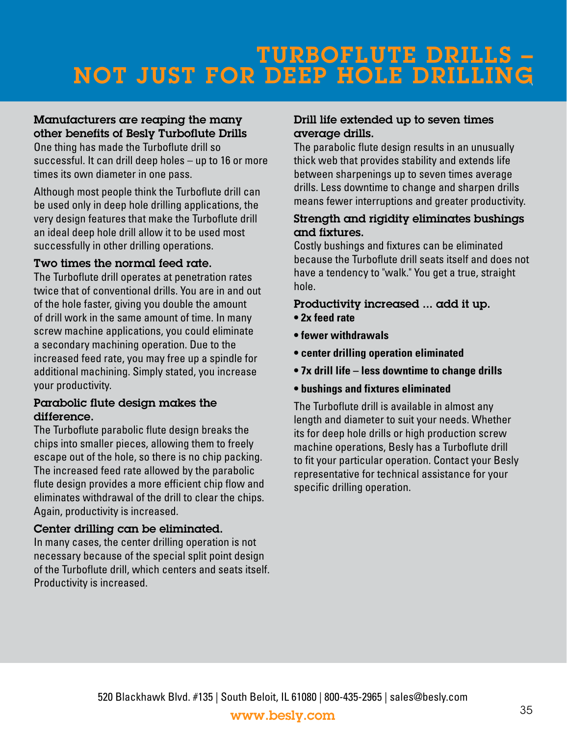### $\overline{\phantom{a}}$ TURBOFLUTE DRILLS – NOT JUST FOR DEEP HOLE DRILLING

#### Manufacturers are reaping the many other benefits of Besly Turboflute Drills

One thing has made the Turboflute drill so successful. It can drill deep holes – up to 16 or more times its own diameter in one pass.

Although most people think the Turboflute drill can be used only in deep hole drilling applications, the very design features that make the Turboflute drill an ideal deep hole drill allow it to be used most successfully in other drilling operations.

#### Two times the normal feed rate.

The Turboflute drill operates at penetration rates twice that of conventional drills. You are in and out of the hole faster, giving you double the amount of drill work in the same amount of time. In many screw machine applications, you could eliminate a secondary machining operation. Due to the increased feed rate, you may free up a spindle for additional machining. Simply stated, you increase your productivity.

#### Parabolic flute design makes the difference.

The Turboflute parabolic flute design breaks the chips into smaller pieces, allowing them to freely escape out of the hole, so there is no chip packing. The increased feed rate allowed by the parabolic flute design provides a more efficient chip flow and eliminates withdrawal of the drill to clear the chips. Again, productivity is increased.

#### Center drilling can be eliminated.

In many cases, the center drilling operation is not necessary because of the special split point design of the Turboflute drill, which centers and seats itself. Productivity is increased.

#### Drill life extended up to seven times average drills.

The parabolic flute design results in an unusually thick web that provides stability and extends life between sharpenings up to seven times average drills. Less downtime to change and sharpen drills means fewer interruptions and greater productivity.

#### Strength and rigidity eliminates bushings and fixtures.

Costly bushings and fixtures can be eliminated because the Turboflute drill seats itself and does not have a tendency to "walk." You get a true, straight hole.

#### Productivity increased ... add it up. **• 2x feed rate**

- **fewer withdrawals**
- **center drilling operation eliminated**
- **7x drill life less downtime to change drills**
- **bushings and fixtures eliminated**

The Turboflute drill is available in almost any length and diameter to suit your needs. Whether its for deep hole drills or high production screw machine operations, Besly has a Turboflute drill to fit your particular operation. Contact your Besly representative for technical assistance for your specific drilling operation.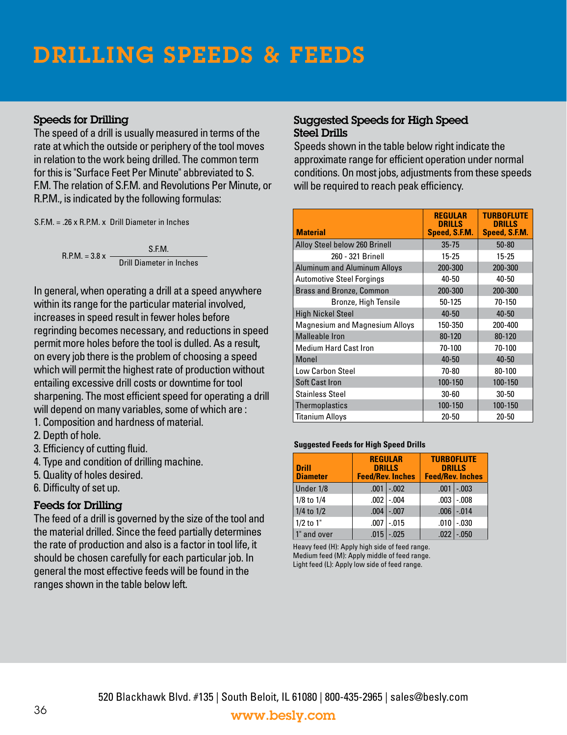# DRILLING SPEEDS & FEEDS

#### Speeds for Drilling

The speed of a drill is usually measured in terms of the rate at which the outside or periphery of the tool moves in relation to the work being drilled. The common term for this is "Surface Feet Per Minute" abbreviated to S. F.M. The relation of S.F.M. and Revolutions Per Minute, or R.P.M., is indicated by the following formulas:

S.F.M. = .26 x R.P.M. x Drill Diameter in Inches

 $R.P.M. = 3.8 x -$ S.F.M. Drill Diameter in Inches

In general, when operating a drill at a speed anywhere within its range for the particular material involved, increases in speed result in fewer holes before regrinding becomes necessary, and reductions in speed permit more holes before the tool is dulled. As a result, on every job there is the problem of choosing a speed which will permit the highest rate of production without entailing excessive drill costs or downtime for tool sharpening. The most efficient speed for operating a drill will depend on many variables, some of which are :

- 1. Composition and hardness of material.
- 2. Depth of hole.
- 3. Efficiency of cutting fluid.
- 4. Type and condition of drilling machine.
- 5. Quality of holes desired.
- 6. Difficulty of set up.

#### Feeds for Drilling

The feed of a drill is governed by the size of the tool and the material drilled. Since the feed partially determines the rate of production and also is a factor in tool life, it should be chosen carefully for each particular job. In general the most effective feeds will be found in the ranges shown in the table below left.

#### Suggested Speeds for High Speed Steel Drills

Speeds shown in the table below right indicate the approximate range for efficient operation under normal conditions. On most jobs, adjustments from these speeds will be required to reach peak efficiency.

| <b>Material</b>                       | <b>REGULAR</b><br><b>DRILLS</b><br>Speed, S.F.M. | <b>TURBOFLUTE</b><br><b>DRILLS</b><br>Speed, S.F.M. |
|---------------------------------------|--------------------------------------------------|-----------------------------------------------------|
| Alloy Steel below 260 Brinell         | $35 - 75$                                        | $50 - 80$                                           |
| 260 - 321 Brinell                     | $15 - 25$                                        | $15 - 25$                                           |
| <b>Aluminum and Aluminum Alloys</b>   | 200-300                                          | 200-300                                             |
| <b>Automotive Steel Forgings</b>      | 40-50                                            | 40-50                                               |
| <b>Brass and Bronze, Common</b>       | 200-300                                          | 200-300                                             |
| Bronze, High Tensile                  | $50 - 125$                                       | 70-150                                              |
| <b>High Nickel Steel</b>              | $40 - 50$                                        | $40 - 50$                                           |
| <b>Magnesium and Magnesium Alloys</b> | 150-350                                          | 200-400                                             |
| <b>Malleable Iron</b>                 | 80-120                                           | $80 - 120$                                          |
| <b>Medium Hard Cast Iron</b>          | 70-100                                           | 70-100                                              |
| Monel                                 | $40 - 50$                                        | $40 - 50$                                           |
| Low Carbon Steel                      | 70-80                                            | 80-100                                              |
| <b>Soft Cast Iron</b>                 | 100-150                                          | 100-150                                             |
| <b>Stainless Steel</b>                | $30 - 60$                                        | 30-50                                               |
| <b>Thermoplastics</b>                 | 100-150                                          | 100-150                                             |
| <b>Titanium Alloys</b>                | $20 - 50$                                        | $20 - 50$                                           |

#### **Suggested Feeds for High Speed Drills**

| <b>Drill</b><br><b>Diameter</b> |      | <b>REGULAR</b><br><b>DRILLS</b><br><b>Feed/Rev. Inches</b> | <b>TURBOFLUTE</b><br><b>DRILLS</b><br><b>Feed/Rev. Inches</b> |         |  |  |
|---------------------------------|------|------------------------------------------------------------|---------------------------------------------------------------|---------|--|--|
| Under 1/8                       | .001 | $-.002$                                                    | .001                                                          | $-.003$ |  |  |
| $1/8$ to $1/4$                  |      | $.002$ $-.004$                                             | .003 <sub>1</sub>                                             | $-.008$ |  |  |
| $1/4$ to $1/2$                  | .004 | $-.007$                                                    | $.006$ $ $                                                    | $-.014$ |  |  |
| $1/2$ to $1"$                   | .007 | $-.015$                                                    | .010                                                          | $-.030$ |  |  |
| 1" and over                     | .015 | $-.025$                                                    | .022                                                          | $-.050$ |  |  |

Heavy feed (H): Apply high side of feed range. Medium feed (M): Apply middle of feed range. Light feed (L): Apply low side of feed range.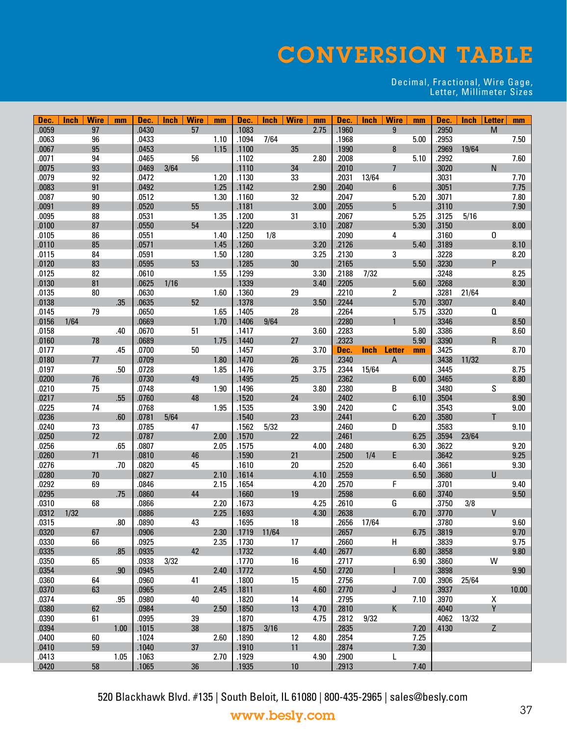# CONVERSION TABLE

#### Decimal, Fractional, Wire Gage, Letter, Millimeter Sizes

| <b>Dec</b>     | Inch | <b>Wire</b> | mm   | Dec.           | Inch | <b>Wire</b> | mm   | <b>Dec</b>     | Inch  | Wire | mm   | Dec.           | <b>Inch</b> | <b>Wire</b>    | mm           | Dec.           | <b>Inch</b> | <b>Letter</b> | mm    |
|----------------|------|-------------|------|----------------|------|-------------|------|----------------|-------|------|------|----------------|-------------|----------------|--------------|----------------|-------------|---------------|-------|
| .0059          |      | 97          |      | .0430          |      | 57          |      | .1083          |       |      | 2.75 | .1960          |             | 9              |              | .2950          |             | M             |       |
| .0063          |      | 96          |      | .0433          |      |             | 1.10 | .1094          | 7/64  |      |      | .1968          |             |                | 5.00         | .2953          |             |               | 7.50  |
| .0067          |      | 95          |      | .0453          |      |             | 1.15 | .1100          |       | 35   |      | .1990          |             | 8              |              | .2969          | 19/64       |               |       |
| .0071          |      | 94          |      | .0465          |      | 56          |      | .1102          |       |      | 2.80 | .2008          |             |                | 5.10         | .2992          |             |               | 7.60  |
| .0075          |      | 93          |      | .0469          | 3/64 |             |      | .1110          |       | 34   |      | .2010          |             | $\overline{7}$ |              | .3020          |             | N             |       |
| .0079          |      | 92          |      | .0472          |      |             | 1.20 | .1130          |       | 33   |      | .2031          | 13/64       |                |              | .3031          |             |               | 7.70  |
| .0083          |      | 91          |      | .0492          |      |             | 1.25 | .1142          |       |      | 2.90 | .2040          |             | 6              |              | .3051          |             |               | 7.75  |
| .0087          |      | 90          |      | .0512          |      |             | 1.30 | .1160<br>.1181 |       | 32   |      | .2047          |             |                | 5.20         | .3071          |             |               | 7.80  |
| .0091<br>.0095 |      | 89<br>88    |      | .0520<br>.0531 |      | 55          | 1.35 | .1200          |       | 31   | 3.00 | .2055<br>.2067 |             | 5              | 5.25         | .3110<br>.3125 | 5/16        |               | 7.90  |
| .0100          |      | 87          |      | .0550          |      | 54          |      | .1220          |       |      | 3.10 | .2087          |             |                | 5.30         | .3150          |             |               | 8.00  |
| .0105          |      | 86          |      | .0551          |      |             | 1.40 | .1250          | 1/8   |      |      | .2090          |             | 4              |              | .3160          |             | 0             |       |
| .0110          |      | 85          |      | .0571          |      |             | 1.45 | .1260          |       |      | 3.20 | .2126          |             |                | 5.40         | .3189          |             |               | 8.10  |
| .0115          |      | 84          |      | .0591          |      |             | 1.50 | .1280          |       |      | 3.25 | .2130          |             | 3              |              | .3228          |             |               | 8.20  |
| .0120          |      | 83          |      | .0595          |      | 53          |      | .1285          |       | 30   |      | .2165          |             |                | 5.50         | .3230          |             | P             |       |
| .0125          |      | 82          |      | .0610          |      |             | 1.55 | .1299          |       |      | 3.30 | .2188          | 7/32        |                |              | .3248          |             |               | 8.25  |
| .0130          |      | 81          |      | .0625          | 1/16 |             |      | .1339          |       |      | 3.40 | .2205          |             |                | 5.60         | .3268          |             |               | 8.30  |
| .0135          |      | 80          |      | .0630          |      |             | 1.60 | .1360          |       | 29   |      | .2210          |             | 2              |              | .3281          | 21/64       |               |       |
| .0138          |      |             | .35  | .0635          |      | 52          |      | .1378          |       |      | 3.50 | .2244          |             |                | 5.70         | .3307          |             |               | 8.40  |
| .0145          |      | 79          |      | .0650          |      |             | 1.65 | .1405          |       | 28   |      | .2264          |             |                | 5.75         | .3320          |             | Q             |       |
| .0156          | 1/64 |             |      | .0669          |      |             | 1.70 | .1406          | 9/64  |      |      | .2280          |             |                |              | .3346          |             |               | 8.50  |
| .0158          |      |             | .40  | .0670          |      | 51          |      | .1417          |       |      | 3.60 | .2283          |             |                | 5.80         | .3386          |             |               | 8.60  |
| .0160          |      | 78          |      | .0689          |      |             | 1.75 | .1440          |       | 27   |      | .2323          |             |                | 5.90         | .3390          |             | R             |       |
| .0177          |      |             | .45  | .0700          |      | 50          |      | .1457          |       |      | 3.70 | Dec.           | Inch        | <b>Letter</b>  | mm           | .3425          |             |               | 8.70  |
| .0180          |      | 77          |      | .0709          |      |             | 1.80 | .1470          |       | 26   |      | .2340          |             | A              |              | .3438          | 11/32       |               |       |
| .0197          |      |             | .50  | .0728          |      |             | 1.85 | .1476          |       |      | 3.75 | .2344          | 15/64       |                |              | .3445          |             |               | 8.75  |
| .0200          |      | 76          |      | .0730          |      | 49          |      | .1495          |       | 25   |      | .2362          |             |                | 6.00         | .3465          |             |               | 8.80  |
| .0210          |      | 75          |      | .0748          |      |             | 1.90 | .1496          |       |      | 3.80 | .2380          |             | В              |              | .3480          |             | S             |       |
| .0217          |      |             | .55  | .0760          |      | 48          |      | .1520          |       | 24   |      | .2402          |             |                | 6.10         | .3504          |             |               | 8.90  |
| .0225          |      | 74          |      | .0768          |      |             | 1.95 | .1535          |       |      | 3.90 | .2420          |             | С              |              | .3543          |             | т             | 9.00  |
| .0236<br>.0240 |      | 73          | .60  | .0781<br>.0785 | 5/64 | 47          |      | .1540<br>.1562 | 5/32  | 23   |      | .2441<br>.2460 |             | D              | 6.20         | .3580<br>.3583 |             |               | 9.10  |
| .0250          |      | 72          |      | .0787          |      |             | 2.00 | .1570          |       | 22   |      | .2461          |             |                | 6.25         | .3594          | 23/64       |               |       |
| .0256          |      |             | .65  | .0807          |      |             | 2.05 | .1575          |       |      | 4.00 | .2480          |             |                | 6.30         | .3622          |             |               | 9.20  |
| .0260          |      | 71          |      | .0810          |      | 46          |      | .1590          |       | 21   |      | .2500          | 1/4         | E              |              | .3642          |             |               | 9.25  |
| .0276          |      |             | .70  | .0820          |      | 45          |      | .1610          |       | 20   |      | .2520          |             |                | 6.40         | .3661          |             |               | 9.30  |
| .0280          |      | 70          |      | .0827          |      |             | 2.10 | .1614          |       |      | 4.10 | .2559          |             |                | 6.50         | .3680          |             | U             |       |
| .0292          |      | 69          |      | .0846          |      |             | 2.15 | .1654          |       |      | 4.20 | .2570          |             | F              |              | .3701          |             |               | 9.40  |
| .0295          |      |             | .75  | .0860          |      | 44          |      | .1660          |       | 19   |      | .2598          |             |                | 6.60         | .3740          |             |               | 9.50  |
| .0310          |      | 68          |      | .0866          |      |             | 2.20 | .1673          |       |      | 4.25 | .2610          |             | G              |              | .3750          | 3/8         |               |       |
| .0312          | 1/32 |             |      | .0886          |      |             | 2.25 | .1693          |       |      | 4.30 | .2638          |             |                | 6.70         | .3770          |             | $\mathsf{V}$  |       |
| .0315          |      |             | .80  | .0890          |      | 43          |      | .1695          |       | 18   |      | .2656          | 17/64       |                |              | .3780          |             |               | 9.60  |
| .0320          |      | 67          |      | .0906          |      |             | 2.30 | .1719          | 11/64 |      |      | .2657          |             |                | 6.75         | .3819          |             |               | 9.70  |
| .0330          |      | 66          |      | .0925          |      |             | 2.35 | .1730          |       | 17   |      | .2660          |             | Н              |              | .3839          |             |               | 9.75  |
| .0335          |      |             | .85  | .0935          |      | 42          |      | .1732          |       |      | 4.40 | .2677          |             |                | 6.80         | .3858          |             |               | 9.80  |
| .0350          |      | 65          |      | .0938          | 3/32 |             |      | .1770          |       | 16   |      | .2717          |             |                | 6.90         | .3860          |             | W             |       |
| .0354          |      |             | .90  | .0945          |      |             | 2.40 | .1772          |       |      | 4.50 | .2720          |             |                |              | .3898          |             |               | 9.90  |
| .0360          |      | 64          |      | .0960          |      | 41          |      | .1800          |       | 15   |      | .2756          |             |                | 7.00         | .3906          | 25/64       |               |       |
| .0370          |      | 63          |      | .0965          |      |             | 2.45 | .1811          |       |      | 4.60 | .2770          |             | J              |              | .3937          |             |               | 10.00 |
| .0374          |      |             | .95  | .0980          |      | 40          |      | .1820          |       | 14   |      | .2795          |             |                | 7.10         | .3970          |             | Χ             |       |
| .0380          |      | 62          |      | .0984          |      |             | 2.50 | .1850          |       | 13   | 4.70 | .2810          |             | K              |              | .4040          |             | Y             |       |
| .0390          |      | 61          |      | .0995          |      | 39          |      | .1870          |       |      | 4.75 | .2812          | 9/32        |                |              | .4062          | 13/32       |               |       |
| .0394<br>.0400 |      | 60          | 1.00 | .1015<br>.1024 |      | 38          | 2.60 | .1875<br>.1890 | 3/16  | 12   | 4.80 | .2835<br>.2854 |             |                | 7.20<br>7.25 | .4130          |             | Z             |       |
| .0410          |      | 59          |      | .1040          |      | 37          |      | .1910          |       | 11   |      | .2874          |             |                | 7.30         |                |             |               |       |
| .0413          |      |             | 1.05 | .1063          |      |             | 2.70 | .1929          |       |      | 4.90 | .2900          |             | L              |              |                |             |               |       |
| .0420          |      | 58          |      | .1065          |      | 36          |      | .1935          |       | 10   |      | .2913          |             |                | 7.40         |                |             |               |       |
|                |      |             |      |                |      |             |      |                |       |      |      |                |             |                |              |                |             |               |       |

520 Blackhawk Blvd. #135 | South Beloit, IL 61080 | 800-435-2965 | sales@besly.com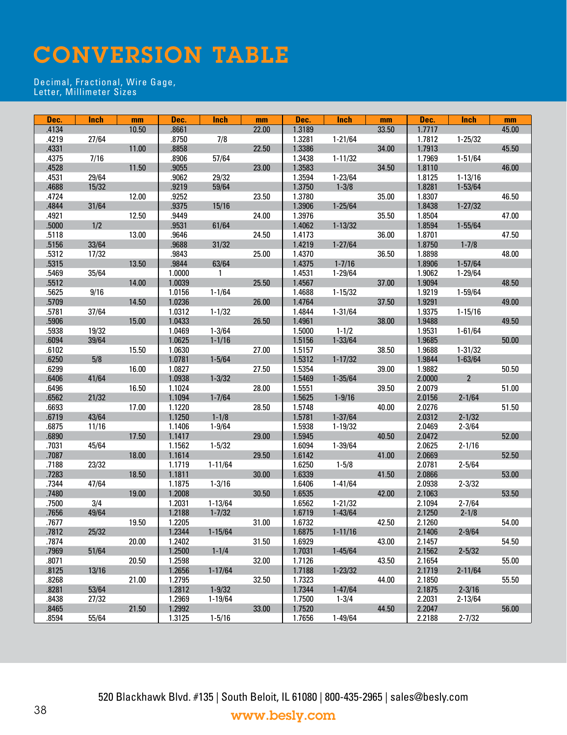# CONVERSION TABLE

#### Decimal, Fractional, Wire Gage, Letter, Millimeter Sizes

| Dec.  | <b>Inch</b> | mm    | Dec.   | <b>Inch</b>  | mm    | Dec.   | Inch        | mm    | Dec.   | <b>Inch</b>    | mm    |
|-------|-------------|-------|--------|--------------|-------|--------|-------------|-------|--------|----------------|-------|
| .4134 |             | 10.50 | .8661  |              | 22.00 | 1.3189 |             | 33.50 | 1.7717 |                | 45.00 |
| .4219 | 27/64       |       | .8750  | 7/8          |       | 1.3281 | $1 - 21/64$ |       | 1.7812 | $1 - 25/32$    |       |
| .4331 |             | 11.00 | .8858  |              | 22.50 | 1.3386 |             | 34.00 | 1.7913 |                | 45.50 |
| .4375 | 7/16        |       | .8906  | 57/64        |       | 1.3438 | $1 - 11/32$ |       | 1.7969 | $1 - 51/64$    |       |
| .4528 |             | 11.50 | .9055  |              | 23.00 | 1.3583 |             | 34.50 | 1.8110 |                | 46.00 |
| .4531 | 29/64       |       | .9062  | 29/32        |       | 1.3594 | $1 - 23/64$ |       | 1.8125 | $1 - 13/16$    |       |
| .4688 | 15/32       |       | .9219  | 59/64        |       | 1.3750 | $1 - 3/8$   |       | 1.8281 | $1 - 53/64$    |       |
| .4724 |             | 12.00 | .9252  |              | 23.50 | 1.3780 |             | 35.00 | 1.8307 |                | 46.50 |
| .4844 | 31/64       |       | .9375  | 15/16        |       | 1.3906 | $1 - 25/64$ |       | 1.8438 | $1 - 27/32$    |       |
| .4921 |             | 12.50 | .9449  |              | 24.00 | 1.3976 |             | 35.50 | 1.8504 |                | 47.00 |
| .5000 | 1/2         |       | .9531  | 61/64        |       | 1.4062 | $1 - 13/32$ |       | 1.8594 | $1 - 55/64$    |       |
| .5118 |             | 13.00 | .9646  |              | 24.50 | 1.4173 |             | 36.00 | 1.8701 |                | 47.50 |
| .5156 | 33/64       |       | .9688  | 31/32        |       | 1.4219 | $1 - 27/64$ |       | 1.8750 | $1 - 7/8$      |       |
| .5312 | 17/32       |       | .9843  |              | 25.00 | 1.4370 |             | 36.50 | 1.8898 |                | 48.00 |
| .5315 |             | 13.50 | .9844  | 63/64        |       | 1.4375 | $1 - 7/16$  |       | 1.8906 | $1 - 57/64$    |       |
| .5469 | 35/64       |       | 1.0000 | $\mathbf{1}$ |       | 1.4531 | $1 - 29/64$ |       | 1.9062 | $1 - 29/64$    |       |
| .5512 |             | 14.00 | 1.0039 |              | 25.50 | 1.4567 |             | 37.00 | 1.9094 |                | 48.50 |
| .5625 | 9/16        |       | 1.0156 | $1 - 1/64$   |       | 1.4688 | $1 - 15/32$ |       | 1.9219 | $1 - 59/64$    |       |
| .5709 |             | 14.50 | 1.0236 |              | 26.00 | 1.4764 |             | 37.50 | 1.9291 |                | 49.00 |
|       |             |       |        |              |       |        |             |       |        |                |       |
| .5781 | 37/64       |       | 1.0312 | $1 - 1/32$   |       | 1.4844 | $1 - 31/64$ |       | 1.9375 | $1 - 15/16$    |       |
| .5906 |             | 15.00 | 1.0433 |              | 26.50 | 1.4961 |             | 38.00 | 1.9488 |                | 49.50 |
| .5938 | 19/32       |       | 1.0469 | $1 - 3/64$   |       | 1.5000 | $1 - 1/2$   |       | 1.9531 | $1 - 61/64$    |       |
| .6094 | 39/64       |       | 1.0625 | $1 - 1/16$   |       | 1.5156 | $1 - 33/64$ |       | 1.9685 |                | 50.00 |
| .6102 |             | 15.50 | 1.0630 |              | 27.00 | 1.5157 |             | 38.50 | 1.9688 | $1 - 31/32$    |       |
| .6250 | 5/8         |       | 1.0781 | $1 - 5/64$   |       | 1.5312 | $1 - 17/32$ |       | 1.9844 | $1 - 63/64$    |       |
| .6299 |             | 16.00 | 1.0827 |              | 27.50 | 1.5354 |             | 39.00 | 1.9882 |                | 50.50 |
| .6406 | 41/64       |       | 1.0938 | $1 - 3/32$   |       | 1.5469 | $1 - 35/64$ |       | 2.0000 | $\overline{2}$ |       |
| .6496 |             | 16.50 | 1.1024 |              | 28.00 | 1.5551 |             | 39.50 | 2.0079 |                | 51.00 |
| .6562 | 21/32       |       | 1.1094 | $1 - 7/64$   |       | 1.5625 | $1 - 9/16$  |       | 2.0156 | $2 - 1/64$     |       |
| .6693 |             | 17.00 | 1.1220 |              | 28.50 | 1.5748 |             | 40.00 | 2.0276 |                | 51.50 |
| .6719 | 43/64       |       | 1.1250 | $1 - 1/8$    |       | 1.5781 | $1 - 37/64$ |       | 2.0312 | $2 - 1/32$     |       |
| .6875 | 11/16       |       | 1.1406 | $1 - 9/64$   |       | 1.5938 | $1 - 19/32$ |       | 2.0469 | $2 - 3/64$     |       |
| .6890 |             | 17.50 | 1.1417 |              | 29.00 | 1.5945 |             | 40.50 | 2.0472 |                | 52.00 |
| .7031 | 45/64       |       | 1.1562 | $1 - 5/32$   |       | 1.6094 | 1-39/64     |       | 2.0625 | $2 - 1/16$     |       |
| .7087 |             | 18.00 | 1.1614 |              | 29.50 | 1.6142 |             | 41.00 | 2.0669 |                | 52.50 |
| .7188 | 23/32       |       | 1.1719 | $1 - 11/64$  |       | 1.6250 | $1 - 5/8$   |       | 2.0781 | $2 - 5/64$     |       |
| .7283 |             | 18.50 | 1.1811 |              | 30.00 | 1.6339 |             | 41.50 | 2.0866 |                | 53.00 |
| .7344 | 47/64       |       | 1.1875 | $1 - 3/16$   |       | 1.6406 | $1 - 41/64$ |       | 2.0938 | $2 - 3/32$     |       |
| .7480 |             | 19.00 | 1.2008 |              | 30.50 | 1.6535 |             | 42.00 | 2.1063 |                | 53.50 |
| .7500 | 3/4         |       | 1.2031 | $1 - 13/64$  |       | 1.6562 | $1 - 21/32$ |       | 2.1094 | $2 - 7/64$     |       |
| .7656 | 49/64       |       | 1.2188 | $1 - 7/32$   |       | 1.6719 | $1 - 43/64$ |       | 2.1250 | $2 - 1/8$      |       |
| .7677 |             | 19.50 | 1.2205 |              | 31.00 | 1.6732 |             | 42.50 | 2.1260 |                | 54.00 |
| .7812 | 25/32       |       | 1.2344 | $1 - 15/64$  |       | 1.6875 | $1 - 11/16$ |       | 2.1406 | $2 - 9/64$     |       |
| .7874 |             | 20.00 | 1.2402 |              | 31.50 | 1.6929 |             | 43.00 | 2.1457 |                | 54.50 |
| .7969 | 51/64       |       | 1.2500 | $1 - 1/4$    |       | 1.7031 | $1 - 45/64$ |       | 2.1562 | $2 - 5/32$     |       |
| .8071 |             | 20.50 | 1.2598 |              | 32.00 | 1.7126 |             | 43.50 | 2.1654 |                | 55.00 |
| .8125 | 13/16       |       | 1.2656 | $1 - 17/64$  |       | 1.7188 | $1 - 23/32$ |       | 2.1719 | $2 - 11/64$    |       |
| .8268 |             | 21.00 | 1.2795 |              | 32.50 | 1.7323 |             | 44.00 | 2.1850 |                | 55.50 |
| .8281 | 53/64       |       | 1.2812 | $1 - 9/32$   |       | 1.7344 | $1 - 47/64$ |       | 2.1875 | $2 - 3/16$     |       |
| .8438 | 27/32       |       | 1.2969 | $1 - 19/64$  |       | 1.7500 | $1 - 3/4$   |       | 2.2031 | $2 - 13/64$    |       |
| .8465 |             | 21.50 | 1.2992 |              | 33.00 | 1.7520 |             | 44.50 | 2.2047 |                | 56.00 |
| .8594 | 55/64       |       | 1.3125 | $1 - 5/16$   |       | 1.7656 | $1 - 49/64$ |       | 2.2188 | $2 - 7/32$     |       |
|       |             |       |        |              |       |        |             |       |        |                |       |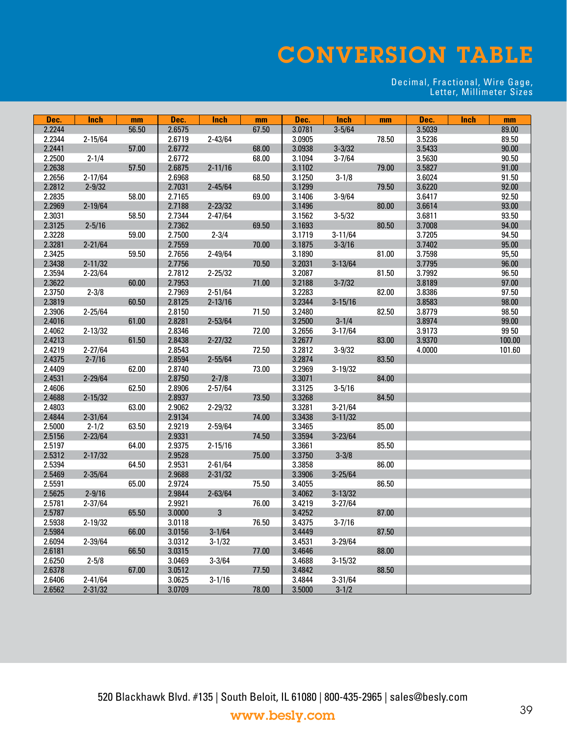# CONVERSION TABLE

#### Decimal, Fractional, Wire Gage, Letter, Millimeter Sizes

| Dec.   | <b>Inch</b> | mm    | Dec.   | <b>Inch</b> | mm    | Dec.   | <b>Inch</b> | mm    | Dec.   | <b>Inch</b> | mm     |
|--------|-------------|-------|--------|-------------|-------|--------|-------------|-------|--------|-------------|--------|
| 2.2244 |             | 56.50 | 2.6575 |             | 67.50 | 3.0781 | $3 - 5/64$  |       | 3.5039 |             | 89.00  |
| 2.2344 | $2 - 15/64$ |       | 2.6719 | $2 - 43/64$ |       | 3.0905 |             | 78.50 | 3.5236 |             | 89.50  |
| 2.2441 |             | 57.00 | 2.6772 |             | 68.00 | 3.0938 | $3 - 3/32$  |       | 3.5433 |             | 90.00  |
| 2.2500 | $2 - 1/4$   |       | 2.6772 |             | 68.00 | 3.1094 | $3 - 7/64$  |       | 3.5630 |             | 90.50  |
| 2.2638 |             | 57.50 | 2.6875 | $2 - 11/16$ |       | 3.1102 |             | 79.00 | 3.5827 |             | 91.00  |
| 2.2656 | $2 - 17/64$ |       | 2.6968 |             | 68.50 | 3.1250 | $3 - 1/8$   |       | 3.6024 |             | 91.50  |
| 2.2812 | $2 - 9/32$  |       | 2.7031 | $2 - 45/64$ |       | 3.1299 |             | 79.50 | 3.6220 |             | 92.00  |
| 2.2835 |             | 58.00 | 2.7165 |             | 69.00 | 3.1406 | $3 - 9/64$  |       | 3.6417 |             | 92.50  |
| 2.2969 | $2 - 19/64$ |       | 2.7188 | $2 - 23/32$ |       | 3.1496 |             | 80.00 | 3.6614 |             | 93.00  |
| 2.3031 |             | 58.50 | 2.7344 | $2 - 47/64$ |       | 3.1562 | $3 - 5/32$  |       | 3.6811 |             | 93.50  |
| 2.3125 | $2 - 5/16$  |       | 2.7362 |             | 69.50 | 3.1693 |             | 80.50 | 3.7008 |             | 94.00  |
| 2.3228 |             | 59.00 | 2.7500 | $2 - 3/4$   |       | 3.1719 | $3 - 11/64$ |       | 3.7205 |             | 94.50  |
| 2.3281 | $2 - 21/64$ |       | 2.7559 |             | 70.00 | 3.1875 | $3 - 3/16$  |       | 3.7402 |             | 95.00  |
| 2.3425 |             | 59.50 | 2.7656 | $2 - 49/64$ |       | 3.1890 |             | 81.00 | 3.7598 |             | 95,50  |
| 2.3438 | $2 - 11/32$ |       | 2.7756 |             | 70.50 | 3.2031 | $3 - 13/64$ |       | 3.7795 |             | 96.00  |
| 2.3594 | $2 - 23/64$ |       | 2.7812 | $2 - 25/32$ |       | 3.2087 |             | 81.50 | 3.7992 |             | 96.50  |
| 2.3622 |             | 60.00 | 2.7953 |             | 71.00 | 3.2188 | $3 - 7/32$  |       | 3.8189 |             | 97.00  |
| 2.3750 | $2 - 3/8$   |       | 2.7969 | $2 - 51/64$ |       | 3.2283 |             | 82.00 | 3.8386 |             | 97.50  |
| 2.3819 |             | 60.50 | 2.8125 | $2 - 13/16$ |       | 3.2344 | $3 - 15/16$ |       | 3.8583 |             | 98.00  |
| 2.3906 | $2 - 25/64$ |       | 2.8150 |             | 71.50 | 3.2480 |             | 82.50 | 3.8779 |             | 98.50  |
| 2.4016 |             | 61.00 | 2.8281 | $2 - 53/64$ |       | 3.2500 | $3 - 1/4$   |       | 3.8974 |             | 99.00  |
| 2.4062 | $2 - 13/32$ |       | 2.8346 |             | 72.00 | 3.2656 | $3 - 17/64$ |       | 3.9173 |             | 99 50  |
| 2.4213 |             | 61.50 | 2.8438 | $2 - 27/32$ |       | 3.2677 |             | 83.00 | 3.9370 |             | 100.00 |
| 2.4219 | $2 - 27/64$ |       | 2.8543 |             | 72.50 | 3.2812 | $3 - 9/32$  |       | 4.0000 |             | 101.60 |
| 2.4375 | $2 - 7/16$  |       | 2.8594 | $2 - 55/64$ |       | 3.2874 |             | 83.50 |        |             |        |
| 2.4409 |             | 62.00 | 2.8740 |             | 73.00 | 3.2969 | $3 - 19/32$ |       |        |             |        |
| 2.4531 | $2 - 29/64$ |       | 2.8750 | $2 - 7/8$   |       | 3.3071 |             | 84.00 |        |             |        |
| 2.4606 |             | 62.50 | 2.8906 | $2 - 57/64$ |       | 3.3125 | $3 - 5/16$  |       |        |             |        |
| 2.4688 | $2 - 15/32$ |       | 2.8937 |             | 73.50 | 3.3268 |             | 84.50 |        |             |        |
| 2.4803 |             | 63.00 | 2.9062 | $2 - 29/32$ |       | 3.3281 | $3 - 21/64$ |       |        |             |        |
| 2.4844 | $2 - 31/64$ |       | 2.9134 |             | 74.00 | 3.3438 | $3 - 11/32$ |       |        |             |        |
| 2.5000 | $2 - 1/2$   | 63.50 | 2.9219 | $2 - 59/64$ |       | 3.3465 |             | 85.00 |        |             |        |
| 2.5156 | $2 - 23/64$ |       | 2.9331 |             | 74.50 | 3.3594 | $3 - 23/64$ |       |        |             |        |
| 2.5197 |             | 64.00 | 2.9375 | $2 - 15/16$ |       | 3.3661 |             | 85.50 |        |             |        |
| 2.5312 | $2 - 17/32$ |       | 2.9528 |             | 75.00 | 3.3750 | $3 - 3/8$   |       |        |             |        |
| 2.5394 |             | 64.50 | 2.9531 | $2 - 61/64$ |       | 3.3858 |             | 86.00 |        |             |        |
| 2.5469 | $2 - 35/64$ |       | 2.9688 | $2 - 31/32$ |       | 3.3906 | $3 - 25/64$ |       |        |             |        |
| 2.5591 |             | 65.00 | 2.9724 |             | 75.50 | 3.4055 |             | 86.50 |        |             |        |
| 2.5625 | $2 - 9/16$  |       | 2.9844 | $2 - 63/64$ |       | 3.4062 | $3 - 13/32$ |       |        |             |        |
| 2.5781 | $2 - 37/64$ |       | 2.9921 |             | 76.00 | 3.4219 | $3 - 27/64$ |       |        |             |        |
| 2.5787 |             | 65.50 | 3.0000 | 3           |       | 3.4252 |             | 87.00 |        |             |        |
| 2.5938 | $2 - 19/32$ |       | 3.0118 |             | 76.50 | 3.4375 | $3 - 7/16$  |       |        |             |        |
| 2.5984 |             | 66.00 | 3.0156 | $3 - 1/64$  |       | 3.4449 |             | 87.50 |        |             |        |
| 2.6094 | 2-39/64     |       | 3.0312 | $3 - 1/32$  |       | 3.4531 | $3 - 29/64$ |       |        |             |        |
| 2.6181 |             | 66.50 | 3.0315 |             | 77.00 | 3.4646 |             | 88.00 |        |             |        |
| 2.6250 | $2 - 5/8$   |       | 3.0469 | $3 - 3/64$  |       | 3.4688 | $3 - 15/32$ |       |        |             |        |
| 2.6378 |             | 67.00 | 3.0512 |             | 77.50 | 3.4842 |             | 88.50 |        |             |        |
| 2.6406 | $2 - 41/64$ |       | 3.0625 | $3 - 1/16$  |       | 3.4844 | $3 - 31/64$ |       |        |             |        |
| 2.6562 | $2 - 31/32$ |       | 3.0709 |             | 78.00 | 3.5000 | $3 - 1/2$   |       |        |             |        |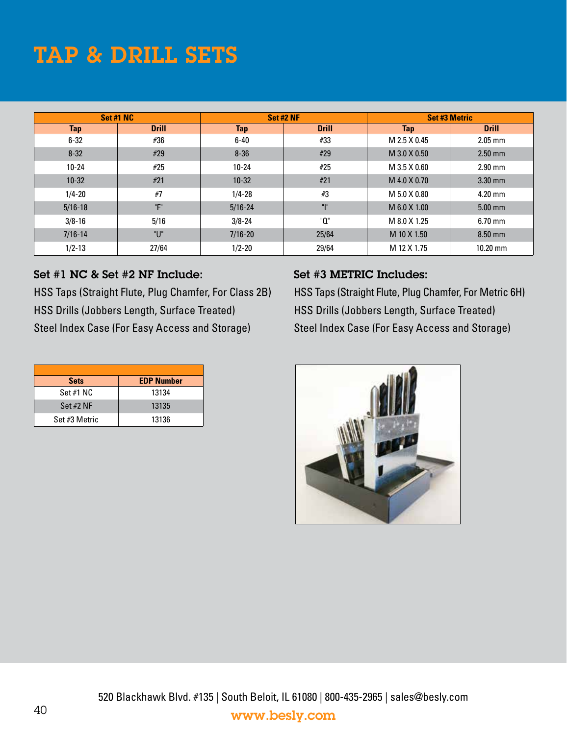# TAP & DRILL SETS

|             | Set #1 NC    | Set #2 NF   |              | <b>Set #3 Metric</b> |              |  |  |
|-------------|--------------|-------------|--------------|----------------------|--------------|--|--|
| <b>Tap</b>  | <b>Drill</b> | <b>Tap</b>  | <b>Drill</b> | <b>Tap</b>           | <b>Drill</b> |  |  |
| $6 - 32$    | #36          | $6 - 40$    | #33          | M 2.5 X 0.45         | $2.05$ mm    |  |  |
| $8 - 32$    | #29          | $8 - 36$    | #29          | M 3.0 X 0.50         | $2.50$ mm    |  |  |
| $10 - 24$   | #25          | $10 - 24$   | #25          | M 3.5 X 0.60         | $2.90$ mm    |  |  |
| $10 - 32$   | #21          | $10 - 32$   | #21          | M 4.0 X 0.70         | $3.30$ mm    |  |  |
| $1/4 - 20$  | #7           | $1/4 - 28$  | #3           | M 5.0 X 0.80         | $4.20$ mm    |  |  |
| $5/16 - 18$ | "F"          | $5/16 - 24$ | ար           | M 6.0 X 1.00         | $5.00$ mm    |  |  |
| $3/8 - 16$  | 5/16         | $3/8 - 24$  | "0"          | M 8.0 X 1.25         | $6.70$ mm    |  |  |
| $7/16 - 14$ | "ሀ"          | $7/16 - 20$ | 25/64        | M 10 X 1.50          | $8.50$ mm    |  |  |
| $1/2 - 13$  | 27/64        | $1/2 - 20$  | 29/64        | M 12 X 1.75          | $10.20$ mm   |  |  |

#### Set #1 NC & Set #2 NF Include:

HSS Taps (Straight Flute, Plug Chamfer, For Class 2B) HSS Drills (Jobbers Length, Surface Treated) Steel Index Case (For Easy Access and Storage)

#### Set #3 METRIC Includes:

HSS Taps (Straight Flute, Plug Chamfer, For Metric 6H) HSS Drills (Jobbers Length, Surface Treated) Steel Index Case (For Easy Access and Storage)

| <b>Sets</b>   | <b>EDP Number</b> |
|---------------|-------------------|
| Set #1 NC     | 13134             |
| Set $#2$ NF   | 13135             |
| Set #3 Metric | 13136             |

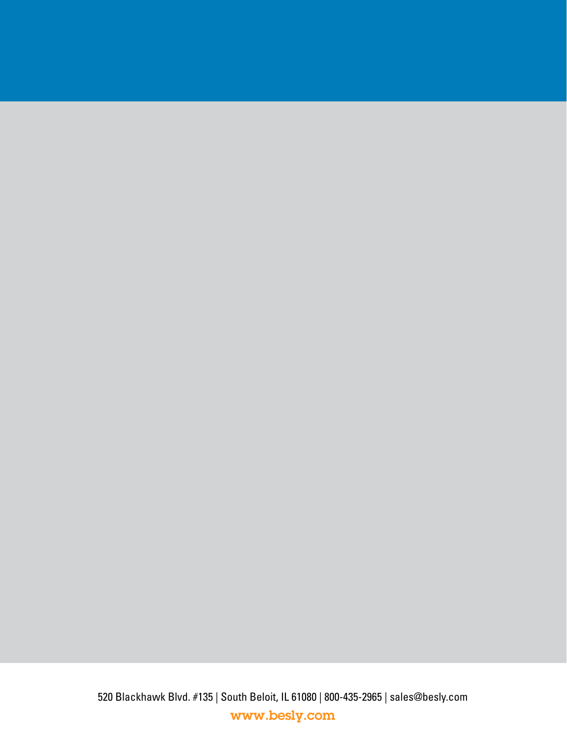520 Blackhawk Blvd. #135 | South Beloit, IL 61080 | 800-435-2965 | sales@besly.com www.besly.com